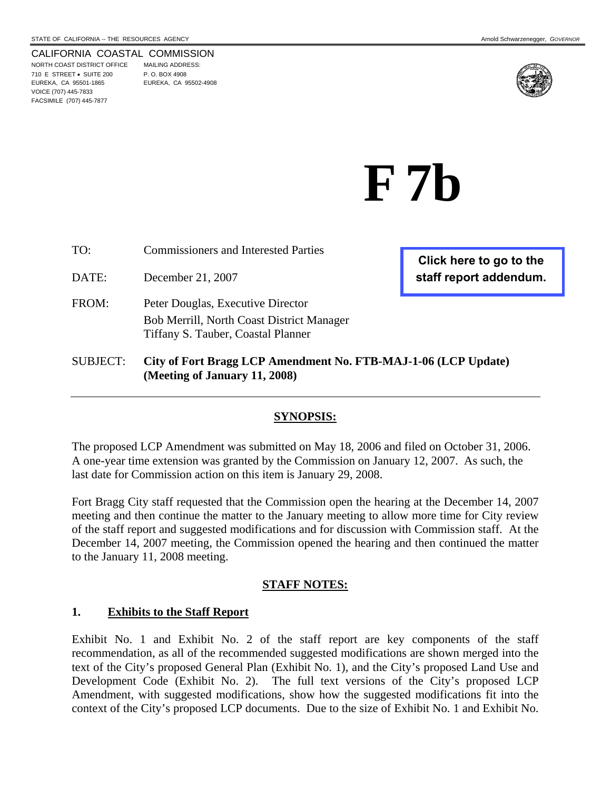#### CALIFORNIA COASTAL COMMISSION

NORTH COAST DISTRICT OFFICE MAILING ADDRESS: 710 E STREET • SUITE 200 P. O. BOX 4908 EUREKA, CA 95501-1865 EUREKA, CA 95502-4908 VOICE (707) 445-7833 FACSIMILE (707) 445-7877



**F 7b** 

| TO:             | <b>Commissioners and Interested Parties</b>                                                                          | Click here to go to the |  |
|-----------------|----------------------------------------------------------------------------------------------------------------------|-------------------------|--|
| DATE:           | December 21, 2007                                                                                                    | staff report addendum.  |  |
| FROM:           | Peter Douglas, Executive Director<br>Bob Merrill, North Coast District Manager<br>Tiffany S. Tauber, Coastal Planner |                         |  |
| <b>SUBJECT:</b> | City of Fort Bragg LCP Amendment No. FTB-MAJ-1-06 (LCP Update)<br>(Meeting of January 11, 2008)                      |                         |  |

#### **SYNOPSIS:**

The proposed LCP Amendment was submitted on May 18, 2006 and filed on October 31, 2006. A one-year time extension was granted by the Commission on January 12, 2007. As such, the last date for Commission action on this item is January 29, 2008.

Fort Bragg City staff requested that the Commission open the hearing at the December 14, 2007 meeting and then continue the matter to the January meeting to allow more time for City review of the staff report and suggested modifications and for discussion with Commission staff. At the December 14, 2007 meeting, the Commission opened the hearing and then continued the matter to the January 11, 2008 meeting.

#### **STAFF NOTES:**

#### **1. Exhibits to the Staff Report**

Exhibit No. 1 and Exhibit No. 2 of the staff report are key components of the staff recommendation, as all of the recommended suggested modifications are shown merged into the text of the City's proposed General Plan (Exhibit No. 1), and the City's proposed Land Use and Development Code (Exhibit No. 2). The full text versions of the City's proposed LCP Amendment, with suggested modifications, show how the suggested modifications fit into the context of the City's proposed LCP documents. Due to the size of Exhibit No. 1 and Exhibit No.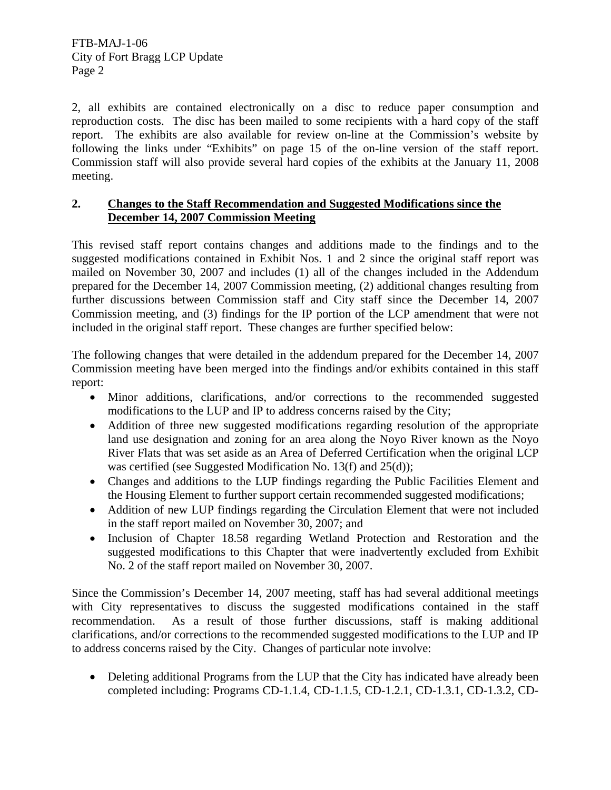2, all exhibits are contained electronically on a disc to reduce paper consumption and reproduction costs. The disc has been mailed to some recipients with a hard copy of the staff report. The exhibits are also available for review on-line at the Commission's website by following the links under "Exhibits" on page 15 of the on-line version of the staff report. Commission staff will also provide several hard copies of the exhibits at the January 11, 2008 meeting.

### **2. Changes to the Staff Recommendation and Suggested Modifications since the December 14, 2007 Commission Meeting**

This revised staff report contains changes and additions made to the findings and to the suggested modifications contained in Exhibit Nos. 1 and 2 since the original staff report was mailed on November 30, 2007 and includes (1) all of the changes included in the Addendum prepared for the December 14, 2007 Commission meeting, (2) additional changes resulting from further discussions between Commission staff and City staff since the December 14, 2007 Commission meeting, and (3) findings for the IP portion of the LCP amendment that were not included in the original staff report. These changes are further specified below:

The following changes that were detailed in the addendum prepared for the December 14, 2007 Commission meeting have been merged into the findings and/or exhibits contained in this staff report:

- Minor additions, clarifications, and/or corrections to the recommended suggested modifications to the LUP and IP to address concerns raised by the City;
- Addition of three new suggested modifications regarding resolution of the appropriate land use designation and zoning for an area along the Noyo River known as the Noyo River Flats that was set aside as an Area of Deferred Certification when the original LCP was certified (see Suggested Modification No. 13(f) and 25(d));
- Changes and additions to the LUP findings regarding the Public Facilities Element and the Housing Element to further support certain recommended suggested modifications;
- Addition of new LUP findings regarding the Circulation Element that were not included in the staff report mailed on November 30, 2007; and
- Inclusion of Chapter 18.58 regarding Wetland Protection and Restoration and the suggested modifications to this Chapter that were inadvertently excluded from Exhibit No. 2 of the staff report mailed on November 30, 2007.

Since the Commission's December 14, 2007 meeting, staff has had several additional meetings with City representatives to discuss the suggested modifications contained in the staff recommendation. As a result of those further discussions, staff is making additional clarifications, and/or corrections to the recommended suggested modifications to the LUP and IP to address concerns raised by the City. Changes of particular note involve:

• Deleting additional Programs from the LUP that the City has indicated have already been completed including: Programs CD-1.1.4, CD-1.1.5, CD-1.2.1, CD-1.3.1, CD-1.3.2, CD-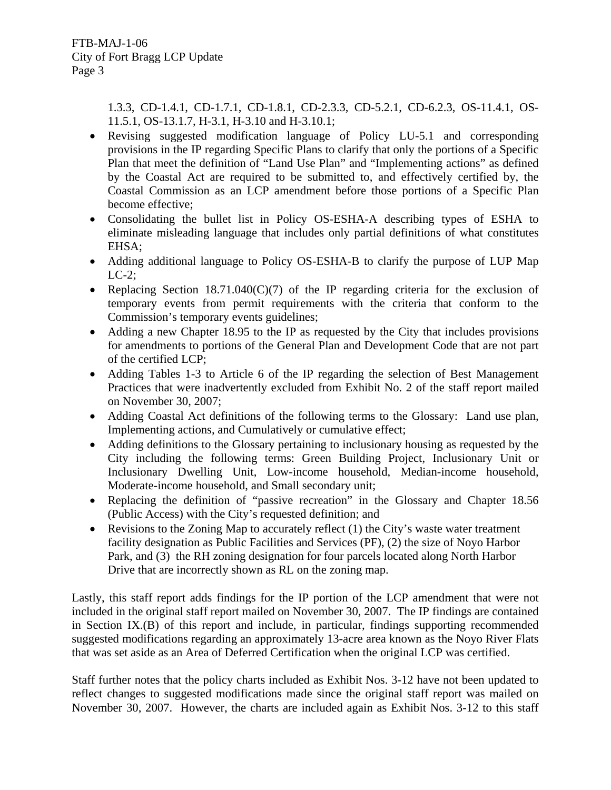1.3.3, CD-1.4.1, CD-1.7.1, CD-1.8.1, CD-2.3.3, CD-5.2.1, CD-6.2.3, OS-11.4.1, OS-11.5.1, OS-13.1.7, H-3.1, H-3.10 and H-3.10.1;

- Revising suggested modification language of Policy LU-5.1 and corresponding provisions in the IP regarding Specific Plans to clarify that only the portions of a Specific Plan that meet the definition of "Land Use Plan" and "Implementing actions" as defined by the Coastal Act are required to be submitted to, and effectively certified by, the Coastal Commission as an LCP amendment before those portions of a Specific Plan become effective;
- Consolidating the bullet list in Policy OS-ESHA-A describing types of ESHA to eliminate misleading language that includes only partial definitions of what constitutes EHSA;
- Adding additional language to Policy OS-ESHA-B to clarify the purpose of LUP Map  $LC-2$ ;
- Replacing Section  $18.71.040(C)(7)$  of the IP regarding criteria for the exclusion of temporary events from permit requirements with the criteria that conform to the Commission's temporary events guidelines;
- Adding a new Chapter 18.95 to the IP as requested by the City that includes provisions for amendments to portions of the General Plan and Development Code that are not part of the certified LCP;
- Adding Tables 1-3 to Article 6 of the IP regarding the selection of Best Management Practices that were inadvertently excluded from Exhibit No. 2 of the staff report mailed on November 30, 2007;
- Adding Coastal Act definitions of the following terms to the Glossary: Land use plan, Implementing actions, and Cumulatively or cumulative effect;
- Adding definitions to the Glossary pertaining to inclusionary housing as requested by the City including the following terms: Green Building Project, Inclusionary Unit or Inclusionary Dwelling Unit, Low-income household, Median-income household, Moderate-income household, and Small secondary unit;
- Replacing the definition of "passive recreation" in the Glossary and Chapter 18.56 (Public Access) with the City's requested definition; and
- Revisions to the Zoning Map to accurately reflect (1) the City's waste water treatment facility designation as Public Facilities and Services (PF), (2) the size of Noyo Harbor Park, and (3) the RH zoning designation for four parcels located along North Harbor Drive that are incorrectly shown as RL on the zoning map.

Lastly, this staff report adds findings for the IP portion of the LCP amendment that were not included in the original staff report mailed on November 30, 2007. The IP findings are contained in Section IX.(B) of this report and include, in particular, findings supporting recommended suggested modifications regarding an approximately 13-acre area known as the Noyo River Flats that was set aside as an Area of Deferred Certification when the original LCP was certified.

Staff further notes that the policy charts included as Exhibit Nos. 3-12 have not been updated to reflect changes to suggested modifications made since the original staff report was mailed on November 30, 2007. However, the charts are included again as Exhibit Nos. 3-12 to this staff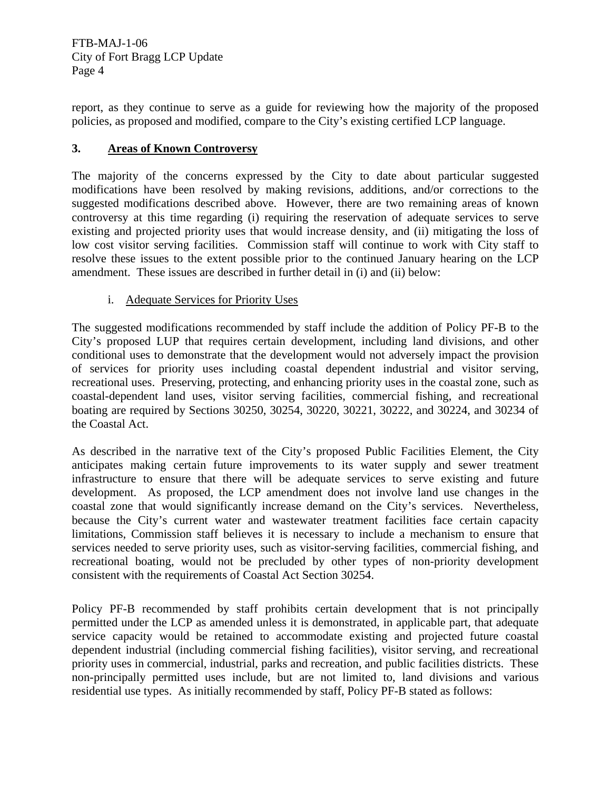report, as they continue to serve as a guide for reviewing how the majority of the proposed policies, as proposed and modified, compare to the City's existing certified LCP language.

### **3. Areas of Known Controversy**

The majority of the concerns expressed by the City to date about particular suggested modifications have been resolved by making revisions, additions, and/or corrections to the suggested modifications described above. However, there are two remaining areas of known controversy at this time regarding (i) requiring the reservation of adequate services to serve existing and projected priority uses that would increase density, and (ii) mitigating the loss of low cost visitor serving facilities. Commission staff will continue to work with City staff to resolve these issues to the extent possible prior to the continued January hearing on the LCP amendment. These issues are described in further detail in (i) and (ii) below:

### i. Adequate Services for Priority Uses

The suggested modifications recommended by staff include the addition of Policy PF-B to the City's proposed LUP that requires certain development, including land divisions, and other conditional uses to demonstrate that the development would not adversely impact the provision of services for priority uses including coastal dependent industrial and visitor serving, recreational uses. Preserving, protecting, and enhancing priority uses in the coastal zone, such as coastal-dependent land uses, visitor serving facilities, commercial fishing, and recreational boating are required by Sections 30250, 30254, 30220, 30221, 30222, and 30224, and 30234 of the Coastal Act.

As described in the narrative text of the City's proposed Public Facilities Element, the City anticipates making certain future improvements to its water supply and sewer treatment infrastructure to ensure that there will be adequate services to serve existing and future development. As proposed, the LCP amendment does not involve land use changes in the coastal zone that would significantly increase demand on the City's services. Nevertheless, because the City's current water and wastewater treatment facilities face certain capacity limitations, Commission staff believes it is necessary to include a mechanism to ensure that services needed to serve priority uses, such as visitor-serving facilities, commercial fishing, and recreational boating, would not be precluded by other types of non-priority development consistent with the requirements of Coastal Act Section 30254.

Policy PF-B recommended by staff prohibits certain development that is not principally permitted under the LCP as amended unless it is demonstrated, in applicable part, that adequate service capacity would be retained to accommodate existing and projected future coastal dependent industrial (including commercial fishing facilities), visitor serving, and recreational priority uses in commercial, industrial, parks and recreation, and public facilities districts. These non-principally permitted uses include, but are not limited to, land divisions and various residential use types. As initially recommended by staff, Policy PF-B stated as follows: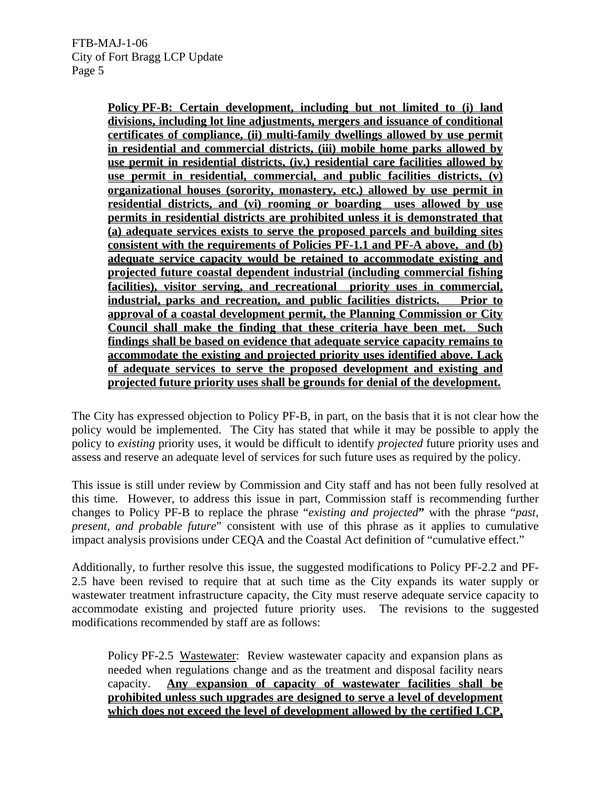**Policy PF-B: Certain development, including but not limited to (i) land divisions, including lot line adjustments, mergers and issuance of conditional certificates of compliance, (ii) multi-family dwellings allowed by use permit in residential and commercial districts, (iii) mobile home parks allowed by use permit in residential districts, (iv.) residential care facilities allowed by use permit in residential, commercial, and public facilities districts, (v) organizational houses (sorority, monastery, etc.) allowed by use permit in residential districts, and (vi) rooming or boarding uses allowed by use permits in residential districts are prohibited unless it is demonstrated that (a) adequate services exists to serve the proposed parcels and building sites consistent with the requirements of Policies PF-1.1 and PF-A above, and (b) adequate service capacity would be retained to accommodate existing and projected future coastal dependent industrial (including commercial fishing facilities), visitor serving, and recreational priority uses in commercial, industrial, parks and recreation, and public facilities districts. Prior to approval of a coastal development permit, the Planning Commission or City Council shall make the finding that these criteria have been met. Such findings shall be based on evidence that adequate service capacity remains to accommodate the existing and projected priority uses identified above. Lack of adequate services to serve the proposed development and existing and projected future priority uses shall be grounds for denial of the development.**

The City has expressed objection to Policy PF-B, in part, on the basis that it is not clear how the policy would be implemented. The City has stated that while it may be possible to apply the policy to *existing* priority uses, it would be difficult to identify *projected* future priority uses and assess and reserve an adequate level of services for such future uses as required by the policy.

This issue is still under review by Commission and City staff and has not been fully resolved at this time. However, to address this issue in part, Commission staff is recommending further changes to Policy PF-B to replace the phrase "*existing and projected***"** with the phrase "*past, present, and probable future*" consistent with use of this phrase as it applies to cumulative impact analysis provisions under CEQA and the Coastal Act definition of "cumulative effect."

Additionally, to further resolve this issue, the suggested modifications to Policy PF-2.2 and PF-2.5 have been revised to require that at such time as the City expands its water supply or wastewater treatment infrastructure capacity, the City must reserve adequate service capacity to accommodate existing and projected future priority uses. The revisions to the suggested modifications recommended by staff are as follows:

Policy PF-2.5 Wastewater: Review wastewater capacity and expansion plans as needed when regulations change and as the treatment and disposal facility nears capacity. **Any expansion of capacity of wastewater facilities shall be prohibited unless such upgrades are designed to serve a level of development which does not exceed the level of development allowed by the certified LCP,**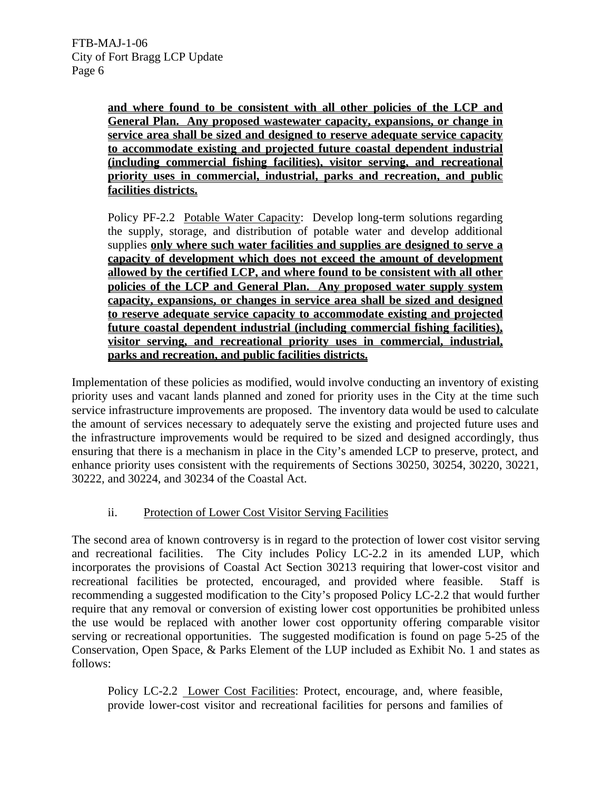**and where found to be consistent with all other policies of the LCP and General Plan. Any proposed wastewater capacity, expansions, or change in service area shall be sized and designed to reserve adequate service capacity to accommodate existing and projected future coastal dependent industrial (including commercial fishing facilities), visitor serving, and recreational priority uses in commercial, industrial, parks and recreation, and public facilities districts.**

Policy PF-2.2 Potable Water Capacity: Develop long-term solutions regarding the supply, storage, and distribution of potable water and develop additional supplies **only where such water facilities and supplies are designed to serve a capacity of development which does not exceed the amount of development allowed by the certified LCP, and where found to be consistent with all other policies of the LCP and General Plan. Any proposed water supply system capacity, expansions, or changes in service area shall be sized and designed to reserve adequate service capacity to accommodate existing and projected future coastal dependent industrial (including commercial fishing facilities), visitor serving, and recreational priority uses in commercial, industrial, parks and recreation, and public facilities districts.**

Implementation of these policies as modified, would involve conducting an inventory of existing priority uses and vacant lands planned and zoned for priority uses in the City at the time such service infrastructure improvements are proposed. The inventory data would be used to calculate the amount of services necessary to adequately serve the existing and projected future uses and the infrastructure improvements would be required to be sized and designed accordingly, thus ensuring that there is a mechanism in place in the City's amended LCP to preserve, protect, and enhance priority uses consistent with the requirements of Sections 30250, 30254, 30220, 30221, 30222, and 30224, and 30234 of the Coastal Act.

## ii. Protection of Lower Cost Visitor Serving Facilities

The second area of known controversy is in regard to the protection of lower cost visitor serving and recreational facilities. The City includes Policy LC-2.2 in its amended LUP, which incorporates the provisions of Coastal Act Section 30213 requiring that lower-cost visitor and recreational facilities be protected, encouraged, and provided where feasible. Staff is recommending a suggested modification to the City's proposed Policy LC-2.2 that would further require that any removal or conversion of existing lower cost opportunities be prohibited unless the use would be replaced with another lower cost opportunity offering comparable visitor serving or recreational opportunities. The suggested modification is found on page 5-25 of the Conservation, Open Space, & Parks Element of the LUP included as Exhibit No. 1 and states as follows:

Policy LC-2.2 Lower Cost Facilities: Protect, encourage, and, where feasible, provide lower-cost visitor and recreational facilities for persons and families of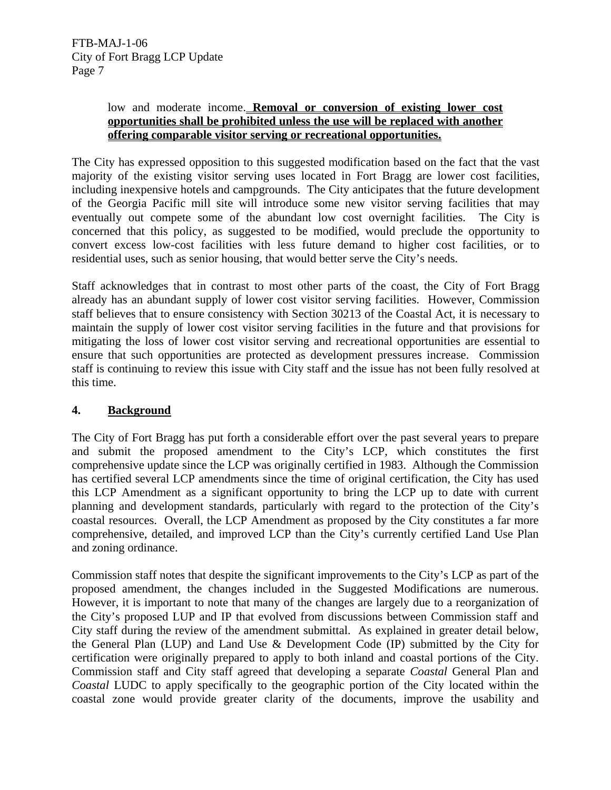## low and moderate income. **Removal or conversion of existing lower cost opportunities shall be prohibited unless the use will be replaced with another offering comparable visitor serving or recreational opportunities.**

The City has expressed opposition to this suggested modification based on the fact that the vast majority of the existing visitor serving uses located in Fort Bragg are lower cost facilities, including inexpensive hotels and campgrounds. The City anticipates that the future development of the Georgia Pacific mill site will introduce some new visitor serving facilities that may eventually out compete some of the abundant low cost overnight facilities. The City is concerned that this policy, as suggested to be modified, would preclude the opportunity to convert excess low-cost facilities with less future demand to higher cost facilities, or to residential uses, such as senior housing, that would better serve the City's needs.

Staff acknowledges that in contrast to most other parts of the coast, the City of Fort Bragg already has an abundant supply of lower cost visitor serving facilities. However, Commission staff believes that to ensure consistency with Section 30213 of the Coastal Act, it is necessary to maintain the supply of lower cost visitor serving facilities in the future and that provisions for mitigating the loss of lower cost visitor serving and recreational opportunities are essential to ensure that such opportunities are protected as development pressures increase. Commission staff is continuing to review this issue with City staff and the issue has not been fully resolved at this time.

## **4. Background**

The City of Fort Bragg has put forth a considerable effort over the past several years to prepare and submit the proposed amendment to the City's LCP, which constitutes the first comprehensive update since the LCP was originally certified in 1983. Although the Commission has certified several LCP amendments since the time of original certification, the City has used this LCP Amendment as a significant opportunity to bring the LCP up to date with current planning and development standards, particularly with regard to the protection of the City's coastal resources. Overall, the LCP Amendment as proposed by the City constitutes a far more comprehensive, detailed, and improved LCP than the City's currently certified Land Use Plan and zoning ordinance.

Commission staff notes that despite the significant improvements to the City's LCP as part of the proposed amendment, the changes included in the Suggested Modifications are numerous. However, it is important to note that many of the changes are largely due to a reorganization of the City's proposed LUP and IP that evolved from discussions between Commission staff and City staff during the review of the amendment submittal. As explained in greater detail below, the General Plan (LUP) and Land Use & Development Code (IP) submitted by the City for certification were originally prepared to apply to both inland and coastal portions of the City. Commission staff and City staff agreed that developing a separate *Coastal* General Plan and *Coastal* LUDC to apply specifically to the geographic portion of the City located within the coastal zone would provide greater clarity of the documents, improve the usability and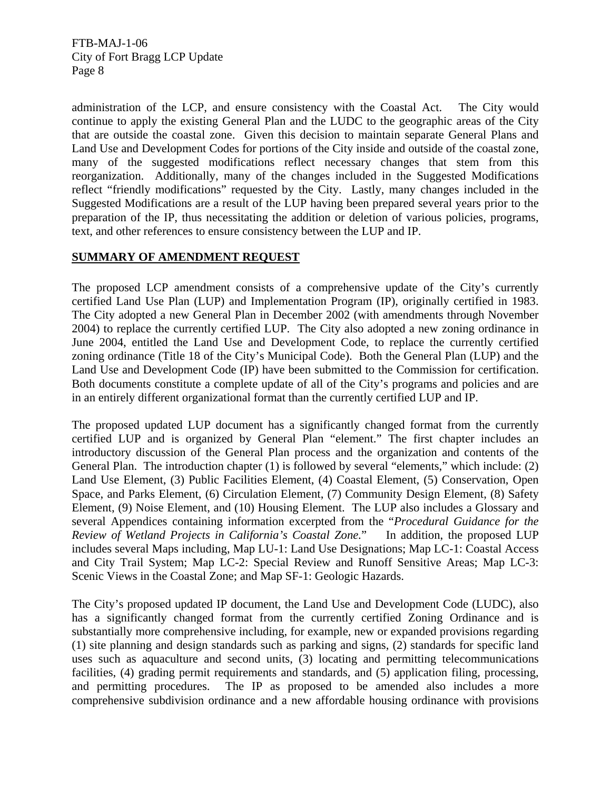administration of the LCP, and ensure consistency with the Coastal Act. The City would continue to apply the existing General Plan and the LUDC to the geographic areas of the City that are outside the coastal zone. Given this decision to maintain separate General Plans and Land Use and Development Codes for portions of the City inside and outside of the coastal zone, many of the suggested modifications reflect necessary changes that stem from this reorganization. Additionally, many of the changes included in the Suggested Modifications reflect "friendly modifications" requested by the City. Lastly, many changes included in the Suggested Modifications are a result of the LUP having been prepared several years prior to the preparation of the IP, thus necessitating the addition or deletion of various policies, programs, text, and other references to ensure consistency between the LUP and IP.

### **SUMMARY OF AMENDMENT REQUEST**

The proposed LCP amendment consists of a comprehensive update of the City's currently certified Land Use Plan (LUP) and Implementation Program (IP), originally certified in 1983. The City adopted a new General Plan in December 2002 (with amendments through November 2004) to replace the currently certified LUP. The City also adopted a new zoning ordinance in June 2004, entitled the Land Use and Development Code, to replace the currently certified zoning ordinance (Title 18 of the City's Municipal Code). Both the General Plan (LUP) and the Land Use and Development Code (IP) have been submitted to the Commission for certification. Both documents constitute a complete update of all of the City's programs and policies and are in an entirely different organizational format than the currently certified LUP and IP.

The proposed updated LUP document has a significantly changed format from the currently certified LUP and is organized by General Plan "element." The first chapter includes an introductory discussion of the General Plan process and the organization and contents of the General Plan. The introduction chapter (1) is followed by several "elements," which include: (2) Land Use Element, (3) Public Facilities Element, (4) Coastal Element, (5) Conservation, Open Space, and Parks Element, (6) Circulation Element, (7) Community Design Element, (8) Safety Element, (9) Noise Element, and (10) Housing Element. The LUP also includes a Glossary and several Appendices containing information excerpted from the "*Procedural Guidance for the Review of Wetland Projects in California's Coastal Zone.*" In addition, the proposed LUP includes several Maps including, Map LU-1: Land Use Designations; Map LC-1: Coastal Access and City Trail System; Map LC-2: Special Review and Runoff Sensitive Areas; Map LC-3: Scenic Views in the Coastal Zone; and Map SF-1: Geologic Hazards.

The City's proposed updated IP document, the Land Use and Development Code (LUDC), also has a significantly changed format from the currently certified Zoning Ordinance and is substantially more comprehensive including, for example, new or expanded provisions regarding (1) site planning and design standards such as parking and signs, (2) standards for specific land uses such as aquaculture and second units, (3) locating and permitting telecommunications facilities, (4) grading permit requirements and standards, and (5) application filing, processing, and permitting procedures. The IP as proposed to be amended also includes a more comprehensive subdivision ordinance and a new affordable housing ordinance with provisions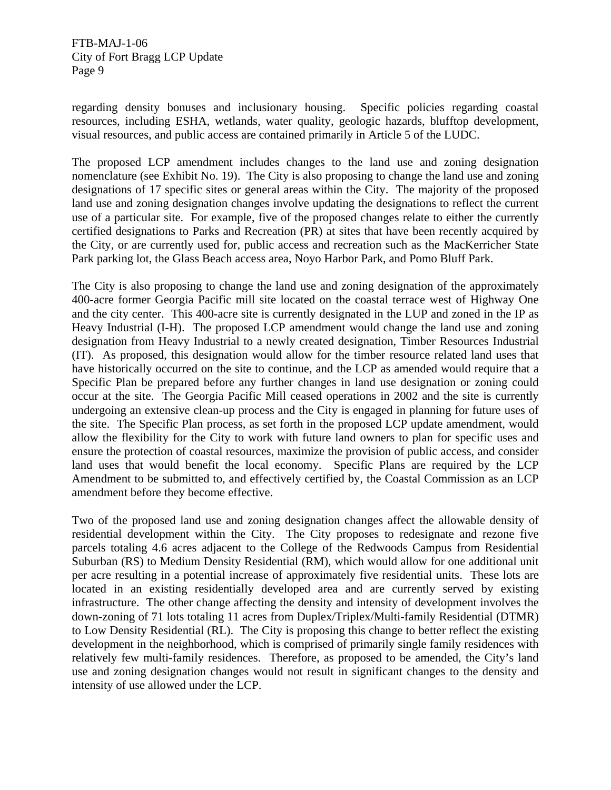regarding density bonuses and inclusionary housing. Specific policies regarding coastal resources, including ESHA, wetlands, water quality, geologic hazards, blufftop development, visual resources, and public access are contained primarily in Article 5 of the LUDC.

The proposed LCP amendment includes changes to the land use and zoning designation nomenclature (see Exhibit No. 19). The City is also proposing to change the land use and zoning designations of 17 specific sites or general areas within the City. The majority of the proposed land use and zoning designation changes involve updating the designations to reflect the current use of a particular site. For example, five of the proposed changes relate to either the currently certified designations to Parks and Recreation (PR) at sites that have been recently acquired by the City, or are currently used for, public access and recreation such as the MacKerricher State Park parking lot, the Glass Beach access area, Noyo Harbor Park, and Pomo Bluff Park.

The City is also proposing to change the land use and zoning designation of the approximately 400-acre former Georgia Pacific mill site located on the coastal terrace west of Highway One and the city center. This 400-acre site is currently designated in the LUP and zoned in the IP as Heavy Industrial (I-H). The proposed LCP amendment would change the land use and zoning designation from Heavy Industrial to a newly created designation, Timber Resources Industrial (IT). As proposed, this designation would allow for the timber resource related land uses that have historically occurred on the site to continue, and the LCP as amended would require that a Specific Plan be prepared before any further changes in land use designation or zoning could occur at the site. The Georgia Pacific Mill ceased operations in 2002 and the site is currently undergoing an extensive clean-up process and the City is engaged in planning for future uses of the site. The Specific Plan process, as set forth in the proposed LCP update amendment, would allow the flexibility for the City to work with future land owners to plan for specific uses and ensure the protection of coastal resources, maximize the provision of public access, and consider land uses that would benefit the local economy. Specific Plans are required by the LCP Amendment to be submitted to, and effectively certified by, the Coastal Commission as an LCP amendment before they become effective.

Two of the proposed land use and zoning designation changes affect the allowable density of residential development within the City. The City proposes to redesignate and rezone five parcels totaling 4.6 acres adjacent to the College of the Redwoods Campus from Residential Suburban (RS) to Medium Density Residential (RM), which would allow for one additional unit per acre resulting in a potential increase of approximately five residential units. These lots are located in an existing residentially developed area and are currently served by existing infrastructure. The other change affecting the density and intensity of development involves the down-zoning of 71 lots totaling 11 acres from Duplex/Triplex/Multi-family Residential (DTMR) to Low Density Residential (RL). The City is proposing this change to better reflect the existing development in the neighborhood, which is comprised of primarily single family residences with relatively few multi-family residences. Therefore, as proposed to be amended, the City's land use and zoning designation changes would not result in significant changes to the density and intensity of use allowed under the LCP.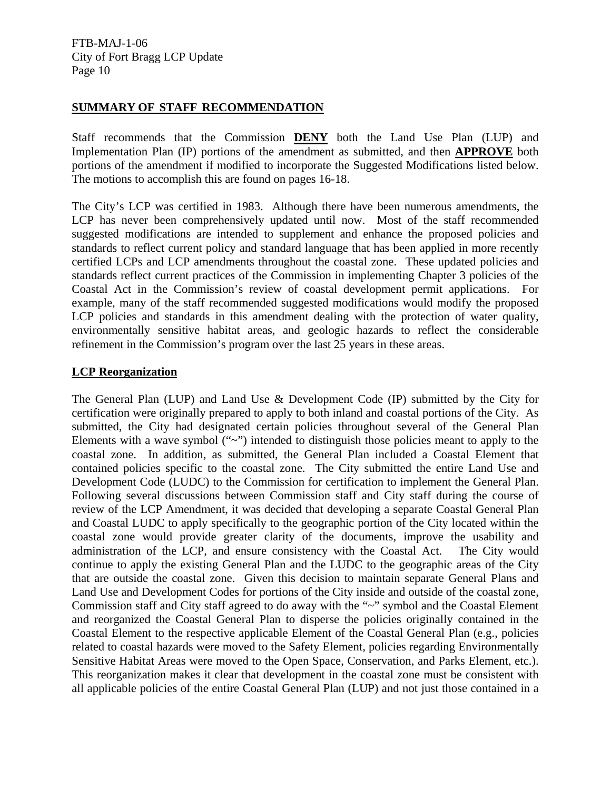### **SUMMARY OF STAFF RECOMMENDATION**

Staff recommends that the Commission **DENY** both the Land Use Plan (LUP) and Implementation Plan (IP) portions of the amendment as submitted, and then **APPROVE** both portions of the amendment if modified to incorporate the Suggested Modifications listed below. The motions to accomplish this are found on pages 16-18.

The City's LCP was certified in 1983. Although there have been numerous amendments, the LCP has never been comprehensively updated until now. Most of the staff recommended suggested modifications are intended to supplement and enhance the proposed policies and standards to reflect current policy and standard language that has been applied in more recently certified LCPs and LCP amendments throughout the coastal zone. These updated policies and standards reflect current practices of the Commission in implementing Chapter 3 policies of the Coastal Act in the Commission's review of coastal development permit applications. For example, many of the staff recommended suggested modifications would modify the proposed LCP policies and standards in this amendment dealing with the protection of water quality, environmentally sensitive habitat areas, and geologic hazards to reflect the considerable refinement in the Commission's program over the last 25 years in these areas.

#### **LCP Reorganization**

The General Plan (LUP) and Land Use & Development Code (IP) submitted by the City for certification were originally prepared to apply to both inland and coastal portions of the City. As submitted, the City had designated certain policies throughout several of the General Plan Elements with a wave symbol  $(4\gamma)$  intended to distinguish those policies meant to apply to the coastal zone. In addition, as submitted, the General Plan included a Coastal Element that contained policies specific to the coastal zone. The City submitted the entire Land Use and Development Code (LUDC) to the Commission for certification to implement the General Plan. Following several discussions between Commission staff and City staff during the course of review of the LCP Amendment, it was decided that developing a separate Coastal General Plan and Coastal LUDC to apply specifically to the geographic portion of the City located within the coastal zone would provide greater clarity of the documents, improve the usability and administration of the LCP, and ensure consistency with the Coastal Act. The City would continue to apply the existing General Plan and the LUDC to the geographic areas of the City that are outside the coastal zone. Given this decision to maintain separate General Plans and Land Use and Development Codes for portions of the City inside and outside of the coastal zone, Commission staff and City staff agreed to do away with the "~" symbol and the Coastal Element and reorganized the Coastal General Plan to disperse the policies originally contained in the Coastal Element to the respective applicable Element of the Coastal General Plan (e.g., policies related to coastal hazards were moved to the Safety Element, policies regarding Environmentally Sensitive Habitat Areas were moved to the Open Space, Conservation, and Parks Element, etc.). This reorganization makes it clear that development in the coastal zone must be consistent with all applicable policies of the entire Coastal General Plan (LUP) and not just those contained in a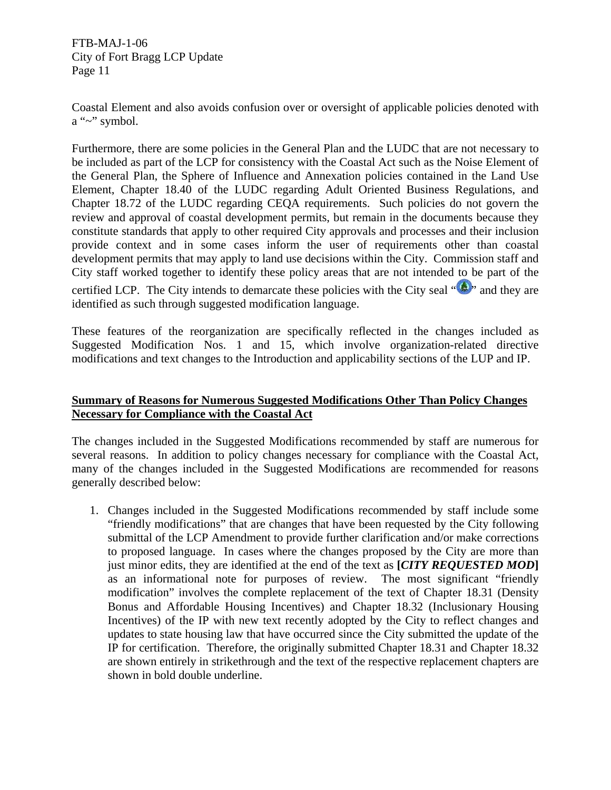Coastal Element and also avoids confusion over or oversight of applicable policies denoted with a "~" symbol.

Furthermore, there are some policies in the General Plan and the LUDC that are not necessary to be included as part of the LCP for consistency with the Coastal Act such as the Noise Element of the General Plan, the Sphere of Influence and Annexation policies contained in the Land Use Element, Chapter 18.40 of the LUDC regarding Adult Oriented Business Regulations, and Chapter 18.72 of the LUDC regarding CEQA requirements. Such policies do not govern the review and approval of coastal development permits, but remain in the documents because they constitute standards that apply to other required City approvals and processes and their inclusion provide context and in some cases inform the user of requirements other than coastal development permits that may apply to land use decisions within the City. Commission staff and City staff worked together to identify these policy areas that are not intended to be part of the certified LCP. The City intends to demarcate these policies with the City seal  $\mathbf{A}$ , and they are identified as such through suggested modification language.

These features of the reorganization are specifically reflected in the changes included as Suggested Modification Nos. 1 and 15, which involve organization-related directive modifications and text changes to the Introduction and applicability sections of the LUP and IP.

## **Summary of Reasons for Numerous Suggested Modifications Other Than Policy Changes Necessary for Compliance with the Coastal Act**

The changes included in the Suggested Modifications recommended by staff are numerous for several reasons. In addition to policy changes necessary for compliance with the Coastal Act, many of the changes included in the Suggested Modifications are recommended for reasons generally described below:

1. Changes included in the Suggested Modifications recommended by staff include some "friendly modifications" that are changes that have been requested by the City following submittal of the LCP Amendment to provide further clarification and/or make corrections to proposed language. In cases where the changes proposed by the City are more than just minor edits, they are identified at the end of the text as **[***CITY REQUESTED MOD***]** as an informational note for purposes of review. The most significant "friendly modification" involves the complete replacement of the text of Chapter 18.31 (Density Bonus and Affordable Housing Incentives) and Chapter 18.32 (Inclusionary Housing Incentives) of the IP with new text recently adopted by the City to reflect changes and updates to state housing law that have occurred since the City submitted the update of the IP for certification. Therefore, the originally submitted Chapter 18.31 and Chapter 18.32 are shown entirely in strikethrough and the text of the respective replacement chapters are shown in bold double underline.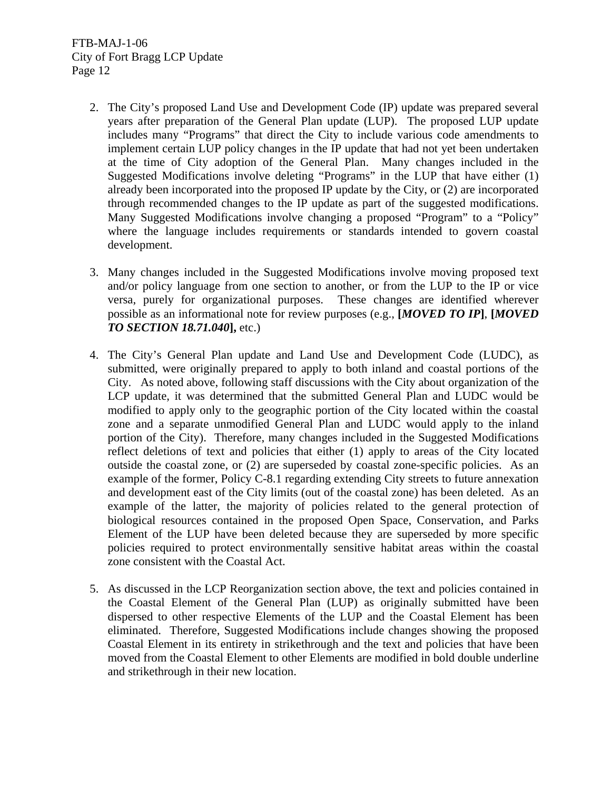- 2. The City's proposed Land Use and Development Code (IP) update was prepared several years after preparation of the General Plan update (LUP). The proposed LUP update includes many "Programs" that direct the City to include various code amendments to implement certain LUP policy changes in the IP update that had not yet been undertaken at the time of City adoption of the General Plan. Many changes included in the Suggested Modifications involve deleting "Programs" in the LUP that have either (1) already been incorporated into the proposed IP update by the City, or (2) are incorporated through recommended changes to the IP update as part of the suggested modifications. Many Suggested Modifications involve changing a proposed "Program" to a "Policy" where the language includes requirements or standards intended to govern coastal development.
- 3. Many changes included in the Suggested Modifications involve moving proposed text and/or policy language from one section to another, or from the LUP to the IP or vice versa, purely for organizational purposes. These changes are identified wherever possible as an informational note for review purposes (e.g., **[***MOVED TO IP***]**, **[***MOVED TO SECTION 18.71.040***],** etc.)
- 4. The City's General Plan update and Land Use and Development Code (LUDC), as submitted, were originally prepared to apply to both inland and coastal portions of the City. As noted above, following staff discussions with the City about organization of the LCP update, it was determined that the submitted General Plan and LUDC would be modified to apply only to the geographic portion of the City located within the coastal zone and a separate unmodified General Plan and LUDC would apply to the inland portion of the City). Therefore, many changes included in the Suggested Modifications reflect deletions of text and policies that either (1) apply to areas of the City located outside the coastal zone, or (2) are superseded by coastal zone-specific policies. As an example of the former, Policy C-8.1 regarding extending City streets to future annexation and development east of the City limits (out of the coastal zone) has been deleted. As an example of the latter, the majority of policies related to the general protection of biological resources contained in the proposed Open Space, Conservation, and Parks Element of the LUP have been deleted because they are superseded by more specific policies required to protect environmentally sensitive habitat areas within the coastal zone consistent with the Coastal Act.
- 5. As discussed in the LCP Reorganization section above, the text and policies contained in the Coastal Element of the General Plan (LUP) as originally submitted have been dispersed to other respective Elements of the LUP and the Coastal Element has been eliminated. Therefore, Suggested Modifications include changes showing the proposed Coastal Element in its entirety in strikethrough and the text and policies that have been moved from the Coastal Element to other Elements are modified in bold double underline and strikethrough in their new location.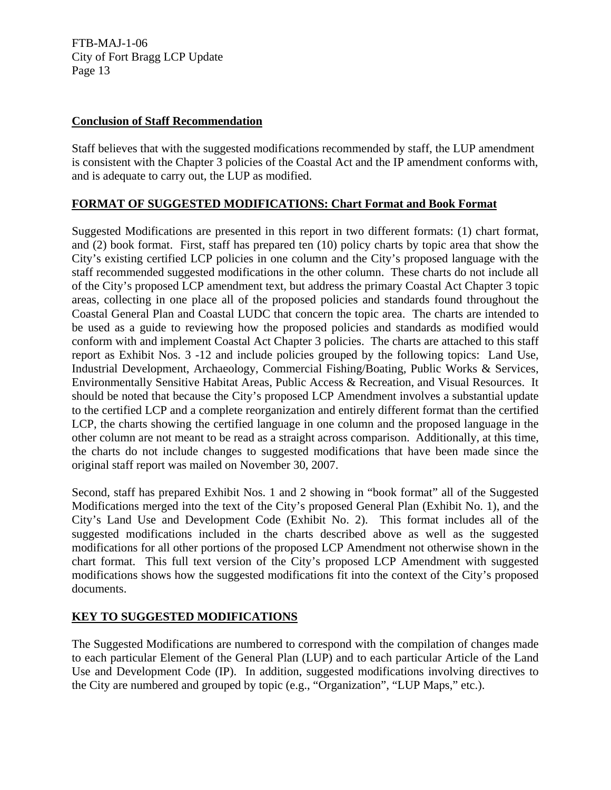#### **Conclusion of Staff Recommendation**

Staff believes that with the suggested modifications recommended by staff, the LUP amendment is consistent with the Chapter 3 policies of the Coastal Act and the IP amendment conforms with, and is adequate to carry out, the LUP as modified.

## **FORMAT OF SUGGESTED MODIFICATIONS: Chart Format and Book Format**

Suggested Modifications are presented in this report in two different formats: (1) chart format, and (2) book format. First, staff has prepared ten (10) policy charts by topic area that show the City's existing certified LCP policies in one column and the City's proposed language with the staff recommended suggested modifications in the other column. These charts do not include all of the City's proposed LCP amendment text, but address the primary Coastal Act Chapter 3 topic areas, collecting in one place all of the proposed policies and standards found throughout the Coastal General Plan and Coastal LUDC that concern the topic area. The charts are intended to be used as a guide to reviewing how the proposed policies and standards as modified would conform with and implement Coastal Act Chapter 3 policies. The charts are attached to this staff report as Exhibit Nos. 3 -12 and include policies grouped by the following topics: Land Use, Industrial Development, Archaeology, Commercial Fishing/Boating, Public Works & Services, Environmentally Sensitive Habitat Areas, Public Access & Recreation, and Visual Resources. It should be noted that because the City's proposed LCP Amendment involves a substantial update to the certified LCP and a complete reorganization and entirely different format than the certified LCP, the charts showing the certified language in one column and the proposed language in the other column are not meant to be read as a straight across comparison. Additionally, at this time, the charts do not include changes to suggested modifications that have been made since the original staff report was mailed on November 30, 2007.

Second, staff has prepared Exhibit Nos. 1 and 2 showing in "book format" all of the Suggested Modifications merged into the text of the City's proposed General Plan (Exhibit No. 1), and the City's Land Use and Development Code (Exhibit No. 2). This format includes all of the suggested modifications included in the charts described above as well as the suggested modifications for all other portions of the proposed LCP Amendment not otherwise shown in the chart format. This full text version of the City's proposed LCP Amendment with suggested modifications shows how the suggested modifications fit into the context of the City's proposed documents.

## **KEY TO SUGGESTED MODIFICATIONS**

The Suggested Modifications are numbered to correspond with the compilation of changes made to each particular Element of the General Plan (LUP) and to each particular Article of the Land Use and Development Code (IP). In addition, suggested modifications involving directives to the City are numbered and grouped by topic (e.g., "Organization", "LUP Maps," etc.).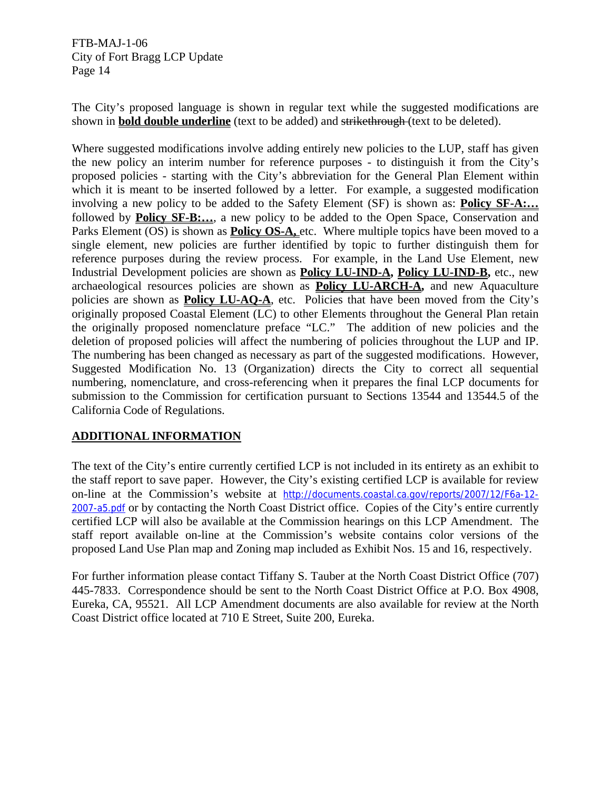The City's proposed language is shown in regular text while the suggested modifications are shown in **bold double underline** (text to be added) and strikethrough (text to be deleted).

Where suggested modifications involve adding entirely new policies to the LUP, staff has given the new policy an interim number for reference purposes - to distinguish it from the City's proposed policies - starting with the City's abbreviation for the General Plan Element within which it is meant to be inserted followed by a letter. For example, a suggested modification involving a new policy to be added to the Safety Element (SF) is shown as: **Policy SF-A:…** followed by **Policy SF-B:…**, a new policy to be added to the Open Space, Conservation and Parks Element (OS) is shown as **Policy OS-A**, etc. Where multiple topics have been moved to a single element, new policies are further identified by topic to further distinguish them for reference purposes during the review process. For example, in the Land Use Element, new Industrial Development policies are shown as **Policy LU-IND-A, Policy LU-IND-B,** etc., new archaeological resources policies are shown as **Policy LU-ARCH-A,** and new Aquaculture policies are shown as **Policy LU-AQ-A**, etc. Policies that have been moved from the City's originally proposed Coastal Element (LC) to other Elements throughout the General Plan retain the originally proposed nomenclature preface "LC." The addition of new policies and the deletion of proposed policies will affect the numbering of policies throughout the LUP and IP. The numbering has been changed as necessary as part of the suggested modifications. However, Suggested Modification No. 13 (Organization) directs the City to correct all sequential numbering, nomenclature, and cross-referencing when it prepares the final LCP documents for submission to the Commission for certification pursuant to Sections 13544 and 13544.5 of the California Code of Regulations.

## **ADDITIONAL INFORMATION**

The text of the City's entire currently certified LCP is not included in its entirety as an exhibit to the staff report to save paper. However, the City's existing certified LCP is available for review on-line at the Commission's website at [http://documents.coastal.ca.gov/reports/2007/12/F6a-12-](http://documents.coastal.ca.gov/reports/2007/12/F6a-12-2007-a5.pdf) [2007-a5.pdf](http://documents.coastal.ca.gov/reports/2007/12/F6a-12-2007-a5.pdf) or by contacting the North Coast District office. Copies of the City's entire currently certified LCP will also be available at the Commission hearings on this LCP Amendment. The staff report available on-line at the Commission's website contains color versions of the proposed Land Use Plan map and Zoning map included as Exhibit Nos. 15 and 16, respectively.

For further information please contact Tiffany S. Tauber at the North Coast District Office (707) 445-7833. Correspondence should be sent to the North Coast District Office at P.O. Box 4908, Eureka, CA, 95521. All LCP Amendment documents are also available for review at the North Coast District office located at 710 E Street, Suite 200, Eureka.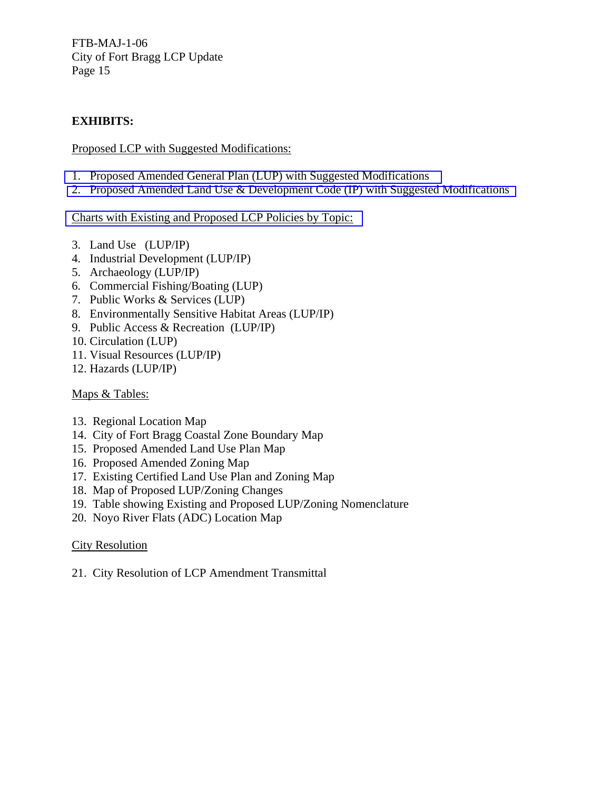## **EXHIBITS:**

### Proposed LCP with Suggested Modifications:

- [1. Proposed Amended General Plan \(LUP\) with Suggested Modifications](http://documents.coastal.ca.gov/reports/2008/1/F7b-1-2008-a1.pdf)
- [2. Proposed Amended Land Use & Development Code \(IP\) with Suggested Modifications](http://documents.coastal.ca.gov/reports/2008/1/F7b-1-2008-a2.pdf)

### [Charts with Existing and Proposed LCP Policies by Topic:](http://documents.coastal.ca.gov/reports/2008/1/F7b-1-2008-a3.pdf)

- 3. Land Use (LUP/IP)
- 4. Industrial Development (LUP/IP)
- 5. Archaeology (LUP/IP)
- 6. Commercial Fishing/Boating (LUP)
- 7. Public Works & Services (LUP)
- 8. Environmentally Sensitive Habitat Areas (LUP/IP)
- 9. Public Access & Recreation (LUP/IP)
- 10. Circulation (LUP)
- 11. Visual Resources (LUP/IP)
- 12. Hazards (LUP/IP)

### Maps & Tables:

- 13. Regional Location Map
- 14. City of Fort Bragg Coastal Zone Boundary Map
- 15. Proposed Amended Land Use Plan Map
- 16. Proposed Amended Zoning Map
- 17. Existing Certified Land Use Plan and Zoning Map
- 18. Map of Proposed LUP/Zoning Changes
- 19. Table showing Existing and Proposed LUP/Zoning Nomenclature
- 20. Noyo River Flats (ADC) Location Map

## City Resolution

21. City Resolution of LCP Amendment Transmittal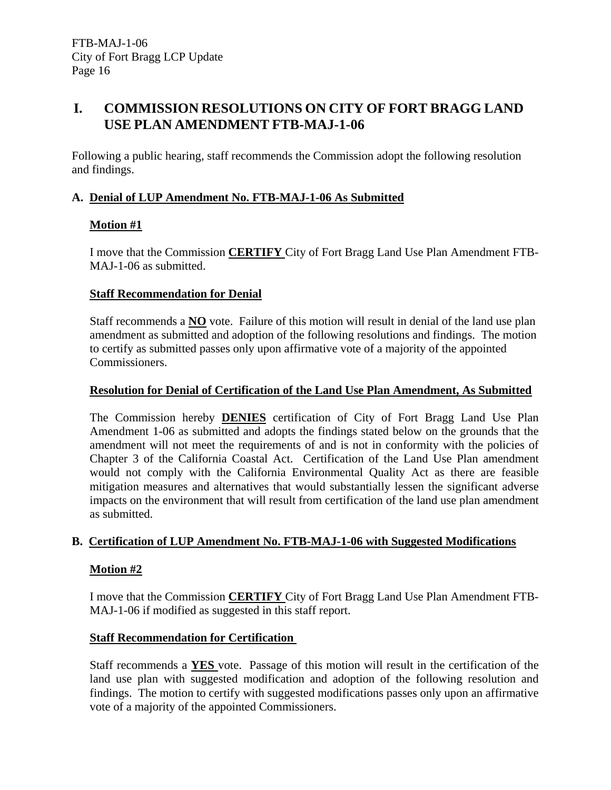## **I. COMMISSION RESOLUTIONS ON CITY OF FORT BRAGG LAND USE PLAN AMENDMENT FTB-MAJ-1-06**

Following a public hearing, staff recommends the Commission adopt the following resolution and findings.

## **A. Denial of LUP Amendment No. FTB-MAJ-1-06 As Submitted**

## **Motion #1**

I move that the Commission **CERTIFY** City of Fort Bragg Land Use Plan Amendment FTB-MAJ-1-06 as submitted.

## **Staff Recommendation for Denial**

Staff recommends a **NO** vote. Failure of this motion will result in denial of the land use plan amendment as submitted and adoption of the following resolutions and findings. The motion to certify as submitted passes only upon affirmative vote of a majority of the appointed Commissioners.

## **Resolution for Denial of Certification of the Land Use Plan Amendment, As Submitted**

The Commission hereby **DENIES** certification of City of Fort Bragg Land Use Plan Amendment 1-06 as submitted and adopts the findings stated below on the grounds that the amendment will not meet the requirements of and is not in conformity with the policies of Chapter 3 of the California Coastal Act. Certification of the Land Use Plan amendment would not comply with the California Environmental Quality Act as there are feasible mitigation measures and alternatives that would substantially lessen the significant adverse impacts on the environment that will result from certification of the land use plan amendment as submitted.

## **B. Certification of LUP Amendment No. FTB-MAJ-1-06 with Suggested Modifications**

## **Motion #2**

I move that the Commission **CERTIFY** City of Fort Bragg Land Use Plan Amendment FTB-MAJ-1-06 if modified as suggested in this staff report.

## **Staff Recommendation for Certification**

Staff recommends a **YES** vote. Passage of this motion will result in the certification of the land use plan with suggested modification and adoption of the following resolution and findings. The motion to certify with suggested modifications passes only upon an affirmative vote of a majority of the appointed Commissioners.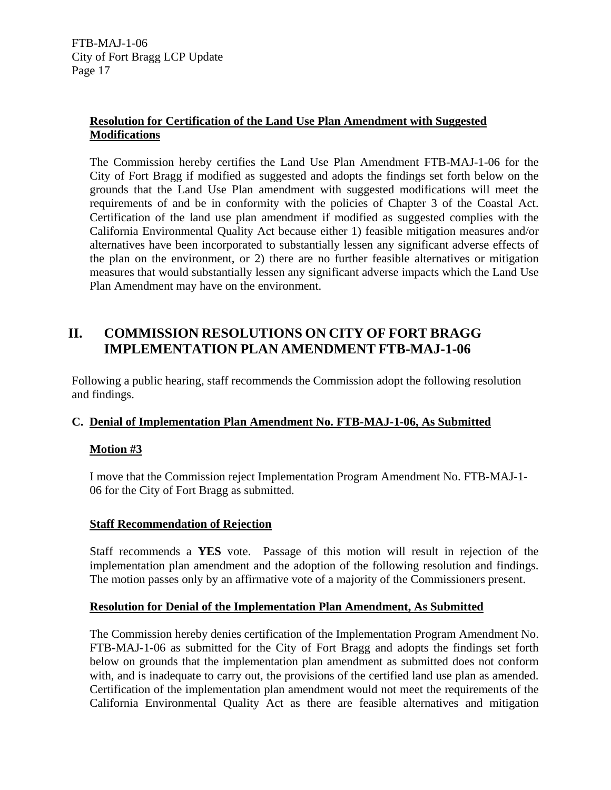## **Resolution for Certification of the Land Use Plan Amendment with Suggested Modifications**

The Commission hereby certifies the Land Use Plan Amendment FTB-MAJ-1-06 for the City of Fort Bragg if modified as suggested and adopts the findings set forth below on the grounds that the Land Use Plan amendment with suggested modifications will meet the requirements of and be in conformity with the policies of Chapter 3 of the Coastal Act. Certification of the land use plan amendment if modified as suggested complies with the California Environmental Quality Act because either 1) feasible mitigation measures and/or alternatives have been incorporated to substantially lessen any significant adverse effects of the plan on the environment, or 2) there are no further feasible alternatives or mitigation measures that would substantially lessen any significant adverse impacts which the Land Use Plan Amendment may have on the environment.

# **II. COMMISSION RESOLUTIONS ON CITY OF FORT BRAGG IMPLEMENTATION PLAN AMENDMENT FTB-MAJ-1-06**

Following a public hearing, staff recommends the Commission adopt the following resolution and findings.

## **C. Denial of Implementation Plan Amendment No. FTB-MAJ-1-06, As Submitted**

## **Motion #3**

I move that the Commission reject Implementation Program Amendment No. FTB-MAJ-1- 06 for the City of Fort Bragg as submitted.

## **Staff Recommendation of Rejection**

Staff recommends a **YES** vote. Passage of this motion will result in rejection of the implementation plan amendment and the adoption of the following resolution and findings. The motion passes only by an affirmative vote of a majority of the Commissioners present.

#### **Resolution for Denial of the Implementation Plan Amendment, As Submitted**

The Commission hereby denies certification of the Implementation Program Amendment No. FTB-MAJ-1-06 as submitted for the City of Fort Bragg and adopts the findings set forth below on grounds that the implementation plan amendment as submitted does not conform with, and is inadequate to carry out, the provisions of the certified land use plan as amended. Certification of the implementation plan amendment would not meet the requirements of the California Environmental Quality Act as there are feasible alternatives and mitigation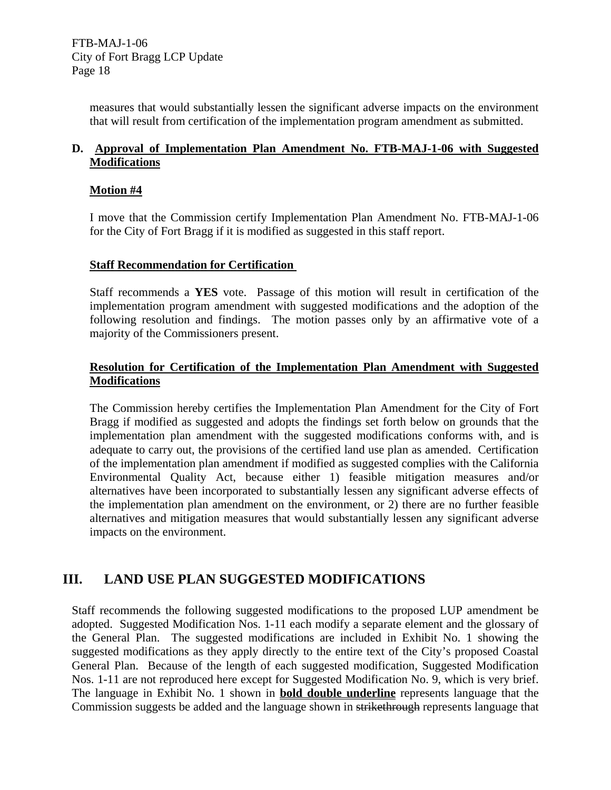> measures that would substantially lessen the significant adverse impacts on the environment that will result from certification of the implementation program amendment as submitted.

### **D. Approval of Implementation Plan Amendment No. FTB-MAJ-1-06 with Suggested Modifications**

#### **Motion #4**

I move that the Commission certify Implementation Plan Amendment No. FTB-MAJ-1-06 for the City of Fort Bragg if it is modified as suggested in this staff report.

#### **Staff Recommendation for Certification**

Staff recommends a **YES** vote. Passage of this motion will result in certification of the implementation program amendment with suggested modifications and the adoption of the following resolution and findings. The motion passes only by an affirmative vote of a majority of the Commissioners present.

### **Resolution for Certification of the Implementation Plan Amendment with Suggested Modifications**

The Commission hereby certifies the Implementation Plan Amendment for the City of Fort Bragg if modified as suggested and adopts the findings set forth below on grounds that the implementation plan amendment with the suggested modifications conforms with, and is adequate to carry out, the provisions of the certified land use plan as amended. Certification of the implementation plan amendment if modified as suggested complies with the California Environmental Quality Act, because either 1) feasible mitigation measures and/or alternatives have been incorporated to substantially lessen any significant adverse effects of the implementation plan amendment on the environment, or 2) there are no further feasible alternatives and mitigation measures that would substantially lessen any significant adverse impacts on the environment.

## **III. LAND USE PLAN SUGGESTED MODIFICATIONS**

Staff recommends the following suggested modifications to the proposed LUP amendment be adopted. Suggested Modification Nos. 1-11 each modify a separate element and the glossary of the General Plan. The suggested modifications are included in Exhibit No. 1 showing the suggested modifications as they apply directly to the entire text of the City's proposed Coastal General Plan. Because of the length of each suggested modification, Suggested Modification Nos. 1-11 are not reproduced here except for Suggested Modification No. 9, which is very brief. The language in Exhibit No. 1 shown in **bold double underline** represents language that the Commission suggests be added and the language shown in strikethrough represents language that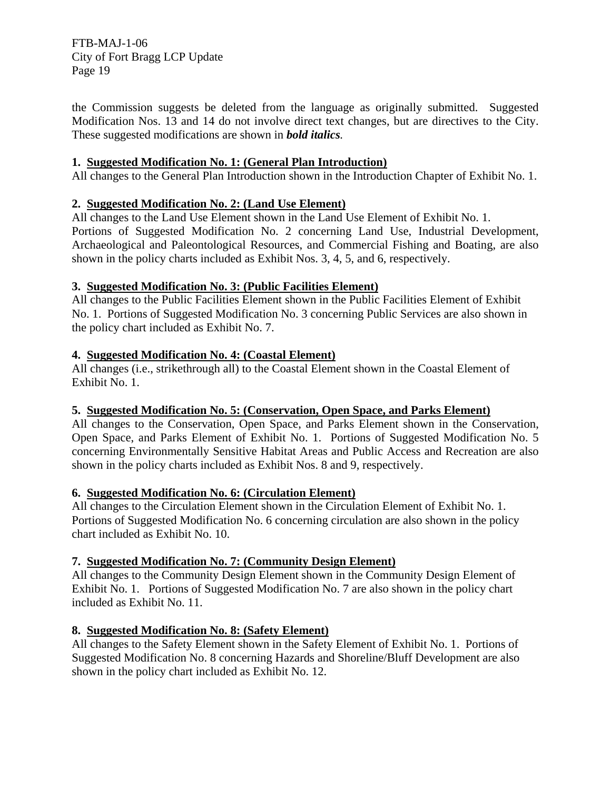the Commission suggests be deleted from the language as originally submitted. Suggested Modification Nos. 13 and 14 do not involve direct text changes, but are directives to the City. These suggested modifications are shown in *bold italics.*

### **1. Suggested Modification No. 1: (General Plan Introduction)**

All changes to the General Plan Introduction shown in the Introduction Chapter of Exhibit No. 1.

#### **2. Suggested Modification No. 2: (Land Use Element)**

All changes to the Land Use Element shown in the Land Use Element of Exhibit No. 1. Portions of Suggested Modification No. 2 concerning Land Use, Industrial Development, Archaeological and Paleontological Resources, and Commercial Fishing and Boating, are also shown in the policy charts included as Exhibit Nos. 3, 4, 5, and 6, respectively.

#### **3. Suggested Modification No. 3: (Public Facilities Element)**

All changes to the Public Facilities Element shown in the Public Facilities Element of Exhibit No. 1. Portions of Suggested Modification No. 3 concerning Public Services are also shown in the policy chart included as Exhibit No. 7.

### **4. Suggested Modification No. 4: (Coastal Element)**

All changes (i.e., strikethrough all) to the Coastal Element shown in the Coastal Element of Exhibit No. 1.

#### **5. Suggested Modification No. 5: (Conservation, Open Space, and Parks Element)**

All changes to the Conservation, Open Space, and Parks Element shown in the Conservation, Open Space, and Parks Element of Exhibit No. 1. Portions of Suggested Modification No. 5 concerning Environmentally Sensitive Habitat Areas and Public Access and Recreation are also shown in the policy charts included as Exhibit Nos. 8 and 9, respectively.

#### **6. Suggested Modification No. 6: (Circulation Element)**

All changes to the Circulation Element shown in the Circulation Element of Exhibit No. 1. Portions of Suggested Modification No. 6 concerning circulation are also shown in the policy chart included as Exhibit No. 10.

#### **7. Suggested Modification No. 7: (Community Design Element)**

All changes to the Community Design Element shown in the Community Design Element of Exhibit No. 1. Portions of Suggested Modification No. 7 are also shown in the policy chart included as Exhibit No. 11.

#### **8. Suggested Modification No. 8: (Safety Element)**

All changes to the Safety Element shown in the Safety Element of Exhibit No. 1. Portions of Suggested Modification No. 8 concerning Hazards and Shoreline/Bluff Development are also shown in the policy chart included as Exhibit No. 12.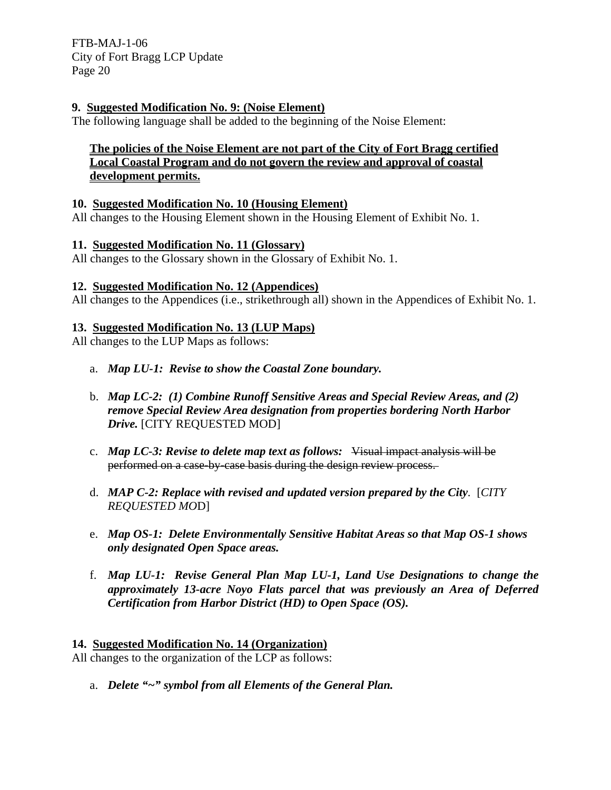#### **9. Suggested Modification No. 9: (Noise Element)**

The following language shall be added to the beginning of the Noise Element:

## **The policies of the Noise Element are not part of the City of Fort Bragg certified Local Coastal Program and do not govern the review and approval of coastal development permits.**

#### **10. Suggested Modification No. 10 (Housing Element)**

All changes to the Housing Element shown in the Housing Element of Exhibit No. 1.

#### **11. Suggested Modification No. 11 (Glossary)**

All changes to the Glossary shown in the Glossary of Exhibit No. 1.

#### **12. Suggested Modification No. 12 (Appendices)**

All changes to the Appendices (i.e., strikethrough all) shown in the Appendices of Exhibit No. 1.

#### **13. Suggested Modification No. 13 (LUP Maps)**

All changes to the LUP Maps as follows:

- a. *Map LU-1: Revise to show the Coastal Zone boundary.*
- b. *Map LC-2: (1) Combine Runoff Sensitive Areas and Special Review Areas, and (2) remove Special Review Area designation from properties bordering North Harbor Drive.* [CITY REQUESTED MOD]
- c. *Map LC-3: Revise to delete map text as follows:* Visual impact analysis will be performed on a case-by-case basis during the design review process.
- d. *MAP C-2: Replace with revised and updated version prepared by the City.* [*CITY REQUESTED MO*D]
- e. *Map OS-1: Delete Environmentally Sensitive Habitat Areas so that Map OS-1 shows only designated Open Space areas.*
- f. *Map LU-1: Revise General Plan Map LU-1, Land Use Designations to change the approximately 13-acre Noyo Flats parcel that was previously an Area of Deferred Certification from Harbor District (HD) to Open Space (OS).*

# **14. Suggested Modification No. 14 (Organization)**

All changes to the organization of the LCP as follows:

a. *Delete "~" symbol from all Elements of the General Plan.*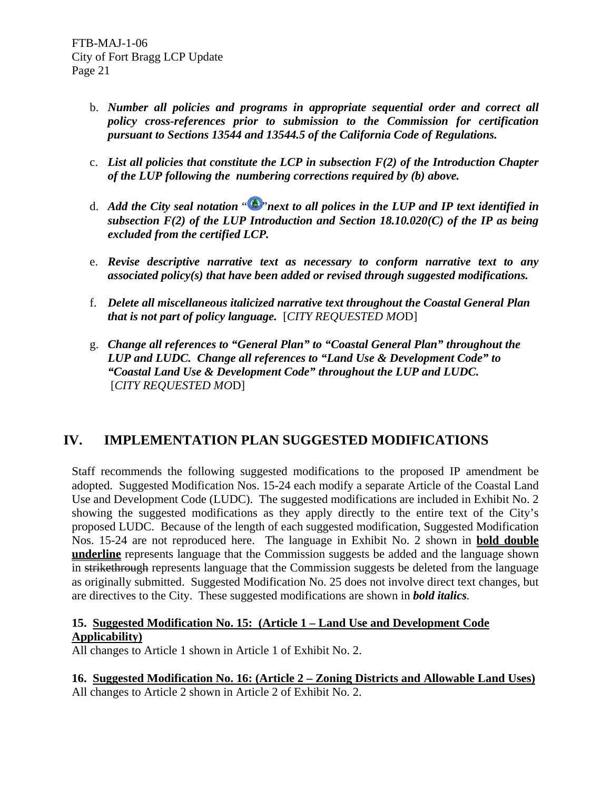- b. *Number all policies and programs in appropriate sequential order and correct all policy cross-references prior to submission to the Commission for certification pursuant to Sections 13544 and 13544.5 of the California Code of Regulations.*
- c. *List all policies that constitute the LCP in subsection F(2) of the Introduction Chapter of the LUP following the numbering corrections required by (b) above.*
- d. *Add the City seal notation* " "*next to all polices in the LUP and IP text identified in subsection F(2) of the LUP Introduction and Section 18.10.020(C) of the IP as being excluded from the certified LCP.*
- e. *Revise descriptive narrative text as necessary to conform narrative text to any associated policy(s) that have been added or revised through suggested modifications.*
- f. *Delete all miscellaneous italicized narrative text throughout the Coastal General Plan that is not part of policy language.* [*CITY REQUESTED MO*D]
- g. *Change all references to "General Plan" to "Coastal General Plan" throughout the LUP and LUDC. Change all references to "Land Use & Development Code" to "Coastal Land Use & Development Code" throughout the LUP and LUDC.* [*CITY REQUESTED MO*D]

## **IV. IMPLEMENTATION PLAN SUGGESTED MODIFICATIONS**

Staff recommends the following suggested modifications to the proposed IP amendment be adopted. Suggested Modification Nos. 15-24 each modify a separate Article of the Coastal Land Use and Development Code (LUDC). The suggested modifications are included in Exhibit No. 2 showing the suggested modifications as they apply directly to the entire text of the City's proposed LUDC. Because of the length of each suggested modification, Suggested Modification Nos. 15-24 are not reproduced here. The language in Exhibit No. 2 shown in **bold double underline** represents language that the Commission suggests be added and the language shown in strikethrough represents language that the Commission suggests be deleted from the language as originally submitted. Suggested Modification No. 25 does not involve direct text changes, but are directives to the City. These suggested modifications are shown in *bold italics.*

## **15. Suggested Modification No. 15: (Article 1 – Land Use and Development Code Applicability)**

All changes to Article 1 shown in Article 1 of Exhibit No. 2.

**16. Suggested Modification No. 16: (Article 2 – Zoning Districts and Allowable Land Uses)** All changes to Article 2 shown in Article 2 of Exhibit No. 2.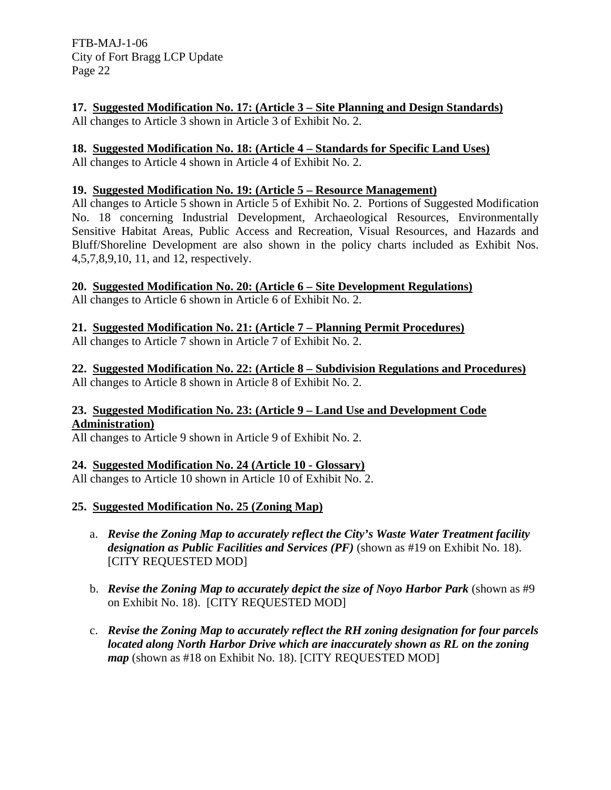**17. Suggested Modification No. 17: (Article 3 – Site Planning and Design Standards)** All changes to Article 3 shown in Article 3 of Exhibit No. 2.

## **18. Suggested Modification No. 18: (Article 4 – Standards for Specific Land Uses)**

All changes to Article 4 shown in Article 4 of Exhibit No. 2.

### **19. Suggested Modification No. 19: (Article 5 – Resource Management)**

All changes to Article 5 shown in Article 5 of Exhibit No. 2. Portions of Suggested Modification No. 18 concerning Industrial Development, Archaeological Resources, Environmentally Sensitive Habitat Areas, Public Access and Recreation, Visual Resources, and Hazards and Bluff/Shoreline Development are also shown in the policy charts included as Exhibit Nos. 4,5,7,8,9,10, 11, and 12, respectively.

## **20. Suggested Modification No. 20: (Article 6 – Site Development Regulations)**

All changes to Article 6 shown in Article 6 of Exhibit No. 2.

## **21. Suggested Modification No. 21: (Article 7 – Planning Permit Procedures)**

All changes to Article 7 shown in Article 7 of Exhibit No. 2.

**22. Suggested Modification No. 22: (Article 8 – Subdivision Regulations and Procedures)** All changes to Article 8 shown in Article 8 of Exhibit No. 2.

### **23. Suggested Modification No. 23: (Article 9 – Land Use and Development Code Administration)**

All changes to Article 9 shown in Article 9 of Exhibit No. 2.

## **24. Suggested Modification No. 24 (Article 10 - Glossary)**

All changes to Article 10 shown in Article 10 of Exhibit No. 2.

## **25. Suggested Modification No. 25 (Zoning Map)**

- a. *Revise the Zoning Map to accurately reflect the City's Waste Water Treatment facility designation as Public Facilities and Services (PF)* (shown as #19 on Exhibit No. 18). [CITY REQUESTED MOD]
- b. *Revise the Zoning Map to accurately depict the size of Noyo Harbor Park* (shown as #9 on Exhibit No. 18).[CITY REQUESTED MOD]
- c. *Revise the Zoning Map to accurately reflect the RH zoning designation for four parcels located along North Harbor Drive which are inaccurately shown as RL on the zoning map* (shown as #18 on Exhibit No. 18). [CITY REQUESTED MOD]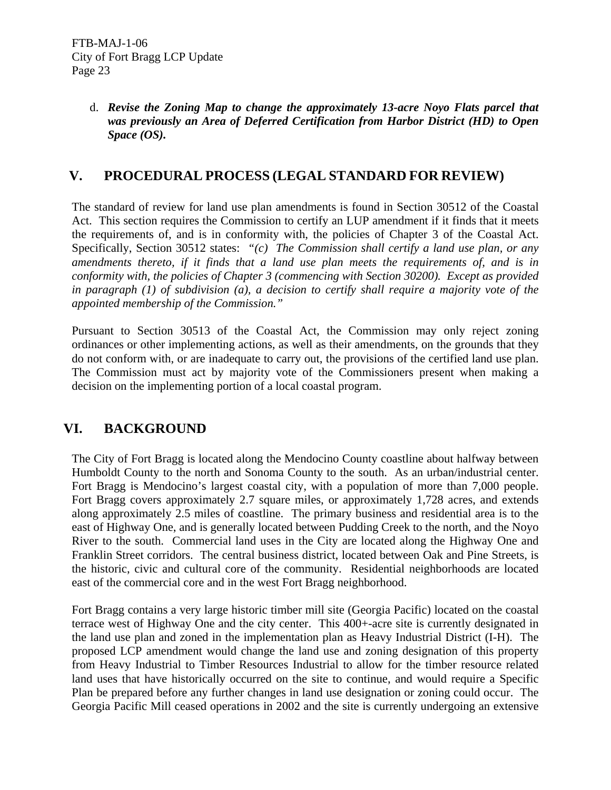d. *Revise the Zoning Map to change the approximately 13-acre Noyo Flats parcel that was previously an Area of Deferred Certification from Harbor District (HD) to Open Space (OS).* 

## **V. PROCEDURAL PROCESS (LEGAL STANDARD FOR REVIEW)**

The standard of review for land use plan amendments is found in Section 30512 of the Coastal Act. This section requires the Commission to certify an LUP amendment if it finds that it meets the requirements of, and is in conformity with, the policies of Chapter 3 of the Coastal Act. Specifically, Section 30512 states: *"(c) The Commission shall certify a land use plan, or any amendments thereto, if it finds that a land use plan meets the requirements of, and is in conformity with, the policies of Chapter 3 (commencing with Section 30200). Except as provided in paragraph (1) of subdivision (a), a decision to certify shall require a majority vote of the appointed membership of the Commission."* 

Pursuant to Section 30513 of the Coastal Act, the Commission may only reject zoning ordinances or other implementing actions, as well as their amendments, on the grounds that they do not conform with, or are inadequate to carry out, the provisions of the certified land use plan. The Commission must act by majority vote of the Commissioners present when making a decision on the implementing portion of a local coastal program.

## **VI. BACKGROUND**

The City of Fort Bragg is located along the Mendocino County coastline about halfway between Humboldt County to the north and Sonoma County to the south. As an urban/industrial center. Fort Bragg is Mendocino's largest coastal city, with a population of more than 7,000 people. Fort Bragg covers approximately 2.7 square miles, or approximately 1,728 acres, and extends along approximately 2.5 miles of coastline. The primary business and residential area is to the east of Highway One, and is generally located between Pudding Creek to the north, and the Noyo River to the south. Commercial land uses in the City are located along the Highway One and Franklin Street corridors. The central business district, located between Oak and Pine Streets, is the historic, civic and cultural core of the community. Residential neighborhoods are located east of the commercial core and in the west Fort Bragg neighborhood.

Fort Bragg contains a very large historic timber mill site (Georgia Pacific) located on the coastal terrace west of Highway One and the city center. This 400+-acre site is currently designated in the land use plan and zoned in the implementation plan as Heavy Industrial District (I-H). The proposed LCP amendment would change the land use and zoning designation of this property from Heavy Industrial to Timber Resources Industrial to allow for the timber resource related land uses that have historically occurred on the site to continue, and would require a Specific Plan be prepared before any further changes in land use designation or zoning could occur. The Georgia Pacific Mill ceased operations in 2002 and the site is currently undergoing an extensive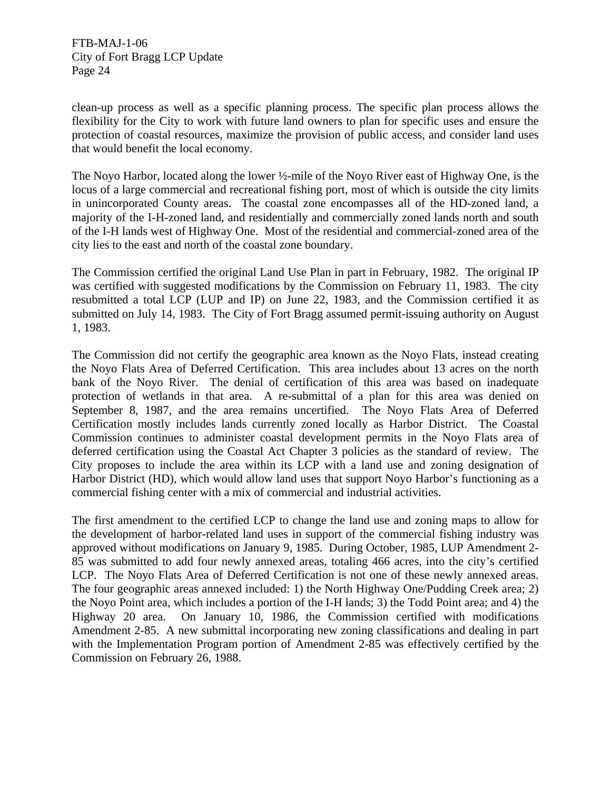clean-up process as well as a specific planning process. The specific plan process allows the flexibility for the City to work with future land owners to plan for specific uses and ensure the protection of coastal resources, maximize the provision of public access, and consider land uses that would benefit the local economy.

The Noyo Harbor, located along the lower ½-mile of the Noyo River east of Highway One, is the locus of a large commercial and recreational fishing port, most of which is outside the city limits in unincorporated County areas. The coastal zone encompasses all of the HD-zoned land, a majority of the I-H-zoned land, and residentially and commercially zoned lands north and south of the I-H lands west of Highway One. Most of the residential and commercial-zoned area of the city lies to the east and north of the coastal zone boundary.

The Commission certified the original Land Use Plan in part in February, 1982. The original IP was certified with suggested modifications by the Commission on February 11, 1983. The city resubmitted a total LCP (LUP and IP) on June 22, 1983, and the Commission certified it as submitted on July 14, 1983. The City of Fort Bragg assumed permit-issuing authority on August 1, 1983.

The Commission did not certify the geographic area known as the Noyo Flats, instead creating the Noyo Flats Area of Deferred Certification. This area includes about 13 acres on the north bank of the Noyo River. The denial of certification of this area was based on inadequate protection of wetlands in that area. A re-submittal of a plan for this area was denied on September 8, 1987, and the area remains uncertified. The Noyo Flats Area of Deferred Certification mostly includes lands currently zoned locally as Harbor District. The Coastal Commission continues to administer coastal development permits in the Noyo Flats area of deferred certification using the Coastal Act Chapter 3 policies as the standard of review. The City proposes to include the area within its LCP with a land use and zoning designation of Harbor District (HD), which would allow land uses that support Noyo Harbor's functioning as a commercial fishing center with a mix of commercial and industrial activities.

The first amendment to the certified LCP to change the land use and zoning maps to allow for the development of harbor-related land uses in support of the commercial fishing industry was approved without modifications on January 9, 1985. During October, 1985, LUP Amendment 2- 85 was submitted to add four newly annexed areas, totaling 466 acres, into the city's certified LCP. The Noyo Flats Area of Deferred Certification is not one of these newly annexed areas. The four geographic areas annexed included: 1) the North Highway One/Pudding Creek area; 2) the Noyo Point area, which includes a portion of the I-H lands; 3) the Todd Point area; and 4) the Highway 20 area. On January 10, 1986, the Commission certified with modifications Amendment 2-85. A new submittal incorporating new zoning classifications and dealing in part with the Implementation Program portion of Amendment 2-85 was effectively certified by the Commission on February 26, 1988.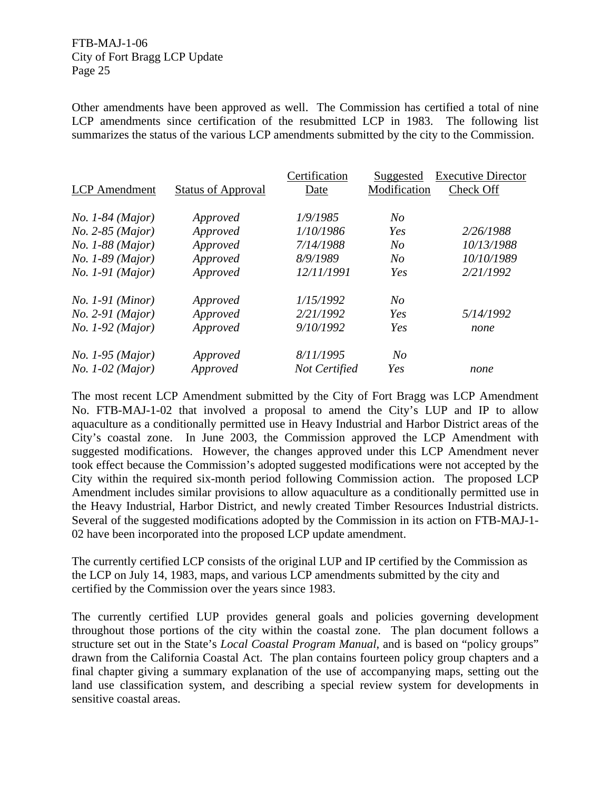Other amendments have been approved as well. The Commission has certified a total of nine LCP amendments since certification of the resubmitted LCP in 1983. The following list summarizes the status of the various LCP amendments submitted by the city to the Commission.

|                      |                           | Certification | Suggested      | <b>Executive Director</b> |
|----------------------|---------------------------|---------------|----------------|---------------------------|
| <b>LCP</b> Amendment | <b>Status of Approval</b> | Date          | Modification   | Check Off                 |
| $No. 1-84 (Major)$   | Approved                  | 1/9/1985      | No             |                           |
| $No. 2-85 (Major)$   | Approved                  | 1/10/1986     | Yes            | 2/26/1988                 |
| $No. 1-88 (Major)$   | Approved                  | 7/14/1988     | N <sub>O</sub> | 10/13/1988                |
| $No. 1-89 (Major)$   | Approved                  | 8/9/1989      | No             | 10/10/1989                |
| $No. 1-91 (Major)$   | Approved                  | 12/11/1991    | Yes            | 2/21/1992                 |
| $No. 1-91 (Minor)$   | Approved                  | 1/15/1992     | No             |                           |
| $No. 2-91 (Major)$   | Approved                  | 2/21/1992     | Yes            | 5/14/1992                 |
| $No. 1-92 (Major)$   | Approved                  | 9/10/1992     | Yes            | none                      |
| $No. 1-95 (Major)$   | Approved                  | 8/11/1995     | N <sub>O</sub> |                           |
| $No. 1-02 (Major)$   | Approved                  | Not Certified | Yes            | none                      |

The most recent LCP Amendment submitted by the City of Fort Bragg was LCP Amendment No. FTB-MAJ-1-02 that involved a proposal to amend the City's LUP and IP to allow aquaculture as a conditionally permitted use in Heavy Industrial and Harbor District areas of the City's coastal zone. In June 2003, the Commission approved the LCP Amendment with suggested modifications. However, the changes approved under this LCP Amendment never took effect because the Commission's adopted suggested modifications were not accepted by the City within the required six-month period following Commission action. The proposed LCP Amendment includes similar provisions to allow aquaculture as a conditionally permitted use in the Heavy Industrial, Harbor District, and newly created Timber Resources Industrial districts. Several of the suggested modifications adopted by the Commission in its action on FTB-MAJ-1- 02 have been incorporated into the proposed LCP update amendment.

The currently certified LCP consists of the original LUP and IP certified by the Commission as the LCP on July 14, 1983, maps, and various LCP amendments submitted by the city and certified by the Commission over the years since 1983.

The currently certified LUP provides general goals and policies governing development throughout those portions of the city within the coastal zone. The plan document follows a structure set out in the State's *Local Coastal Program Manual*, and is based on "policy groups" drawn from the California Coastal Act. The plan contains fourteen policy group chapters and a final chapter giving a summary explanation of the use of accompanying maps, setting out the land use classification system, and describing a special review system for developments in sensitive coastal areas.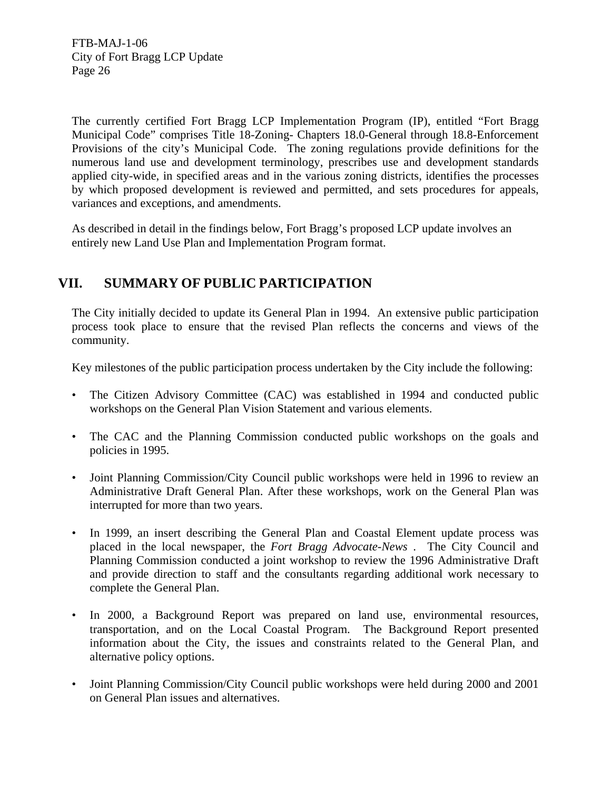The currently certified Fort Bragg LCP Implementation Program (IP), entitled "Fort Bragg Municipal Code" comprises Title 18-Zoning- Chapters 18.0-General through 18.8-Enforcement Provisions of the city's Municipal Code. The zoning regulations provide definitions for the numerous land use and development terminology, prescribes use and development standards applied city-wide, in specified areas and in the various zoning districts, identifies the processes by which proposed development is reviewed and permitted, and sets procedures for appeals, variances and exceptions, and amendments.

As described in detail in the findings below, Fort Bragg's proposed LCP update involves an entirely new Land Use Plan and Implementation Program format.

# **VII. SUMMARY OF PUBLIC PARTICIPATION**

The City initially decided to update its General Plan in 1994. An extensive public participation process took place to ensure that the revised Plan reflects the concerns and views of the community.

Key milestones of the public participation process undertaken by the City include the following:

- The Citizen Advisory Committee (CAC) was established in 1994 and conducted public workshops on the General Plan Vision Statement and various elements.
- The CAC and the Planning Commission conducted public workshops on the goals and policies in 1995.
- Joint Planning Commission/City Council public workshops were held in 1996 to review an Administrative Draft General Plan. After these workshops, work on the General Plan was interrupted for more than two years.
- In 1999, an insert describing the General Plan and Coastal Element update process was placed in the local newspaper, the *Fort Bragg Advocate-News* . The City Council and Planning Commission conducted a joint workshop to review the 1996 Administrative Draft and provide direction to staff and the consultants regarding additional work necessary to complete the General Plan.
- In 2000, a Background Report was prepared on land use, environmental resources, transportation, and on the Local Coastal Program. The Background Report presented information about the City, the issues and constraints related to the General Plan, and alternative policy options.
- Joint Planning Commission/City Council public workshops were held during 2000 and 2001 on General Plan issues and alternatives.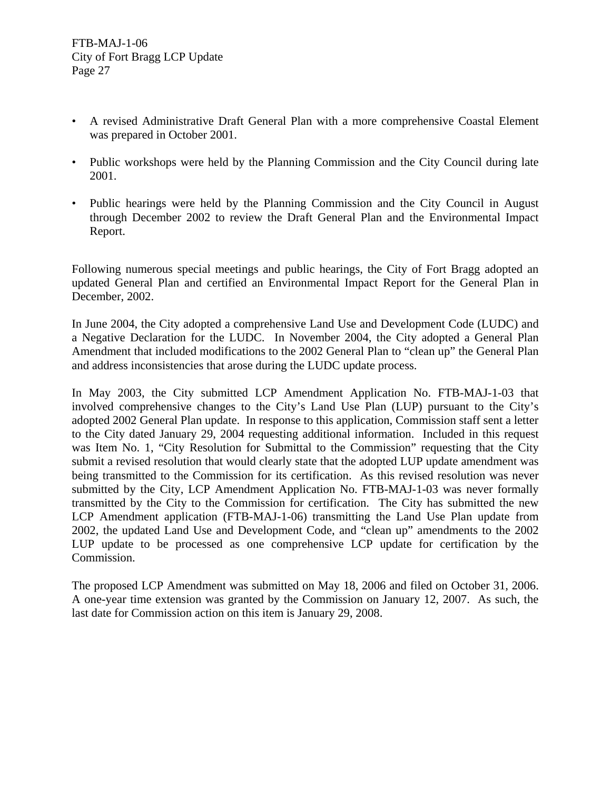- A revised Administrative Draft General Plan with a more comprehensive Coastal Element was prepared in October 2001.
- Public workshops were held by the Planning Commission and the City Council during late 2001.
- Public hearings were held by the Planning Commission and the City Council in August through December 2002 to review the Draft General Plan and the Environmental Impact Report.

Following numerous special meetings and public hearings, the City of Fort Bragg adopted an updated General Plan and certified an Environmental Impact Report for the General Plan in December, 2002.

In June 2004, the City adopted a comprehensive Land Use and Development Code (LUDC) and a Negative Declaration for the LUDC. In November 2004, the City adopted a General Plan Amendment that included modifications to the 2002 General Plan to "clean up" the General Plan and address inconsistencies that arose during the LUDC update process.

In May 2003, the City submitted LCP Amendment Application No. FTB-MAJ-1-03 that involved comprehensive changes to the City's Land Use Plan (LUP) pursuant to the City's adopted 2002 General Plan update. In response to this application, Commission staff sent a letter to the City dated January 29, 2004 requesting additional information. Included in this request was Item No. 1, "City Resolution for Submittal to the Commission" requesting that the City submit a revised resolution that would clearly state that the adopted LUP update amendment was being transmitted to the Commission for its certification. As this revised resolution was never submitted by the City, LCP Amendment Application No. FTB-MAJ-1-03 was never formally transmitted by the City to the Commission for certification. The City has submitted the new LCP Amendment application (FTB-MAJ-1-06) transmitting the Land Use Plan update from 2002, the updated Land Use and Development Code, and "clean up" amendments to the 2002 LUP update to be processed as one comprehensive LCP update for certification by the Commission.

The proposed LCP Amendment was submitted on May 18, 2006 and filed on October 31, 2006. A one-year time extension was granted by the Commission on January 12, 2007. As such, the last date for Commission action on this item is January 29, 2008.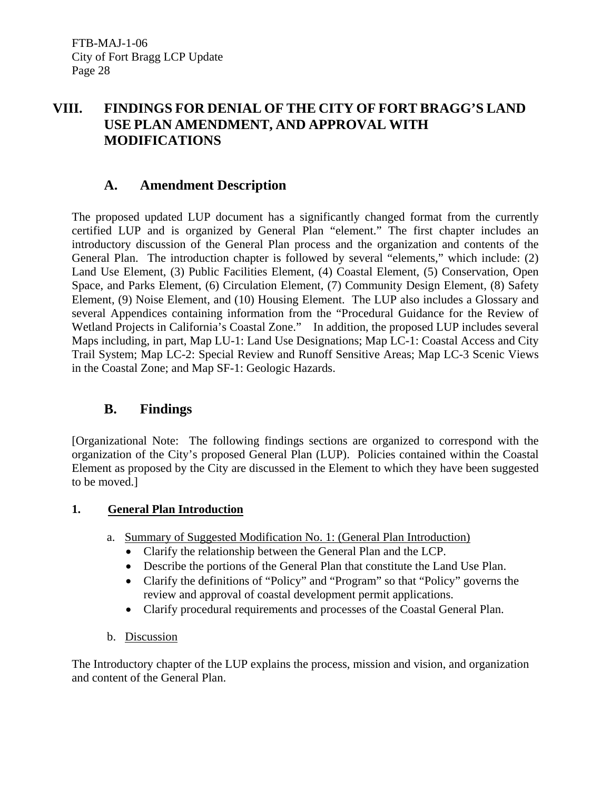## **VIII. FINDINGS FOR DENIAL OF THE CITY OF FORT BRAGG'S LAND USE PLAN AMENDMENT, AND APPROVAL WITH MODIFICATIONS**

## **A. Amendment Description**

The proposed updated LUP document has a significantly changed format from the currently certified LUP and is organized by General Plan "element." The first chapter includes an introductory discussion of the General Plan process and the organization and contents of the General Plan. The introduction chapter is followed by several "elements," which include: (2) Land Use Element, (3) Public Facilities Element, (4) Coastal Element, (5) Conservation, Open Space, and Parks Element, (6) Circulation Element, (7) Community Design Element, (8) Safety Element, (9) Noise Element, and (10) Housing Element. The LUP also includes a Glossary and several Appendices containing information from the "Procedural Guidance for the Review of Wetland Projects in California's Coastal Zone." In addition, the proposed LUP includes several Maps including, in part, Map LU-1: Land Use Designations; Map LC-1: Coastal Access and City Trail System; Map LC-2: Special Review and Runoff Sensitive Areas; Map LC-3 Scenic Views in the Coastal Zone; and Map SF-1: Geologic Hazards.

## **B. Findings**

[Organizational Note: The following findings sections are organized to correspond with the organization of the City's proposed General Plan (LUP). Policies contained within the Coastal Element as proposed by the City are discussed in the Element to which they have been suggested to be moved.]

## **1. General Plan Introduction**

- a. Summary of Suggested Modification No. 1: (General Plan Introduction)
	- Clarify the relationship between the General Plan and the LCP.
	- Describe the portions of the General Plan that constitute the Land Use Plan.
	- Clarify the definitions of "Policy" and "Program" so that "Policy" governs the review and approval of coastal development permit applications.
	- Clarify procedural requirements and processes of the Coastal General Plan.
- b. Discussion

The Introductory chapter of the LUP explains the process, mission and vision, and organization and content of the General Plan.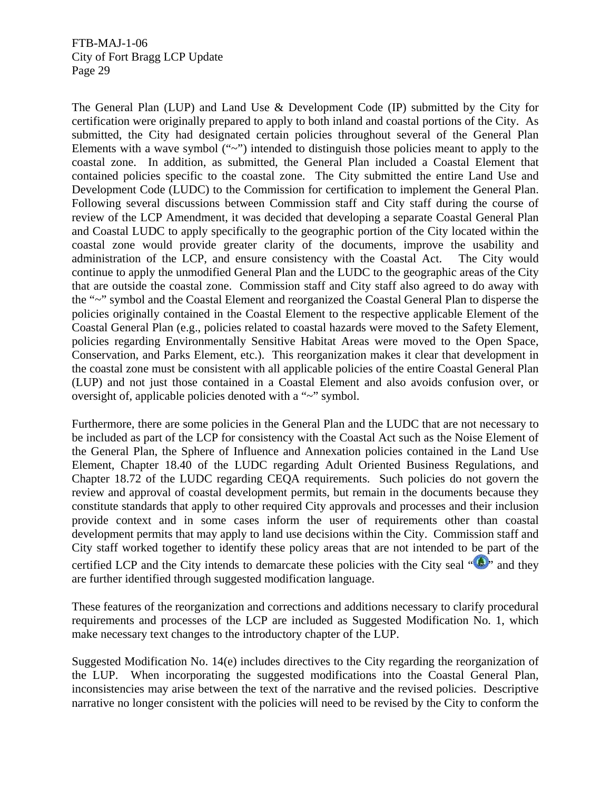The General Plan (LUP) and Land Use & Development Code (IP) submitted by the City for certification were originally prepared to apply to both inland and coastal portions of the City. As submitted, the City had designated certain policies throughout several of the General Plan Elements with a wave symbol  $(4\gamma)$  intended to distinguish those policies meant to apply to the coastal zone. In addition, as submitted, the General Plan included a Coastal Element that contained policies specific to the coastal zone. The City submitted the entire Land Use and Development Code (LUDC) to the Commission for certification to implement the General Plan. Following several discussions between Commission staff and City staff during the course of review of the LCP Amendment, it was decided that developing a separate Coastal General Plan and Coastal LUDC to apply specifically to the geographic portion of the City located within the coastal zone would provide greater clarity of the documents, improve the usability and administration of the LCP, and ensure consistency with the Coastal Act. The City would continue to apply the unmodified General Plan and the LUDC to the geographic areas of the City that are outside the coastal zone. Commission staff and City staff also agreed to do away with the "~" symbol and the Coastal Element and reorganized the Coastal General Plan to disperse the policies originally contained in the Coastal Element to the respective applicable Element of the Coastal General Plan (e.g., policies related to coastal hazards were moved to the Safety Element, policies regarding Environmentally Sensitive Habitat Areas were moved to the Open Space, Conservation, and Parks Element, etc.). This reorganization makes it clear that development in the coastal zone must be consistent with all applicable policies of the entire Coastal General Plan (LUP) and not just those contained in a Coastal Element and also avoids confusion over, or oversight of, applicable policies denoted with a "~" symbol.

Furthermore, there are some policies in the General Plan and the LUDC that are not necessary to be included as part of the LCP for consistency with the Coastal Act such as the Noise Element of the General Plan, the Sphere of Influence and Annexation policies contained in the Land Use Element, Chapter 18.40 of the LUDC regarding Adult Oriented Business Regulations, and Chapter 18.72 of the LUDC regarding CEQA requirements. Such policies do not govern the review and approval of coastal development permits, but remain in the documents because they constitute standards that apply to other required City approvals and processes and their inclusion provide context and in some cases inform the user of requirements other than coastal development permits that may apply to land use decisions within the City. Commission staff and City staff worked together to identify these policy areas that are not intended to be part of the certified LCP and the City intends to demarcate these policies with the City seal " $\bullet$ " and they are further identified through suggested modification language.

These features of the reorganization and corrections and additions necessary to clarify procedural requirements and processes of the LCP are included as Suggested Modification No. 1, which make necessary text changes to the introductory chapter of the LUP.

Suggested Modification No. 14(e) includes directives to the City regarding the reorganization of the LUP. When incorporating the suggested modifications into the Coastal General Plan, inconsistencies may arise between the text of the narrative and the revised policies. Descriptive narrative no longer consistent with the policies will need to be revised by the City to conform the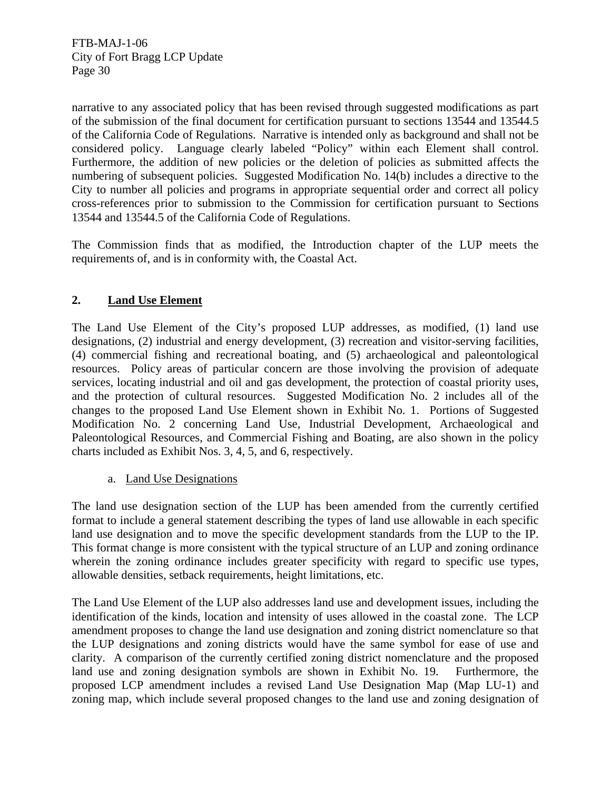narrative to any associated policy that has been revised through suggested modifications as part of the submission of the final document for certification pursuant to sections 13544 and 13544.5 of the California Code of Regulations. Narrative is intended only as background and shall not be considered policy. Language clearly labeled "Policy" within each Element shall control. Furthermore, the addition of new policies or the deletion of policies as submitted affects the numbering of subsequent policies. Suggested Modification No. 14(b) includes a directive to the City to number all policies and programs in appropriate sequential order and correct all policy cross-references prior to submission to the Commission for certification pursuant to Sections 13544 and 13544.5 of the California Code of Regulations.

The Commission finds that as modified, the Introduction chapter of the LUP meets the requirements of, and is in conformity with, the Coastal Act.

## **2. Land Use Element**

The Land Use Element of the City's proposed LUP addresses, as modified, (1) land use designations, (2) industrial and energy development, (3) recreation and visitor-serving facilities, (4) commercial fishing and recreational boating, and (5) archaeological and paleontological resources. Policy areas of particular concern are those involving the provision of adequate services, locating industrial and oil and gas development, the protection of coastal priority uses, and the protection of cultural resources. Suggested Modification No. 2 includes all of the changes to the proposed Land Use Element shown in Exhibit No. 1. Portions of Suggested Modification No. 2 concerning Land Use, Industrial Development, Archaeological and Paleontological Resources, and Commercial Fishing and Boating, are also shown in the policy charts included as Exhibit Nos. 3, 4, 5, and 6, respectively.

#### a. Land Use Designations

The land use designation section of the LUP has been amended from the currently certified format to include a general statement describing the types of land use allowable in each specific land use designation and to move the specific development standards from the LUP to the IP. This format change is more consistent with the typical structure of an LUP and zoning ordinance wherein the zoning ordinance includes greater specificity with regard to specific use types, allowable densities, setback requirements, height limitations, etc.

The Land Use Element of the LUP also addresses land use and development issues, including the identification of the kinds, location and intensity of uses allowed in the coastal zone. The LCP amendment proposes to change the land use designation and zoning district nomenclature so that the LUP designations and zoning districts would have the same symbol for ease of use and clarity. A comparison of the currently certified zoning district nomenclature and the proposed land use and zoning designation symbols are shown in Exhibit No. 19. Furthermore, the proposed LCP amendment includes a revised Land Use Designation Map (Map LU-1) and zoning map, which include several proposed changes to the land use and zoning designation of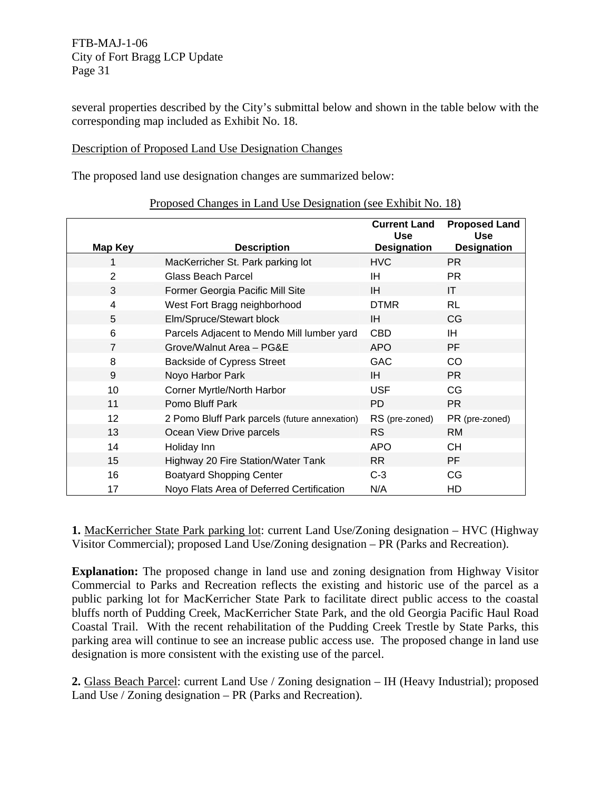several properties described by the City's submittal below and shown in the table below with the corresponding map included as Exhibit No. 18.

#### Description of Proposed Land Use Designation Changes

The proposed land use designation changes are summarized below:

|                |                                               | <b>Current Land</b><br><b>Use</b> | <b>Proposed Land</b><br><b>Use</b> |
|----------------|-----------------------------------------------|-----------------------------------|------------------------------------|
| <b>Map Key</b> | <b>Description</b>                            | <b>Designation</b>                | <b>Designation</b>                 |
|                | MacKerricher St. Park parking lot             | <b>HVC</b>                        | PR.                                |
| $\overline{2}$ | <b>Glass Beach Parcel</b>                     | ΙH                                | PR.                                |
| 3              | Former Georgia Pacific Mill Site              | IH                                | IT                                 |
| 4              | West Fort Bragg neighborhood                  | <b>DTMR</b>                       | <b>RL</b>                          |
| 5              | Elm/Spruce/Stewart block                      | IH                                | CG                                 |
| $6\phantom{1}$ | Parcels Adjacent to Mendo Mill lumber yard    | <b>CBD</b>                        | IH.                                |
| $\overline{7}$ | Grove/Walnut Area - PG&E                      | <b>APO</b>                        | <b>PF</b>                          |
| 8              | <b>Backside of Cypress Street</b>             | <b>GAC</b>                        | CO                                 |
| 9              | Noyo Harbor Park                              | IH                                | <b>PR</b>                          |
| 10             | Corner Myrtle/North Harbor                    | <b>USF</b>                        | CG                                 |
| 11             | Pomo Bluff Park                               | <b>PD</b>                         | <b>PR</b>                          |
| 12             | 2 Pomo Bluff Park parcels (future annexation) | RS (pre-zoned)                    | PR (pre-zoned)                     |
| 13             | Ocean View Drive parcels                      | <b>RS</b>                         | <b>RM</b>                          |
| 14             | Holiday Inn                                   | <b>APO</b>                        | <b>CH</b>                          |
| 15             | Highway 20 Fire Station/Water Tank            | <b>RR</b>                         | <b>PF</b>                          |
| 16             | <b>Boatyard Shopping Center</b>               | $C-3$                             | CG                                 |
| 17             | Noyo Flats Area of Deferred Certification     | N/A                               | HD                                 |

#### Proposed Changes in Land Use Designation (see Exhibit No. 18)

**1.** MacKerricher State Park parking lot: current Land Use/Zoning designation – HVC (Highway Visitor Commercial); proposed Land Use/Zoning designation – PR (Parks and Recreation).

**Explanation:** The proposed change in land use and zoning designation from Highway Visitor Commercial to Parks and Recreation reflects the existing and historic use of the parcel as a public parking lot for MacKerricher State Park to facilitate direct public access to the coastal bluffs north of Pudding Creek, MacKerricher State Park, and the old Georgia Pacific Haul Road Coastal Trail. With the recent rehabilitation of the Pudding Creek Trestle by State Parks, this parking area will continue to see an increase public access use. The proposed change in land use designation is more consistent with the existing use of the parcel.

**2.** Glass Beach Parcel: current Land Use / Zoning designation – IH (Heavy Industrial); proposed Land Use / Zoning designation – PR (Parks and Recreation).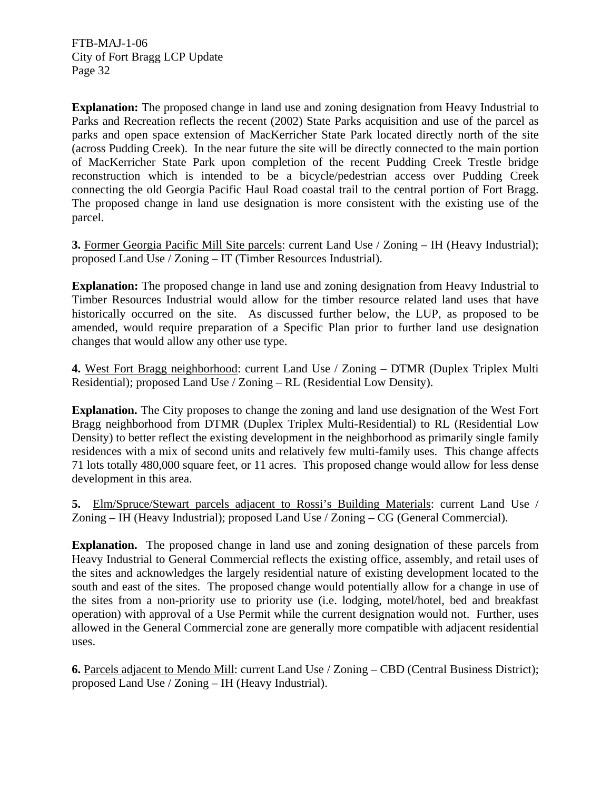**Explanation:** The proposed change in land use and zoning designation from Heavy Industrial to Parks and Recreation reflects the recent (2002) State Parks acquisition and use of the parcel as parks and open space extension of MacKerricher State Park located directly north of the site (across Pudding Creek). In the near future the site will be directly connected to the main portion of MacKerricher State Park upon completion of the recent Pudding Creek Trestle bridge reconstruction which is intended to be a bicycle/pedestrian access over Pudding Creek connecting the old Georgia Pacific Haul Road coastal trail to the central portion of Fort Bragg. The proposed change in land use designation is more consistent with the existing use of the parcel.

**3.** Former Georgia Pacific Mill Site parcels: current Land Use / Zoning – IH (Heavy Industrial); proposed Land Use / Zoning – IT (Timber Resources Industrial).

**Explanation:** The proposed change in land use and zoning designation from Heavy Industrial to Timber Resources Industrial would allow for the timber resource related land uses that have historically occurred on the site. As discussed further below, the LUP, as proposed to be amended, would require preparation of a Specific Plan prior to further land use designation changes that would allow any other use type.

**4.** West Fort Bragg neighborhood: current Land Use / Zoning – DTMR (Duplex Triplex Multi Residential); proposed Land Use / Zoning – RL (Residential Low Density).

**Explanation.** The City proposes to change the zoning and land use designation of the West Fort Bragg neighborhood from DTMR (Duplex Triplex Multi-Residential) to RL (Residential Low Density) to better reflect the existing development in the neighborhood as primarily single family residences with a mix of second units and relatively few multi-family uses. This change affects 71 lots totally 480,000 square feet, or 11 acres. This proposed change would allow for less dense development in this area.

**5.** Elm/Spruce/Stewart parcels adjacent to Rossi's Building Materials: current Land Use / Zoning – IH (Heavy Industrial); proposed Land Use / Zoning – CG (General Commercial).

**Explanation.** The proposed change in land use and zoning designation of these parcels from Heavy Industrial to General Commercial reflects the existing office, assembly, and retail uses of the sites and acknowledges the largely residential nature of existing development located to the south and east of the sites. The proposed change would potentially allow for a change in use of the sites from a non-priority use to priority use (i.e. lodging, motel/hotel, bed and breakfast operation) with approval of a Use Permit while the current designation would not. Further, uses allowed in the General Commercial zone are generally more compatible with adjacent residential uses.

**6.** Parcels adjacent to Mendo Mill: current Land Use / Zoning – CBD (Central Business District); proposed Land Use / Zoning – IH (Heavy Industrial).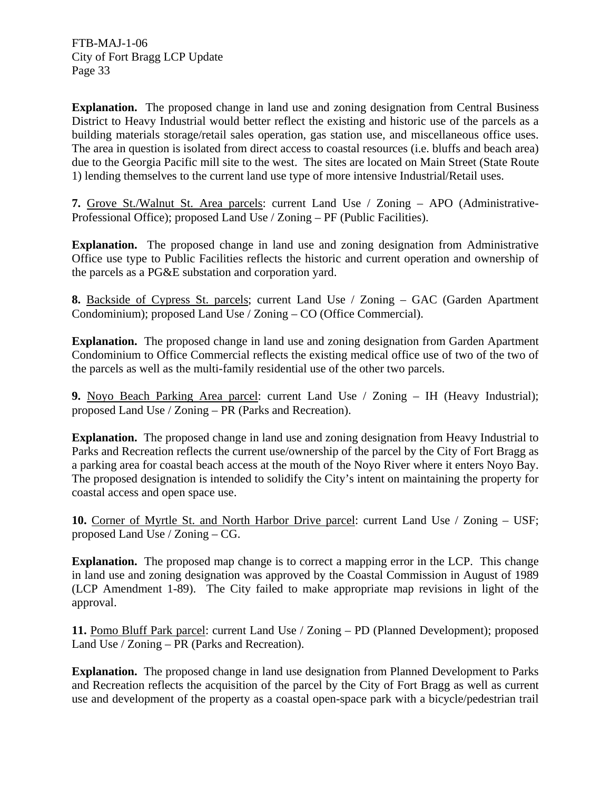**Explanation.** The proposed change in land use and zoning designation from Central Business District to Heavy Industrial would better reflect the existing and historic use of the parcels as a building materials storage/retail sales operation, gas station use, and miscellaneous office uses. The area in question is isolated from direct access to coastal resources (i.e. bluffs and beach area) due to the Georgia Pacific mill site to the west. The sites are located on Main Street (State Route 1) lending themselves to the current land use type of more intensive Industrial/Retail uses.

**7.** Grove St./Walnut St. Area parcels: current Land Use / Zoning – APO (Administrative-Professional Office); proposed Land Use / Zoning – PF (Public Facilities).

**Explanation.** The proposed change in land use and zoning designation from Administrative Office use type to Public Facilities reflects the historic and current operation and ownership of the parcels as a PG&E substation and corporation yard.

**8.** Backside of Cypress St. parcels; current Land Use / Zoning – GAC (Garden Apartment Condominium); proposed Land Use / Zoning – CO (Office Commercial).

**Explanation.** The proposed change in land use and zoning designation from Garden Apartment Condominium to Office Commercial reflects the existing medical office use of two of the two of the parcels as well as the multi-family residential use of the other two parcels.

**9.** Noyo Beach Parking Area parcel: current Land Use / Zoning – IH (Heavy Industrial); proposed Land Use / Zoning – PR (Parks and Recreation).

**Explanation.** The proposed change in land use and zoning designation from Heavy Industrial to Parks and Recreation reflects the current use/ownership of the parcel by the City of Fort Bragg as a parking area for coastal beach access at the mouth of the Noyo River where it enters Noyo Bay. The proposed designation is intended to solidify the City's intent on maintaining the property for coastal access and open space use.

**10.** Corner of Myrtle St. and North Harbor Drive parcel: current Land Use / Zoning – USF; proposed Land Use / Zoning – CG.

**Explanation.** The proposed map change is to correct a mapping error in the LCP. This change in land use and zoning designation was approved by the Coastal Commission in August of 1989 (LCP Amendment 1-89). The City failed to make appropriate map revisions in light of the approval.

**11.** Pomo Bluff Park parcel: current Land Use / Zoning – PD (Planned Development); proposed Land Use / Zoning – PR (Parks and Recreation).

**Explanation.** The proposed change in land use designation from Planned Development to Parks and Recreation reflects the acquisition of the parcel by the City of Fort Bragg as well as current use and development of the property as a coastal open-space park with a bicycle/pedestrian trail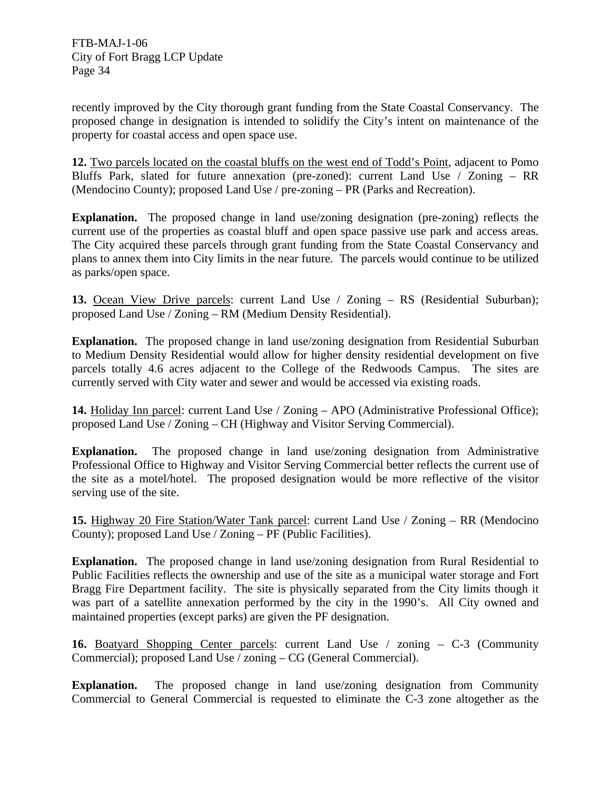recently improved by the City thorough grant funding from the State Coastal Conservancy. The proposed change in designation is intended to solidify the City's intent on maintenance of the property for coastal access and open space use.

**12.** Two parcels located on the coastal bluffs on the west end of Todd's Point, adjacent to Pomo Bluffs Park, slated for future annexation (pre-zoned): current Land Use / Zoning – RR (Mendocino County); proposed Land Use / pre-zoning – PR (Parks and Recreation).

**Explanation.** The proposed change in land use/zoning designation (pre-zoning) reflects the current use of the properties as coastal bluff and open space passive use park and access areas. The City acquired these parcels through grant funding from the State Coastal Conservancy and plans to annex them into City limits in the near future. The parcels would continue to be utilized as parks/open space.

**13.** Ocean View Drive parcels: current Land Use / Zoning – RS (Residential Suburban); proposed Land Use / Zoning – RM (Medium Density Residential).

**Explanation.** The proposed change in land use/zoning designation from Residential Suburban to Medium Density Residential would allow for higher density residential development on five parcels totally 4.6 acres adjacent to the College of the Redwoods Campus. The sites are currently served with City water and sewer and would be accessed via existing roads.

**14.** Holiday Inn parcel: current Land Use / Zoning – APO (Administrative Professional Office); proposed Land Use / Zoning – CH (Highway and Visitor Serving Commercial).

**Explanation.** The proposed change in land use/zoning designation from Administrative Professional Office to Highway and Visitor Serving Commercial better reflects the current use of the site as a motel/hotel. The proposed designation would be more reflective of the visitor serving use of the site.

**15.** Highway 20 Fire Station/Water Tank parcel: current Land Use / Zoning – RR (Mendocino County); proposed Land Use / Zoning – PF (Public Facilities).

**Explanation.** The proposed change in land use/zoning designation from Rural Residential to Public Facilities reflects the ownership and use of the site as a municipal water storage and Fort Bragg Fire Department facility. The site is physically separated from the City limits though it was part of a satellite annexation performed by the city in the 1990's. All City owned and maintained properties (except parks) are given the PF designation.

**16.** Boatyard Shopping Center parcels: current Land Use / zoning – C-3 (Community Commercial); proposed Land Use / zoning – CG (General Commercial).

**Explanation.** The proposed change in land use/zoning designation from Community Commercial to General Commercial is requested to eliminate the C-3 zone altogether as the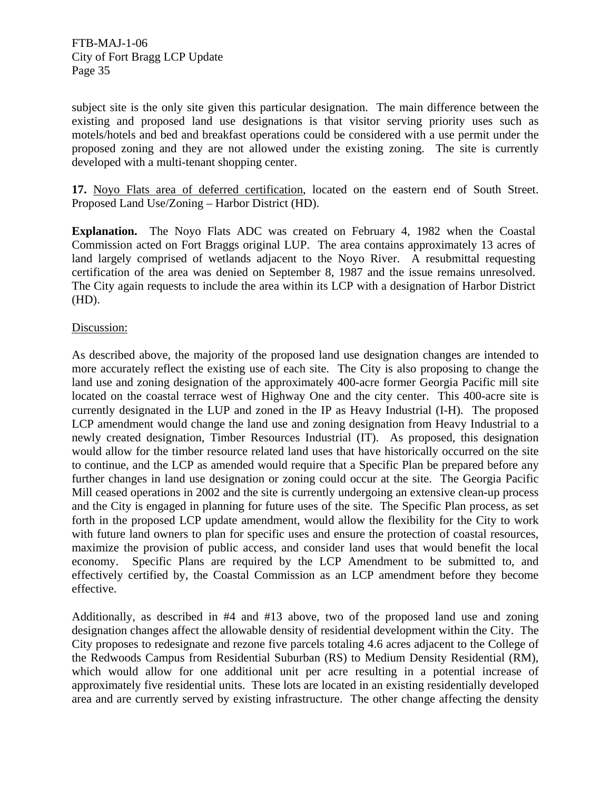subject site is the only site given this particular designation. The main difference between the existing and proposed land use designations is that visitor serving priority uses such as motels/hotels and bed and breakfast operations could be considered with a use permit under the proposed zoning and they are not allowed under the existing zoning. The site is currently developed with a multi-tenant shopping center.

**17.** Noyo Flats area of deferred certification, located on the eastern end of South Street. Proposed Land Use/Zoning – Harbor District (HD).

**Explanation.** The Noyo Flats ADC was created on February 4, 1982 when the Coastal Commission acted on Fort Braggs original LUP. The area contains approximately 13 acres of land largely comprised of wetlands adjacent to the Noyo River. A resubmittal requesting certification of the area was denied on September 8, 1987 and the issue remains unresolved. The City again requests to include the area within its LCP with a designation of Harbor District (HD).

#### Discussion:

As described above, the majority of the proposed land use designation changes are intended to more accurately reflect the existing use of each site. The City is also proposing to change the land use and zoning designation of the approximately 400-acre former Georgia Pacific mill site located on the coastal terrace west of Highway One and the city center. This 400-acre site is currently designated in the LUP and zoned in the IP as Heavy Industrial (I-H). The proposed LCP amendment would change the land use and zoning designation from Heavy Industrial to a newly created designation, Timber Resources Industrial (IT). As proposed, this designation would allow for the timber resource related land uses that have historically occurred on the site to continue, and the LCP as amended would require that a Specific Plan be prepared before any further changes in land use designation or zoning could occur at the site. The Georgia Pacific Mill ceased operations in 2002 and the site is currently undergoing an extensive clean-up process and the City is engaged in planning for future uses of the site. The Specific Plan process, as set forth in the proposed LCP update amendment, would allow the flexibility for the City to work with future land owners to plan for specific uses and ensure the protection of coastal resources, maximize the provision of public access, and consider land uses that would benefit the local economy. Specific Plans are required by the LCP Amendment to be submitted to, and effectively certified by, the Coastal Commission as an LCP amendment before they become effective.

Additionally, as described in #4 and #13 above, two of the proposed land use and zoning designation changes affect the allowable density of residential development within the City. The City proposes to redesignate and rezone five parcels totaling 4.6 acres adjacent to the College of the Redwoods Campus from Residential Suburban (RS) to Medium Density Residential (RM), which would allow for one additional unit per acre resulting in a potential increase of approximately five residential units. These lots are located in an existing residentially developed area and are currently served by existing infrastructure. The other change affecting the density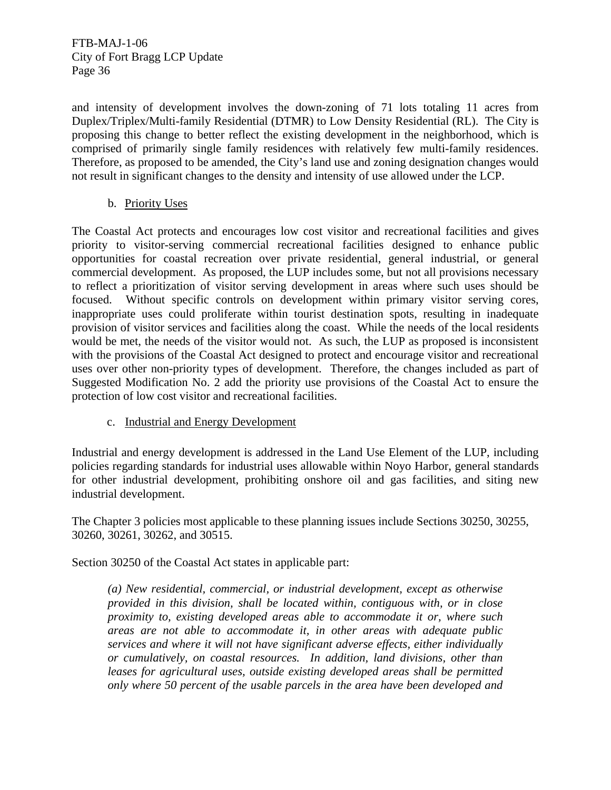and intensity of development involves the down-zoning of 71 lots totaling 11 acres from Duplex/Triplex/Multi-family Residential (DTMR) to Low Density Residential (RL). The City is proposing this change to better reflect the existing development in the neighborhood, which is comprised of primarily single family residences with relatively few multi-family residences. Therefore, as proposed to be amended, the City's land use and zoning designation changes would not result in significant changes to the density and intensity of use allowed under the LCP.

b. Priority Uses

The Coastal Act protects and encourages low cost visitor and recreational facilities and gives priority to visitor-serving commercial recreational facilities designed to enhance public opportunities for coastal recreation over private residential, general industrial, or general commercial development. As proposed, the LUP includes some, but not all provisions necessary to reflect a prioritization of visitor serving development in areas where such uses should be focused. Without specific controls on development within primary visitor serving cores, inappropriate uses could proliferate within tourist destination spots, resulting in inadequate provision of visitor services and facilities along the coast. While the needs of the local residents would be met, the needs of the visitor would not. As such, the LUP as proposed is inconsistent with the provisions of the Coastal Act designed to protect and encourage visitor and recreational uses over other non-priority types of development. Therefore, the changes included as part of Suggested Modification No. 2 add the priority use provisions of the Coastal Act to ensure the protection of low cost visitor and recreational facilities.

c. Industrial and Energy Development

Industrial and energy development is addressed in the Land Use Element of the LUP, including policies regarding standards for industrial uses allowable within Noyo Harbor, general standards for other industrial development, prohibiting onshore oil and gas facilities, and siting new industrial development.

The Chapter 3 policies most applicable to these planning issues include Sections 30250, 30255, 30260, 30261, 30262, and 30515.

Section 30250 of the Coastal Act states in applicable part:

*(a) New residential, commercial, or industrial development, except as otherwise provided in this division, shall be located within, contiguous with, or in close proximity to, existing developed areas able to accommodate it or, where such areas are not able to accommodate it, in other areas with adequate public services and where it will not have significant adverse effects, either individually or cumulatively, on coastal resources. In addition, land divisions, other than leases for agricultural uses, outside existing developed areas shall be permitted only where 50 percent of the usable parcels in the area have been developed and*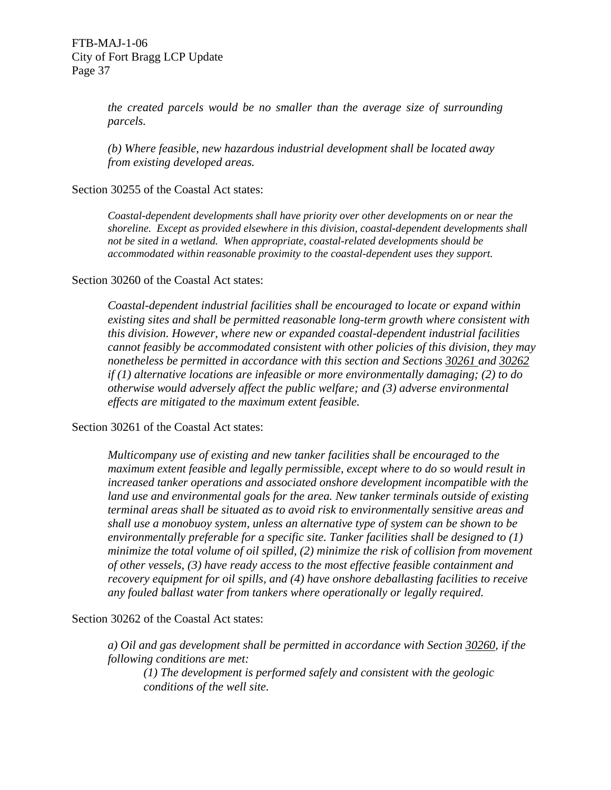*the created parcels would be no smaller than the average size of surrounding parcels.* 

*(b) Where feasible, new hazardous industrial development shall be located away from existing developed areas.* 

Section 30255 of the Coastal Act states:

 *Coastal-dependent developments shall have priority over other developments on or near the shoreline. Except as provided elsewhere in this division, coastal-dependent developments shall not be sited in a wetland. When appropriate, coastal-related developments should be accommodated within reasonable proximity to the coastal-dependent uses they support.* 

Section 30260 of the Coastal Act states:

*Coastal-dependent industrial facilities shall be encouraged to locate or expand within existing sites and shall be permitted reasonable long-term growth where consistent with this division. However, where new or expanded coastal-dependent industrial facilities cannot feasibly be accommodated consistent with other policies of this division, they may nonetheless be permitted in accordance with this section and Sections 30261 and 30262 if (1) alternative locations are infeasible or more environmentally damaging; (2) to do otherwise would adversely affect the public welfare; and (3) adverse environmental effects are mitigated to the maximum extent feasible.* 

Section 30261 of the Coastal Act states:

*Multicompany use of existing and new tanker facilities shall be encouraged to the maximum extent feasible and legally permissible, except where to do so would result in increased tanker operations and associated onshore development incompatible with the land use and environmental goals for the area. New tanker terminals outside of existing terminal areas shall be situated as to avoid risk to environmentally sensitive areas and shall use a monobuoy system, unless an alternative type of system can be shown to be environmentally preferable for a specific site. Tanker facilities shall be designed to (1) minimize the total volume of oil spilled, (2) minimize the risk of collision from movement of other vessels, (3) have ready access to the most effective feasible containment and recovery equipment for oil spills, and (4) have onshore deballasting facilities to receive any fouled ballast water from tankers where operationally or legally required.* 

Section 30262 of the Coastal Act states:

*a) Oil and gas development shall be permitted in accordance with Section 30260, if the following conditions are met:* 

*(1) The development is performed safely and consistent with the geologic conditions of the well site.*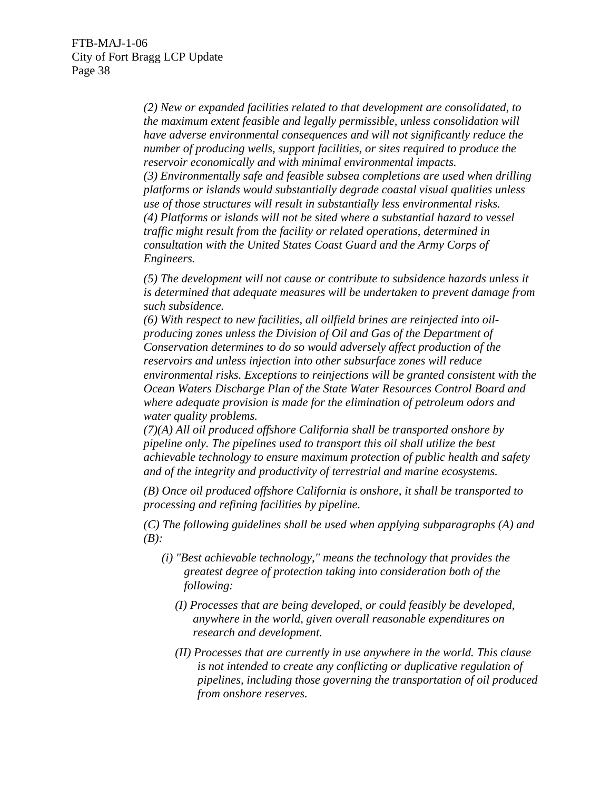*(2) New or expanded facilities related to that development are consolidated, to the maximum extent feasible and legally permissible, unless consolidation will have adverse environmental consequences and will not significantly reduce the number of producing wells, support facilities, or sites required to produce the reservoir economically and with minimal environmental impacts. (3) Environmentally safe and feasible subsea completions are used when drilling platforms or islands would substantially degrade coastal visual qualities unless use of those structures will result in substantially less environmental risks. (4) Platforms or islands will not be sited where a substantial hazard to vessel traffic might result from the facility or related operations, determined in consultation with the United States Coast Guard and the Army Corps of Engineers.* 

*(5) The development will not cause or contribute to subsidence hazards unless it is determined that adequate measures will be undertaken to prevent damage from such subsidence.* 

*(6) With respect to new facilities, all oilfield brines are reinjected into oilproducing zones unless the Division of Oil and Gas of the Department of Conservation determines to do so would adversely affect production of the reservoirs and unless injection into other subsurface zones will reduce environmental risks. Exceptions to reinjections will be granted consistent with the Ocean Waters Discharge Plan of the State Water Resources Control Board and where adequate provision is made for the elimination of petroleum odors and water quality problems.* 

*(7)(A) All oil produced offshore California shall be transported onshore by pipeline only. The pipelines used to transport this oil shall utilize the best achievable technology to ensure maximum protection of public health and safety and of the integrity and productivity of terrestrial and marine ecosystems.* 

*(B) Once oil produced offshore California is onshore, it shall be transported to processing and refining facilities by pipeline.* 

*(C) The following guidelines shall be used when applying subparagraphs (A) and (B):* 

- *(i) "Best achievable technology," means the technology that provides the greatest degree of protection taking into consideration both of the following:* 
	- *(I) Processes that are being developed, or could feasibly be developed, anywhere in the world, given overall reasonable expenditures on research and development.*
	- *(II) Processes that are currently in use anywhere in the world. This clause is not intended to create any conflicting or duplicative regulation of pipelines, including those governing the transportation of oil produced from onshore reserves.*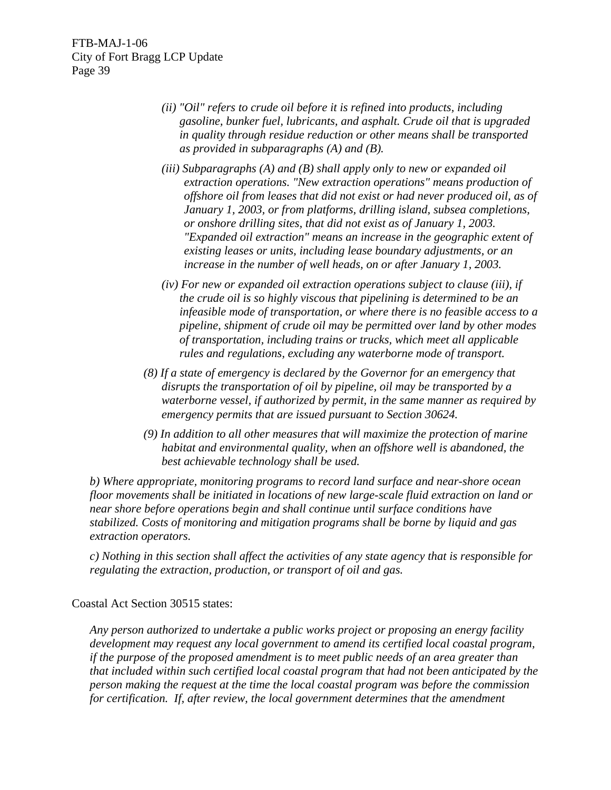- *(ii) "Oil" refers to crude oil before it is refined into products, including gasoline, bunker fuel, lubricants, and asphalt. Crude oil that is upgraded in quality through residue reduction or other means shall be transported as provided in subparagraphs (A) and (B).*
- *(iii) Subparagraphs (A) and (B) shall apply only to new or expanded oil extraction operations. "New extraction operations" means production of offshore oil from leases that did not exist or had never produced oil, as of January 1, 2003, or from platforms, drilling island, subsea completions, or onshore drilling sites, that did not exist as of January 1, 2003. "Expanded oil extraction" means an increase in the geographic extent of existing leases or units, including lease boundary adjustments, or an increase in the number of well heads, on or after January 1, 2003.*
- *(iv) For new or expanded oil extraction operations subject to clause (iii), if the crude oil is so highly viscous that pipelining is determined to be an infeasible mode of transportation, or where there is no feasible access to a pipeline, shipment of crude oil may be permitted over land by other modes of transportation, including trains or trucks, which meet all applicable rules and regulations, excluding any waterborne mode of transport.*
- *(8) If a state of emergency is declared by the Governor for an emergency that disrupts the transportation of oil by pipeline, oil may be transported by a waterborne vessel, if authorized by permit, in the same manner as required by emergency permits that are issued pursuant to Section 30624.*
- *(9) In addition to all other measures that will maximize the protection of marine habitat and environmental quality, when an offshore well is abandoned, the best achievable technology shall be used.*

*b) Where appropriate, monitoring programs to record land surface and near-shore ocean floor movements shall be initiated in locations of new large-scale fluid extraction on land or near shore before operations begin and shall continue until surface conditions have stabilized. Costs of monitoring and mitigation programs shall be borne by liquid and gas extraction operators.* 

*c) Nothing in this section shall affect the activities of any state agency that is responsible for regulating the extraction, production, or transport of oil and gas.* 

Coastal Act Section 30515 states:

 *Any person authorized to undertake a public works project or proposing an energy facility development may request any local government to amend its certified local coastal program, if the purpose of the proposed amendment is to meet public needs of an area greater than that included within such certified local coastal program that had not been anticipated by the person making the request at the time the local coastal program was before the commission*  for certification. If, after review, the local government determines that the amendment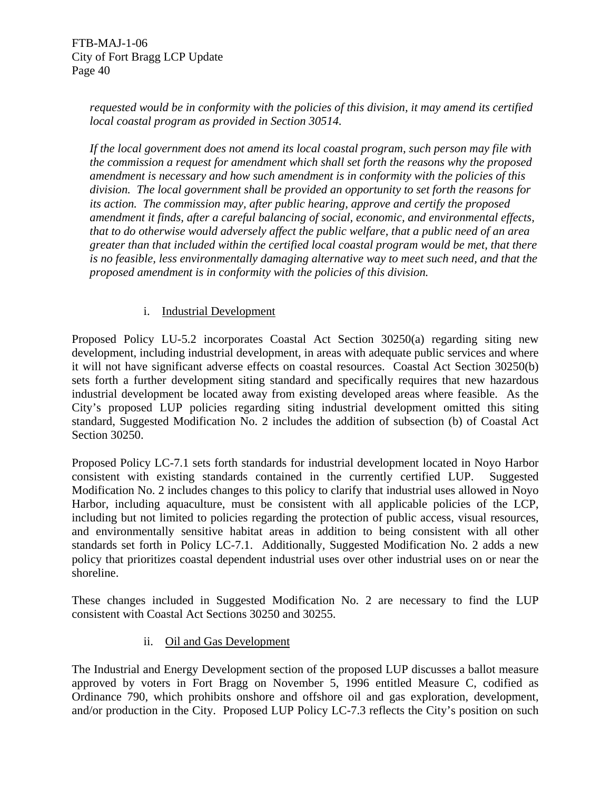*requested would be in conformity with the policies of this division, it may amend its certified local coastal program as provided in Section 30514.* 

 *If the local government does not amend its local coastal program, such person may file with the commission a request for amendment which shall set forth the reasons why the proposed amendment is necessary and how such amendment is in conformity with the policies of this division. The local government shall be provided an opportunity to set forth the reasons for its action. The commission may, after public hearing, approve and certify the proposed amendment it finds, after a careful balancing of social, economic, and environmental effects, that to do otherwise would adversely affect the public welfare, that a public need of an area greater than that included within the certified local coastal program would be met, that there is no feasible, less environmentally damaging alternative way to meet such need, and that the proposed amendment is in conformity with the policies of this division.* 

## i. Industrial Development

Proposed Policy LU-5.2 incorporates Coastal Act Section 30250(a) regarding siting new development, including industrial development, in areas with adequate public services and where it will not have significant adverse effects on coastal resources. Coastal Act Section 30250(b) sets forth a further development siting standard and specifically requires that new hazardous industrial development be located away from existing developed areas where feasible. As the City's proposed LUP policies regarding siting industrial development omitted this siting standard, Suggested Modification No. 2 includes the addition of subsection (b) of Coastal Act Section 30250.

Proposed Policy LC-7.1 sets forth standards for industrial development located in Noyo Harbor consistent with existing standards contained in the currently certified LUP. Suggested Modification No. 2 includes changes to this policy to clarify that industrial uses allowed in Noyo Harbor, including aquaculture, must be consistent with all applicable policies of the LCP, including but not limited to policies regarding the protection of public access, visual resources, and environmentally sensitive habitat areas in addition to being consistent with all other standards set forth in Policy LC-7.1. Additionally, Suggested Modification No. 2 adds a new policy that prioritizes coastal dependent industrial uses over other industrial uses on or near the shoreline.

These changes included in Suggested Modification No. 2 are necessary to find the LUP consistent with Coastal Act Sections 30250 and 30255.

## ii. Oil and Gas Development

The Industrial and Energy Development section of the proposed LUP discusses a ballot measure approved by voters in Fort Bragg on November 5, 1996 entitled Measure C, codified as Ordinance 790, which prohibits onshore and offshore oil and gas exploration, development, and/or production in the City. Proposed LUP Policy LC-7.3 reflects the City's position on such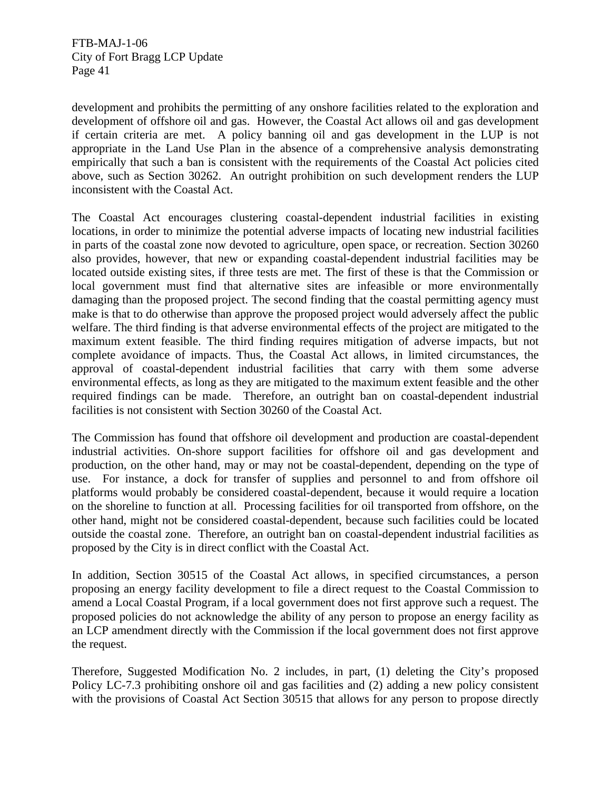development and prohibits the permitting of any onshore facilities related to the exploration and development of offshore oil and gas. However, the Coastal Act allows oil and gas development if certain criteria are met. A policy banning oil and gas development in the LUP is not appropriate in the Land Use Plan in the absence of a comprehensive analysis demonstrating empirically that such a ban is consistent with the requirements of the Coastal Act policies cited above, such as Section 30262. An outright prohibition on such development renders the LUP inconsistent with the Coastal Act.

The Coastal Act encourages clustering coastal-dependent industrial facilities in existing locations, in order to minimize the potential adverse impacts of locating new industrial facilities in parts of the coastal zone now devoted to agriculture, open space, or recreation. Section 30260 also provides, however, that new or expanding coastal-dependent industrial facilities may be located outside existing sites, if three tests are met. The first of these is that the Commission or local government must find that alternative sites are infeasible or more environmentally damaging than the proposed project. The second finding that the coastal permitting agency must make is that to do otherwise than approve the proposed project would adversely affect the public welfare. The third finding is that adverse environmental effects of the project are mitigated to the maximum extent feasible. The third finding requires mitigation of adverse impacts, but not complete avoidance of impacts. Thus, the Coastal Act allows, in limited circumstances, the approval of coastal-dependent industrial facilities that carry with them some adverse environmental effects, as long as they are mitigated to the maximum extent feasible and the other required findings can be made. Therefore, an outright ban on coastal-dependent industrial facilities is not consistent with Section 30260 of the Coastal Act.

The Commission has found that offshore oil development and production are coastal-dependent industrial activities. On-shore support facilities for offshore oil and gas development and production, on the other hand, may or may not be coastal-dependent, depending on the type of use. For instance, a dock for transfer of supplies and personnel to and from offshore oil platforms would probably be considered coastal-dependent, because it would require a location on the shoreline to function at all. Processing facilities for oil transported from offshore, on the other hand, might not be considered coastal-dependent, because such facilities could be located outside the coastal zone. Therefore, an outright ban on coastal-dependent industrial facilities as proposed by the City is in direct conflict with the Coastal Act.

In addition, Section 30515 of the Coastal Act allows, in specified circumstances, a person proposing an energy facility development to file a direct request to the Coastal Commission to amend a Local Coastal Program, if a local government does not first approve such a request. The proposed policies do not acknowledge the ability of any person to propose an energy facility as an LCP amendment directly with the Commission if the local government does not first approve the request.

Therefore, Suggested Modification No. 2 includes, in part, (1) deleting the City's proposed Policy LC-7.3 prohibiting onshore oil and gas facilities and (2) adding a new policy consistent with the provisions of Coastal Act Section 30515 that allows for any person to propose directly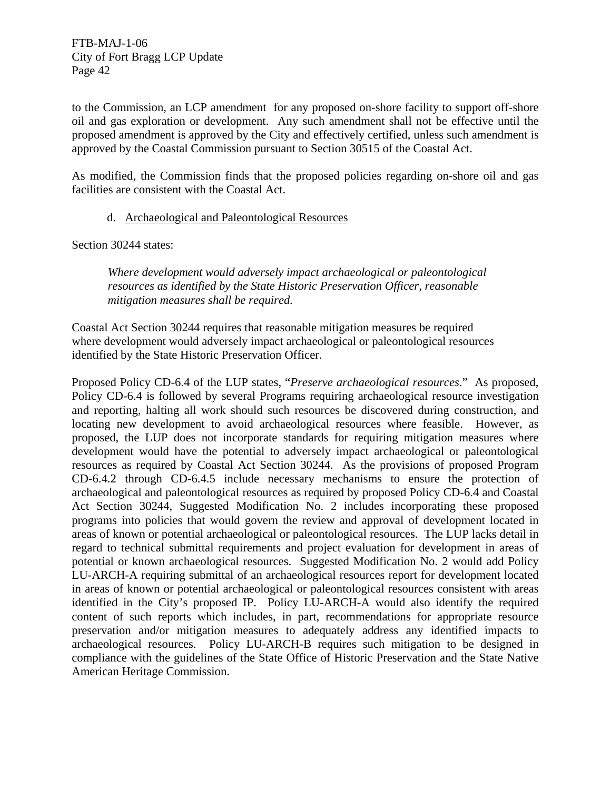to the Commission, an LCP amendment for any proposed on-shore facility to support off-shore oil and gas exploration or development. Any such amendment shall not be effective until the proposed amendment is approved by the City and effectively certified, unless such amendment is approved by the Coastal Commission pursuant to Section 30515 of the Coastal Act.

As modified, the Commission finds that the proposed policies regarding on-shore oil and gas facilities are consistent with the Coastal Act.

#### d. Archaeological and Paleontological Resources

Section 30244 states:

*Where development would adversely impact archaeological or paleontological resources as identified by the State Historic Preservation Officer, reasonable mitigation measures shall be required.* 

Coastal Act Section 30244 requires that reasonable mitigation measures be required where development would adversely impact archaeological or paleontological resources identified by the State Historic Preservation Officer.

Proposed Policy CD-6.4 of the LUP states, "*Preserve archaeological resources*." As proposed, Policy CD-6.4 is followed by several Programs requiring archaeological resource investigation and reporting, halting all work should such resources be discovered during construction, and locating new development to avoid archaeological resources where feasible. However, as proposed, the LUP does not incorporate standards for requiring mitigation measures where development would have the potential to adversely impact archaeological or paleontological resources as required by Coastal Act Section 30244. As the provisions of proposed Program CD-6.4.2 through CD-6.4.5 include necessary mechanisms to ensure the protection of archaeological and paleontological resources as required by proposed Policy CD-6.4 and Coastal Act Section 30244, Suggested Modification No. 2 includes incorporating these proposed programs into policies that would govern the review and approval of development located in areas of known or potential archaeological or paleontological resources. The LUP lacks detail in regard to technical submittal requirements and project evaluation for development in areas of potential or known archaeological resources. Suggested Modification No. 2 would add Policy LU-ARCH-A requiring submittal of an archaeological resources report for development located in areas of known or potential archaeological or paleontological resources consistent with areas identified in the City's proposed IP. Policy LU-ARCH-A would also identify the required content of such reports which includes, in part, recommendations for appropriate resource preservation and/or mitigation measures to adequately address any identified impacts to archaeological resources. Policy LU-ARCH-B requires such mitigation to be designed in compliance with the guidelines of the State Office of Historic Preservation and the State Native American Heritage Commission.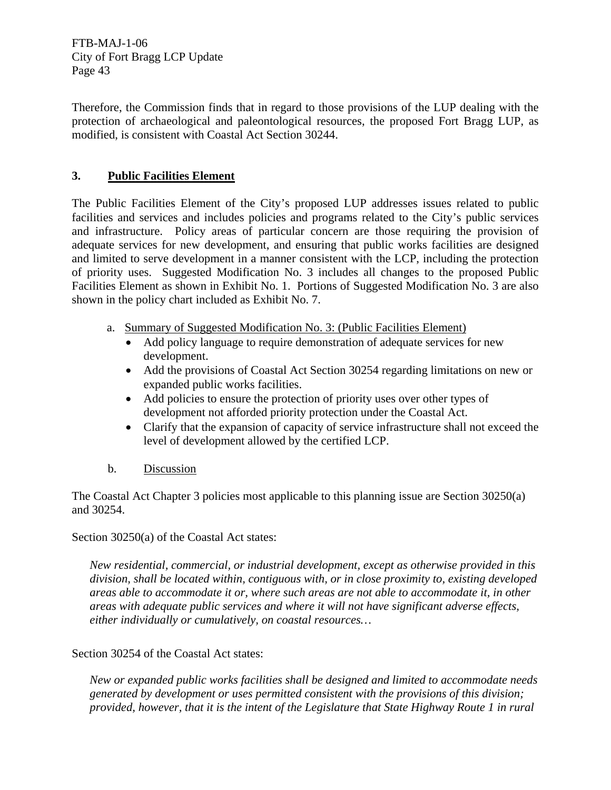Therefore, the Commission finds that in regard to those provisions of the LUP dealing with the protection of archaeological and paleontological resources, the proposed Fort Bragg LUP, as modified, is consistent with Coastal Act Section 30244.

# **3. Public Facilities Element**

The Public Facilities Element of the City's proposed LUP addresses issues related to public facilities and services and includes policies and programs related to the City's public services and infrastructure. Policy areas of particular concern are those requiring the provision of adequate services for new development, and ensuring that public works facilities are designed and limited to serve development in a manner consistent with the LCP, including the protection of priority uses. Suggested Modification No. 3 includes all changes to the proposed Public Facilities Element as shown in Exhibit No. 1. Portions of Suggested Modification No. 3 are also shown in the policy chart included as Exhibit No. 7.

- a. Summary of Suggested Modification No. 3: (Public Facilities Element)
	- Add policy language to require demonstration of adequate services for new development.
	- Add the provisions of Coastal Act Section 30254 regarding limitations on new or expanded public works facilities.
	- Add policies to ensure the protection of priority uses over other types of development not afforded priority protection under the Coastal Act.
	- Clarify that the expansion of capacity of service infrastructure shall not exceed the level of development allowed by the certified LCP.
- b. Discussion

The Coastal Act Chapter 3 policies most applicable to this planning issue are Section 30250(a) and 30254.

Section 30250(a) of the Coastal Act states:

*New residential, commercial, or industrial development, except as otherwise provided in this division, shall be located within, contiguous with, or in close proximity to, existing developed areas able to accommodate it or, where such areas are not able to accommodate it, in other areas with adequate public services and where it will not have significant adverse effects, either individually or cumulatively, on coastal resources…* 

Section 30254 of the Coastal Act states:

*New or expanded public works facilities shall be designed and limited to accommodate needs generated by development or uses permitted consistent with the provisions of this division; provided, however, that it is the intent of the Legislature that State Highway Route 1 in rural*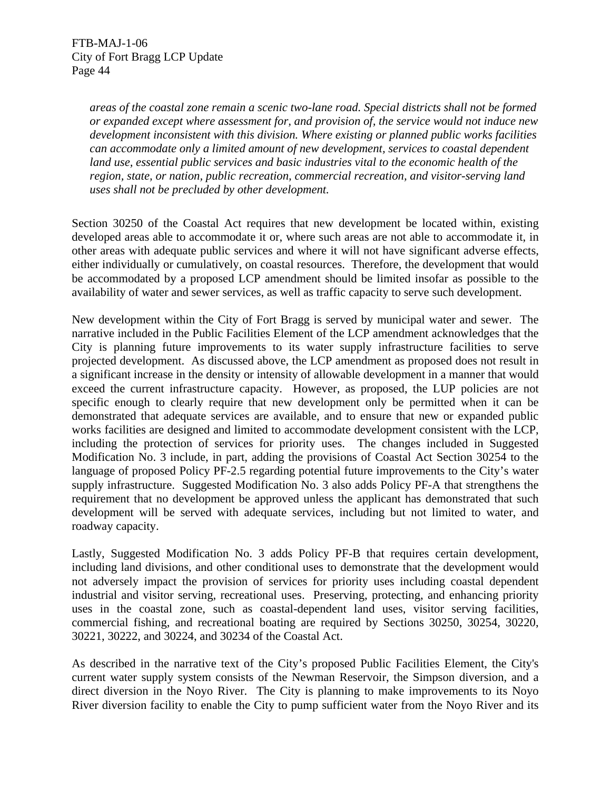*areas of the coastal zone remain a scenic two-lane road. Special districts shall not be formed or expanded except where assessment for, and provision of, the service would not induce new development inconsistent with this division. Where existing or planned public works facilities can accommodate only a limited amount of new development, services to coastal dependent land use, essential public services and basic industries vital to the economic health of the region, state, or nation, public recreation, commercial recreation, and visitor-serving land uses shall not be precluded by other development.* 

Section 30250 of the Coastal Act requires that new development be located within, existing developed areas able to accommodate it or, where such areas are not able to accommodate it, in other areas with adequate public services and where it will not have significant adverse effects, either individually or cumulatively, on coastal resources. Therefore, the development that would be accommodated by a proposed LCP amendment should be limited insofar as possible to the availability of water and sewer services, as well as traffic capacity to serve such development.

New development within the City of Fort Bragg is served by municipal water and sewer. The narrative included in the Public Facilities Element of the LCP amendment acknowledges that the City is planning future improvements to its water supply infrastructure facilities to serve projected development. As discussed above, the LCP amendment as proposed does not result in a significant increase in the density or intensity of allowable development in a manner that would exceed the current infrastructure capacity. However, as proposed, the LUP policies are not specific enough to clearly require that new development only be permitted when it can be demonstrated that adequate services are available, and to ensure that new or expanded public works facilities are designed and limited to accommodate development consistent with the LCP, including the protection of services for priority uses. The changes included in Suggested Modification No. 3 include, in part, adding the provisions of Coastal Act Section 30254 to the language of proposed Policy PF-2.5 regarding potential future improvements to the City's water supply infrastructure. Suggested Modification No. 3 also adds Policy PF-A that strengthens the requirement that no development be approved unless the applicant has demonstrated that such development will be served with adequate services, including but not limited to water, and roadway capacity.

Lastly, Suggested Modification No. 3 adds Policy PF-B that requires certain development, including land divisions, and other conditional uses to demonstrate that the development would not adversely impact the provision of services for priority uses including coastal dependent industrial and visitor serving, recreational uses. Preserving, protecting, and enhancing priority uses in the coastal zone, such as coastal-dependent land uses, visitor serving facilities, commercial fishing, and recreational boating are required by Sections 30250, 30254, 30220, 30221, 30222, and 30224, and 30234 of the Coastal Act.

As described in the narrative text of the City's proposed Public Facilities Element, the City's current water supply system consists of the Newman Reservoir, the Simpson diversion, and a direct diversion in the Noyo River. The City is planning to make improvements to its Noyo River diversion facility to enable the City to pump sufficient water from the Noyo River and its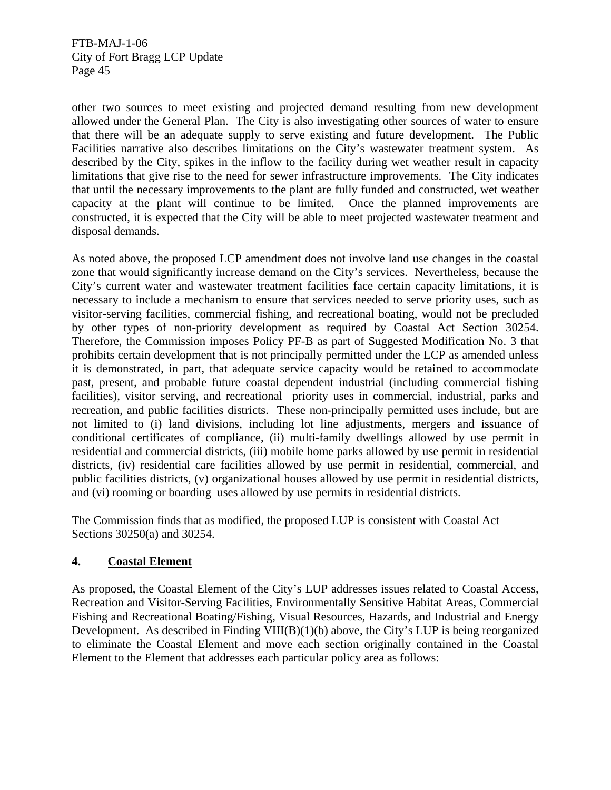other two sources to meet existing and projected demand resulting from new development allowed under the General Plan. The City is also investigating other sources of water to ensure that there will be an adequate supply to serve existing and future development. The Public Facilities narrative also describes limitations on the City's wastewater treatment system. As described by the City, spikes in the inflow to the facility during wet weather result in capacity limitations that give rise to the need for sewer infrastructure improvements. The City indicates that until the necessary improvements to the plant are fully funded and constructed, wet weather capacity at the plant will continue to be limited. Once the planned improvements are constructed, it is expected that the City will be able to meet projected wastewater treatment and disposal demands.

As noted above, the proposed LCP amendment does not involve land use changes in the coastal zone that would significantly increase demand on the City's services. Nevertheless, because the City's current water and wastewater treatment facilities face certain capacity limitations, it is necessary to include a mechanism to ensure that services needed to serve priority uses, such as visitor-serving facilities, commercial fishing, and recreational boating, would not be precluded by other types of non-priority development as required by Coastal Act Section 30254. Therefore, the Commission imposes Policy PF-B as part of Suggested Modification No. 3 that prohibits certain development that is not principally permitted under the LCP as amended unless it is demonstrated, in part, that adequate service capacity would be retained to accommodate past, present, and probable future coastal dependent industrial (including commercial fishing facilities), visitor serving, and recreational priority uses in commercial, industrial, parks and recreation, and public facilities districts. These non-principally permitted uses include, but are not limited to (i) land divisions, including lot line adjustments, mergers and issuance of conditional certificates of compliance, (ii) multi-family dwellings allowed by use permit in residential and commercial districts, (iii) mobile home parks allowed by use permit in residential districts, (iv) residential care facilities allowed by use permit in residential, commercial, and public facilities districts, (v) organizational houses allowed by use permit in residential districts, and (vi) rooming or boarding uses allowed by use permits in residential districts.

The Commission finds that as modified, the proposed LUP is consistent with Coastal Act Sections 30250(a) and 30254.

## **4. Coastal Element**

As proposed, the Coastal Element of the City's LUP addresses issues related to Coastal Access, Recreation and Visitor-Serving Facilities, Environmentally Sensitive Habitat Areas, Commercial Fishing and Recreational Boating/Fishing, Visual Resources, Hazards, and Industrial and Energy Development. As described in Finding VIII( $B$ )(1)(b) above, the City's LUP is being reorganized to eliminate the Coastal Element and move each section originally contained in the Coastal Element to the Element that addresses each particular policy area as follows: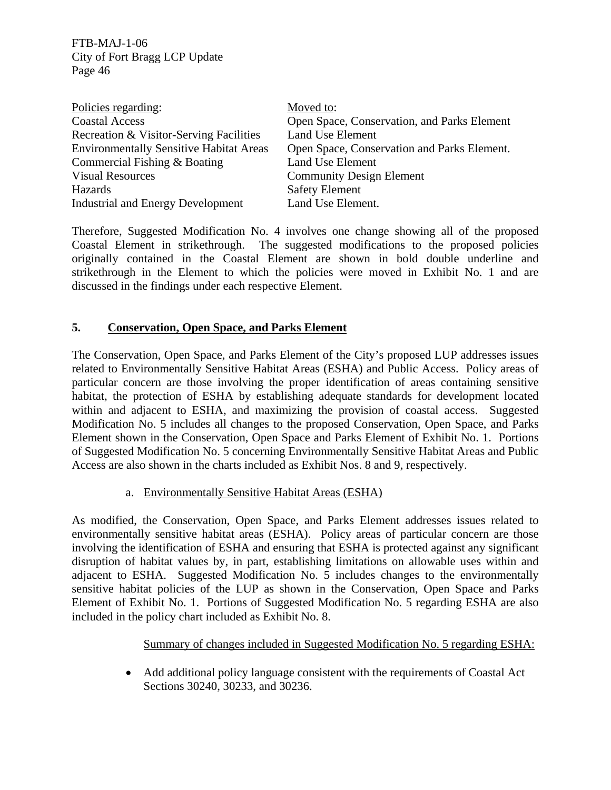| Policies regarding:                            | Moved to:                                   |
|------------------------------------------------|---------------------------------------------|
| <b>Coastal Access</b>                          | Open Space, Conservation, and Parks Element |
| Recreation & Visitor-Serving Facilities        | Land Use Element                            |
| <b>Environmentally Sensitive Habitat Areas</b> | Open Space, Conservation and Parks Element. |
| Commercial Fishing & Boating                   | Land Use Element                            |
| <b>Visual Resources</b>                        | <b>Community Design Element</b>             |
| Hazards                                        | <b>Safety Element</b>                       |
| <b>Industrial and Energy Development</b>       | Land Use Element.                           |

Therefore, Suggested Modification No. 4 involves one change showing all of the proposed Coastal Element in strikethrough. The suggested modifications to the proposed policies originally contained in the Coastal Element are shown in bold double underline and strikethrough in the Element to which the policies were moved in Exhibit No. 1 and are discussed in the findings under each respective Element.

## **5. Conservation, Open Space, and Parks Element**

The Conservation, Open Space, and Parks Element of the City's proposed LUP addresses issues related to Environmentally Sensitive Habitat Areas (ESHA) and Public Access. Policy areas of particular concern are those involving the proper identification of areas containing sensitive habitat, the protection of ESHA by establishing adequate standards for development located within and adjacent to ESHA, and maximizing the provision of coastal access. Suggested Modification No. 5 includes all changes to the proposed Conservation, Open Space, and Parks Element shown in the Conservation, Open Space and Parks Element of Exhibit No. 1. Portions of Suggested Modification No. 5 concerning Environmentally Sensitive Habitat Areas and Public Access are also shown in the charts included as Exhibit Nos. 8 and 9, respectively.

#### a. Environmentally Sensitive Habitat Areas (ESHA)

As modified, the Conservation, Open Space, and Parks Element addresses issues related to environmentally sensitive habitat areas (ESHA). Policy areas of particular concern are those involving the identification of ESHA and ensuring that ESHA is protected against any significant disruption of habitat values by, in part, establishing limitations on allowable uses within and adjacent to ESHA. Suggested Modification No. 5 includes changes to the environmentally sensitive habitat policies of the LUP as shown in the Conservation, Open Space and Parks Element of Exhibit No. 1. Portions of Suggested Modification No. 5 regarding ESHA are also included in the policy chart included as Exhibit No. 8.

#### Summary of changes included in Suggested Modification No. 5 regarding ESHA:

• Add additional policy language consistent with the requirements of Coastal Act Sections 30240, 30233, and 30236.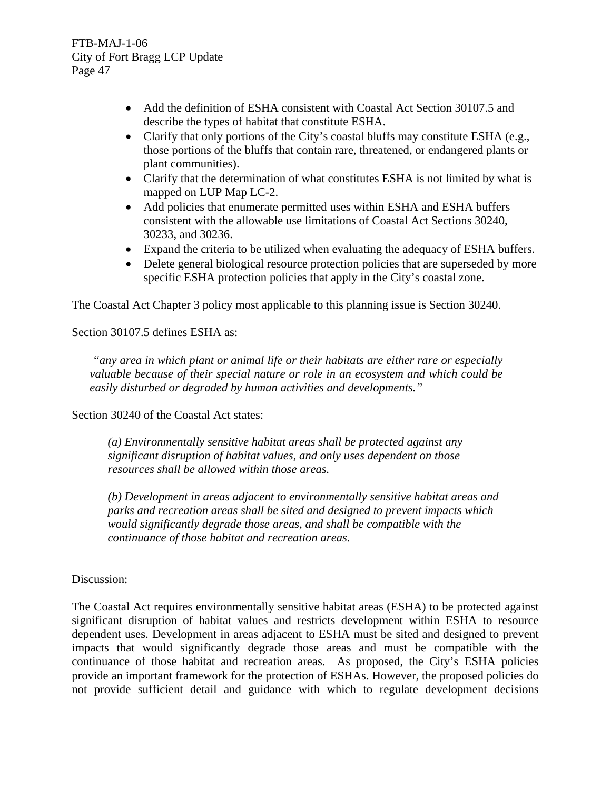- Add the definition of ESHA consistent with Coastal Act Section 30107.5 and describe the types of habitat that constitute ESHA.
- Clarify that only portions of the City's coastal bluffs may constitute ESHA (e.g., those portions of the bluffs that contain rare, threatened, or endangered plants or plant communities).
- Clarify that the determination of what constitutes ESHA is not limited by what is mapped on LUP Map LC-2.
- Add policies that enumerate permitted uses within ESHA and ESHA buffers consistent with the allowable use limitations of Coastal Act Sections 30240, 30233, and 30236.
- Expand the criteria to be utilized when evaluating the adequacy of ESHA buffers.
- Delete general biological resource protection policies that are superseded by more specific ESHA protection policies that apply in the City's coastal zone.

The Coastal Act Chapter 3 policy most applicable to this planning issue is Section 30240.

Section 30107.5 defines ESHA as:

*"any area in which plant or animal life or their habitats are either rare or especially valuable because of their special nature or role in an ecosystem and which could be easily disturbed or degraded by human activities and developments."* 

Section 30240 of the Coastal Act states:

*(a) Environmentally sensitive habitat areas shall be protected against any significant disruption of habitat values, and only uses dependent on those resources shall be allowed within those areas.* 

*(b) Development in areas adjacent to environmentally sensitive habitat areas and parks and recreation areas shall be sited and designed to prevent impacts which would significantly degrade those areas, and shall be compatible with the continuance of those habitat and recreation areas.* 

## Discussion:

The Coastal Act requires environmentally sensitive habitat areas (ESHA) to be protected against significant disruption of habitat values and restricts development within ESHA to resource dependent uses. Development in areas adjacent to ESHA must be sited and designed to prevent impacts that would significantly degrade those areas and must be compatible with the continuance of those habitat and recreation areas. As proposed, the City's ESHA policies provide an important framework for the protection of ESHAs. However, the proposed policies do not provide sufficient detail and guidance with which to regulate development decisions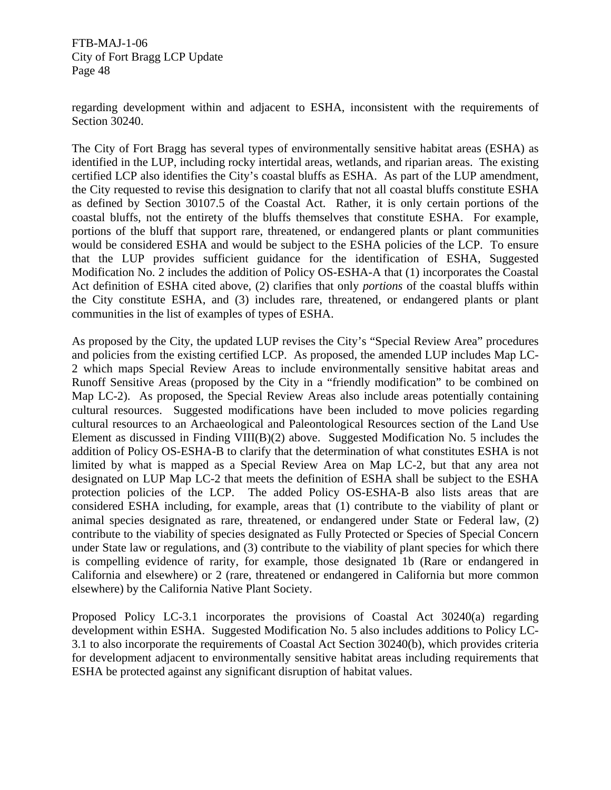regarding development within and adjacent to ESHA, inconsistent with the requirements of Section 30240.

The City of Fort Bragg has several types of environmentally sensitive habitat areas (ESHA) as identified in the LUP, including rocky intertidal areas, wetlands, and riparian areas. The existing certified LCP also identifies the City's coastal bluffs as ESHA. As part of the LUP amendment, the City requested to revise this designation to clarify that not all coastal bluffs constitute ESHA as defined by Section 30107.5 of the Coastal Act. Rather, it is only certain portions of the coastal bluffs, not the entirety of the bluffs themselves that constitute ESHA. For example, portions of the bluff that support rare, threatened, or endangered plants or plant communities would be considered ESHA and would be subject to the ESHA policies of the LCP. To ensure that the LUP provides sufficient guidance for the identification of ESHA, Suggested Modification No. 2 includes the addition of Policy OS-ESHA-A that (1) incorporates the Coastal Act definition of ESHA cited above, (2) clarifies that only *portions* of the coastal bluffs within the City constitute ESHA, and (3) includes rare, threatened, or endangered plants or plant communities in the list of examples of types of ESHA.

As proposed by the City, the updated LUP revises the City's "Special Review Area" procedures and policies from the existing certified LCP. As proposed, the amended LUP includes Map LC-2 which maps Special Review Areas to include environmentally sensitive habitat areas and Runoff Sensitive Areas (proposed by the City in a "friendly modification" to be combined on Map LC-2). As proposed, the Special Review Areas also include areas potentially containing cultural resources. Suggested modifications have been included to move policies regarding cultural resources to an Archaeological and Paleontological Resources section of the Land Use Element as discussed in Finding VIII(B)(2) above. Suggested Modification No. 5 includes the addition of Policy OS-ESHA-B to clarify that the determination of what constitutes ESHA is not limited by what is mapped as a Special Review Area on Map LC-2, but that any area not designated on LUP Map LC-2 that meets the definition of ESHA shall be subject to the ESHA protection policies of the LCP. The added Policy OS-ESHA-B also lists areas that are considered ESHA including, for example, areas that (1) contribute to the viability of plant or animal species designated as rare, threatened, or endangered under State or Federal law, (2) contribute to the viability of species designated as Fully Protected or Species of Special Concern under State law or regulations, and (3) contribute to the viability of plant species for which there is compelling evidence of rarity, for example, those designated 1b (Rare or endangered in California and elsewhere) or 2 (rare, threatened or endangered in California but more common elsewhere) by the California Native Plant Society.

Proposed Policy LC-3.1 incorporates the provisions of Coastal Act 30240(a) regarding development within ESHA. Suggested Modification No. 5 also includes additions to Policy LC-3.1 to also incorporate the requirements of Coastal Act Section 30240(b), which provides criteria for development adjacent to environmentally sensitive habitat areas including requirements that ESHA be protected against any significant disruption of habitat values.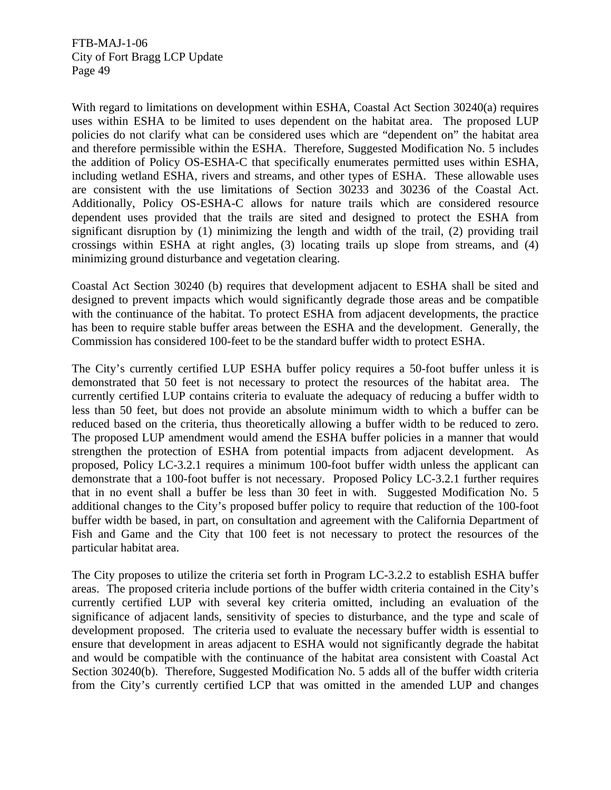With regard to limitations on development within ESHA, Coastal Act Section 30240(a) requires uses within ESHA to be limited to uses dependent on the habitat area. The proposed LUP policies do not clarify what can be considered uses which are "dependent on" the habitat area and therefore permissible within the ESHA. Therefore, Suggested Modification No. 5 includes the addition of Policy OS-ESHA-C that specifically enumerates permitted uses within ESHA, including wetland ESHA, rivers and streams, and other types of ESHA. These allowable uses are consistent with the use limitations of Section 30233 and 30236 of the Coastal Act. Additionally, Policy OS-ESHA-C allows for nature trails which are considered resource dependent uses provided that the trails are sited and designed to protect the ESHA from significant disruption by (1) minimizing the length and width of the trail, (2) providing trail crossings within ESHA at right angles, (3) locating trails up slope from streams, and (4) minimizing ground disturbance and vegetation clearing.

Coastal Act Section 30240 (b) requires that development adjacent to ESHA shall be sited and designed to prevent impacts which would significantly degrade those areas and be compatible with the continuance of the habitat. To protect ESHA from adjacent developments, the practice has been to require stable buffer areas between the ESHA and the development. Generally, the Commission has considered 100-feet to be the standard buffer width to protect ESHA.

The City's currently certified LUP ESHA buffer policy requires a 50-foot buffer unless it is demonstrated that 50 feet is not necessary to protect the resources of the habitat area. The currently certified LUP contains criteria to evaluate the adequacy of reducing a buffer width to less than 50 feet, but does not provide an absolute minimum width to which a buffer can be reduced based on the criteria, thus theoretically allowing a buffer width to be reduced to zero. The proposed LUP amendment would amend the ESHA buffer policies in a manner that would strengthen the protection of ESHA from potential impacts from adjacent development. As proposed, Policy LC-3.2.1 requires a minimum 100-foot buffer width unless the applicant can demonstrate that a 100-foot buffer is not necessary. Proposed Policy LC-3.2.1 further requires that in no event shall a buffer be less than 30 feet in with. Suggested Modification No. 5 additional changes to the City's proposed buffer policy to require that reduction of the 100-foot buffer width be based, in part, on consultation and agreement with the California Department of Fish and Game and the City that 100 feet is not necessary to protect the resources of the particular habitat area.

The City proposes to utilize the criteria set forth in Program LC-3.2.2 to establish ESHA buffer areas. The proposed criteria include portions of the buffer width criteria contained in the City's currently certified LUP with several key criteria omitted, including an evaluation of the significance of adjacent lands, sensitivity of species to disturbance, and the type and scale of development proposed. The criteria used to evaluate the necessary buffer width is essential to ensure that development in areas adjacent to ESHA would not significantly degrade the habitat and would be compatible with the continuance of the habitat area consistent with Coastal Act Section 30240(b). Therefore, Suggested Modification No. 5 adds all of the buffer width criteria from the City's currently certified LCP that was omitted in the amended LUP and changes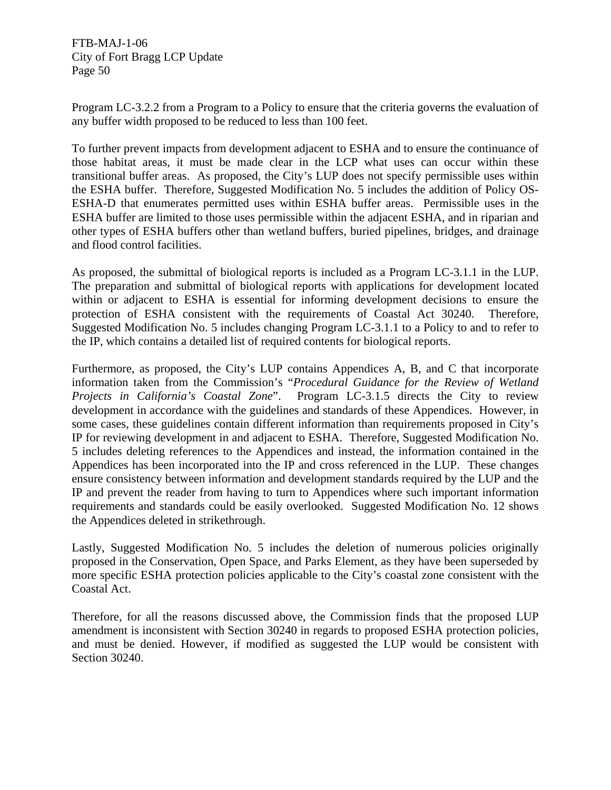Program LC-3.2.2 from a Program to a Policy to ensure that the criteria governs the evaluation of any buffer width proposed to be reduced to less than 100 feet.

To further prevent impacts from development adjacent to ESHA and to ensure the continuance of those habitat areas, it must be made clear in the LCP what uses can occur within these transitional buffer areas. As proposed, the City's LUP does not specify permissible uses within the ESHA buffer. Therefore, Suggested Modification No. 5 includes the addition of Policy OS-ESHA-D that enumerates permitted uses within ESHA buffer areas. Permissible uses in the ESHA buffer are limited to those uses permissible within the adjacent ESHA, and in riparian and other types of ESHA buffers other than wetland buffers, buried pipelines, bridges, and drainage and flood control facilities.

As proposed, the submittal of biological reports is included as a Program LC-3.1.1 in the LUP. The preparation and submittal of biological reports with applications for development located within or adjacent to ESHA is essential for informing development decisions to ensure the protection of ESHA consistent with the requirements of Coastal Act 30240. Therefore, Suggested Modification No. 5 includes changing Program LC-3.1.1 to a Policy to and to refer to the IP, which contains a detailed list of required contents for biological reports.

Furthermore, as proposed, the City's LUP contains Appendices A, B, and C that incorporate information taken from the Commission's "*Procedural Guidance for the Review of Wetland Projects in California's Coastal Zone*". Program LC-3.1.5 directs the City to review development in accordance with the guidelines and standards of these Appendices. However, in some cases, these guidelines contain different information than requirements proposed in City's IP for reviewing development in and adjacent to ESHA. Therefore, Suggested Modification No. 5 includes deleting references to the Appendices and instead, the information contained in the Appendices has been incorporated into the IP and cross referenced in the LUP. These changes ensure consistency between information and development standards required by the LUP and the IP and prevent the reader from having to turn to Appendices where such important information requirements and standards could be easily overlooked. Suggested Modification No. 12 shows the Appendices deleted in strikethrough.

Lastly, Suggested Modification No. 5 includes the deletion of numerous policies originally proposed in the Conservation, Open Space, and Parks Element, as they have been superseded by more specific ESHA protection policies applicable to the City's coastal zone consistent with the Coastal Act.

Therefore, for all the reasons discussed above, the Commission finds that the proposed LUP amendment is inconsistent with Section 30240 in regards to proposed ESHA protection policies, and must be denied. However, if modified as suggested the LUP would be consistent with Section 30240.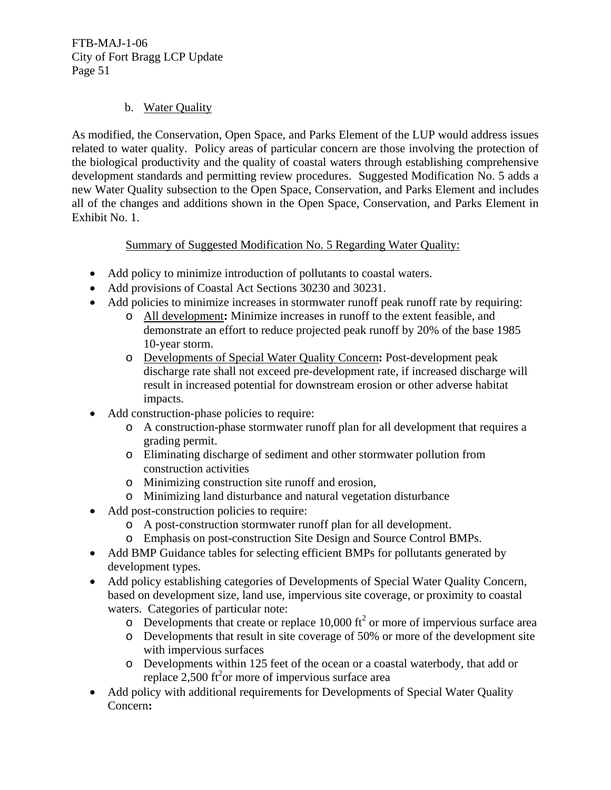## b. Water Quality

As modified, the Conservation, Open Space, and Parks Element of the LUP would address issues related to water quality. Policy areas of particular concern are those involving the protection of the biological productivity and the quality of coastal waters through establishing comprehensive development standards and permitting review procedures. Suggested Modification No. 5 adds a new Water Quality subsection to the Open Space, Conservation, and Parks Element and includes all of the changes and additions shown in the Open Space, Conservation, and Parks Element in Exhibit No. 1.

# Summary of Suggested Modification No. 5 Regarding Water Quality:

- Add policy to minimize introduction of pollutants to coastal waters.
- Add provisions of Coastal Act Sections 30230 and 30231.
- Add policies to minimize increases in stormwater runoff peak runoff rate by requiring:
	- o All development**:** Minimize increases in runoff to the extent feasible, and demonstrate an effort to reduce projected peak runoff by 20% of the base 1985 10-year storm.
	- o Developments of Special Water Quality Concern**:** Post-development peak discharge rate shall not exceed pre-development rate, if increased discharge will result in increased potential for downstream erosion or other adverse habitat impacts.
- Add construction-phase policies to require:
	- o A construction-phase stormwater runoff plan for all development that requires a grading permit.
	- o Eliminating discharge of sediment and other stormwater pollution from construction activities
	- o Minimizing construction site runoff and erosion,
	- o Minimizing land disturbance and natural vegetation disturbance
- Add post-construction policies to require:
	- o A post-construction stormwater runoff plan for all development.
	- o Emphasis on post-construction Site Design and Source Control BMPs.
- Add BMP Guidance tables for selecting efficient BMPs for pollutants generated by development types.
- Add policy establishing categories of Developments of Special Water Quality Concern, based on development size, land use, impervious site coverage, or proximity to coastal waters. Categories of particular note:
	- $\circ$  Developments that create or replace 10,000 ft<sup>2</sup> or more of impervious surface area
	- o Developments that result in site coverage of 50% or more of the development site with impervious surfaces
	- o Developments within 125 feet of the ocean or a coastal waterbody, that add or replace  $2,500$  ft<sup>2</sup> or more of impervious surface area
- Add policy with additional requirements for Developments of Special Water Quality Concern**:**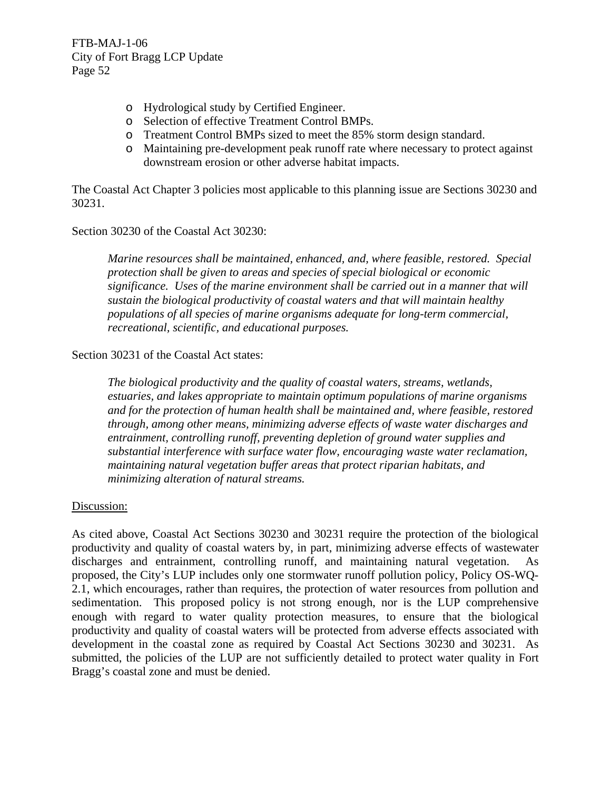- o Hydrological study by Certified Engineer.
- o Selection of effective Treatment Control BMPs.
- o Treatment Control BMPs sized to meet the 85% storm design standard.
- o Maintaining pre-development peak runoff rate where necessary to protect against downstream erosion or other adverse habitat impacts.

The Coastal Act Chapter 3 policies most applicable to this planning issue are Sections 30230 and 30231.

#### Section 30230 of the Coastal Act 30230:

*Marine resources shall be maintained, enhanced, and, where feasible, restored. Special protection shall be given to areas and species of special biological or economic significance. Uses of the marine environment shall be carried out in a manner that will sustain the biological productivity of coastal waters and that will maintain healthy populations of all species of marine organisms adequate for long-term commercial, recreational, scientific, and educational purposes.* 

## Section 30231 of the Coastal Act states:

*The biological productivity and the quality of coastal waters, streams, wetlands, estuaries, and lakes appropriate to maintain optimum populations of marine organisms and for the protection of human health shall be maintained and, where feasible, restored through, among other means, minimizing adverse effects of waste water discharges and entrainment, controlling runoff, preventing depletion of ground water supplies and substantial interference with surface water flow, encouraging waste water reclamation, maintaining natural vegetation buffer areas that protect riparian habitats, and minimizing alteration of natural streams.* 

#### Discussion:

As cited above, Coastal Act Sections 30230 and 30231 require the protection of the biological productivity and quality of coastal waters by, in part, minimizing adverse effects of wastewater discharges and entrainment, controlling runoff, and maintaining natural vegetation. As proposed, the City's LUP includes only one stormwater runoff pollution policy, Policy OS-WQ-2.1, which encourages, rather than requires, the protection of water resources from pollution and sedimentation. This proposed policy is not strong enough, nor is the LUP comprehensive enough with regard to water quality protection measures, to ensure that the biological productivity and quality of coastal waters will be protected from adverse effects associated with development in the coastal zone as required by Coastal Act Sections 30230 and 30231. As submitted, the policies of the LUP are not sufficiently detailed to protect water quality in Fort Bragg's coastal zone and must be denied.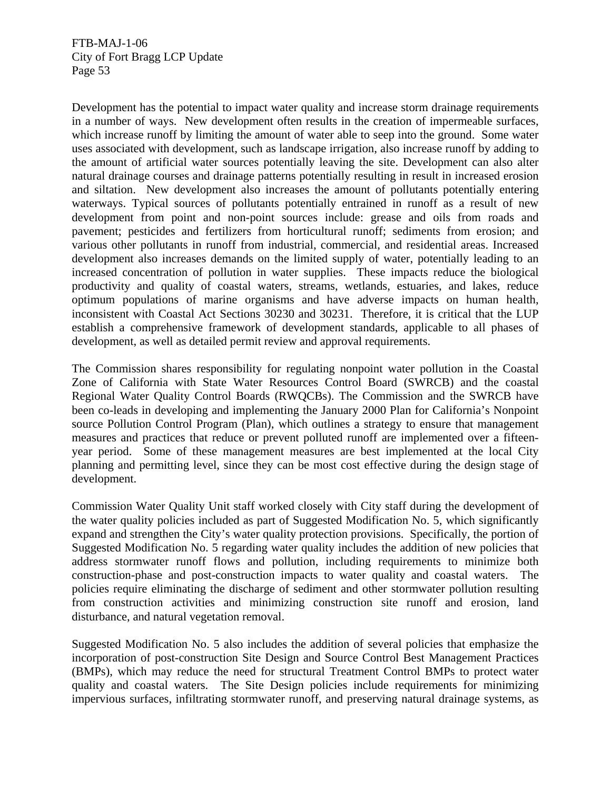Development has the potential to impact water quality and increase storm drainage requirements in a number of ways. New development often results in the creation of impermeable surfaces, which increase runoff by limiting the amount of water able to seep into the ground. Some water uses associated with development, such as landscape irrigation, also increase runoff by adding to the amount of artificial water sources potentially leaving the site. Development can also alter natural drainage courses and drainage patterns potentially resulting in result in increased erosion and siltation. New development also increases the amount of pollutants potentially entering waterways. Typical sources of pollutants potentially entrained in runoff as a result of new development from point and non-point sources include: grease and oils from roads and pavement; pesticides and fertilizers from horticultural runoff; sediments from erosion; and various other pollutants in runoff from industrial, commercial, and residential areas. Increased development also increases demands on the limited supply of water, potentially leading to an increased concentration of pollution in water supplies. These impacts reduce the biological productivity and quality of coastal waters, streams, wetlands, estuaries, and lakes, reduce optimum populations of marine organisms and have adverse impacts on human health, inconsistent with Coastal Act Sections 30230 and 30231. Therefore, it is critical that the LUP establish a comprehensive framework of development standards, applicable to all phases of development, as well as detailed permit review and approval requirements.

The Commission shares responsibility for regulating nonpoint water pollution in the Coastal Zone of California with State Water Resources Control Board (SWRCB) and the coastal Regional Water Quality Control Boards (RWQCBs). The Commission and the SWRCB have been co-leads in developing and implementing the January 2000 Plan for California's Nonpoint source Pollution Control Program (Plan), which outlines a strategy to ensure that management measures and practices that reduce or prevent polluted runoff are implemented over a fifteenyear period. Some of these management measures are best implemented at the local City planning and permitting level, since they can be most cost effective during the design stage of development.

Commission Water Quality Unit staff worked closely with City staff during the development of the water quality policies included as part of Suggested Modification No. 5, which significantly expand and strengthen the City's water quality protection provisions. Specifically, the portion of Suggested Modification No. 5 regarding water quality includes the addition of new policies that address stormwater runoff flows and pollution, including requirements to minimize both construction-phase and post-construction impacts to water quality and coastal waters. The policies require eliminating the discharge of sediment and other stormwater pollution resulting from construction activities and minimizing construction site runoff and erosion, land disturbance, and natural vegetation removal.

Suggested Modification No. 5 also includes the addition of several policies that emphasize the incorporation of post-construction Site Design and Source Control Best Management Practices (BMPs), which may reduce the need for structural Treatment Control BMPs to protect water quality and coastal waters. The Site Design policies include requirements for minimizing impervious surfaces, infiltrating stormwater runoff, and preserving natural drainage systems, as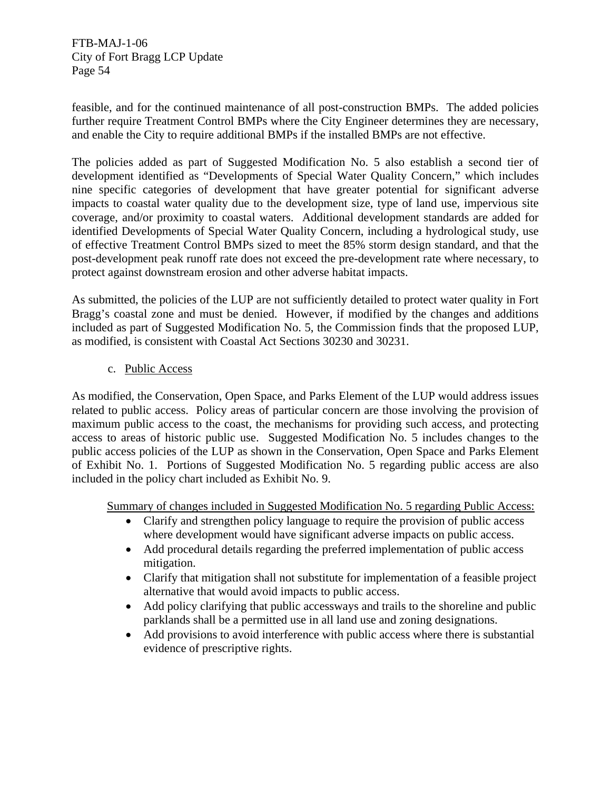feasible, and for the continued maintenance of all post-construction BMPs. The added policies further require Treatment Control BMPs where the City Engineer determines they are necessary, and enable the City to require additional BMPs if the installed BMPs are not effective.

The policies added as part of Suggested Modification No. 5 also establish a second tier of development identified as "Developments of Special Water Quality Concern," which includes nine specific categories of development that have greater potential for significant adverse impacts to coastal water quality due to the development size, type of land use, impervious site coverage, and/or proximity to coastal waters. Additional development standards are added for identified Developments of Special Water Quality Concern, including a hydrological study, use of effective Treatment Control BMPs sized to meet the 85% storm design standard, and that the post-development peak runoff rate does not exceed the pre-development rate where necessary, to protect against downstream erosion and other adverse habitat impacts.

As submitted, the policies of the LUP are not sufficiently detailed to protect water quality in Fort Bragg's coastal zone and must be denied. However, if modified by the changes and additions included as part of Suggested Modification No. 5, the Commission finds that the proposed LUP, as modified, is consistent with Coastal Act Sections 30230 and 30231.

c. Public Access

As modified, the Conservation, Open Space, and Parks Element of the LUP would address issues related to public access. Policy areas of particular concern are those involving the provision of maximum public access to the coast, the mechanisms for providing such access, and protecting access to areas of historic public use. Suggested Modification No. 5 includes changes to the public access policies of the LUP as shown in the Conservation, Open Space and Parks Element of Exhibit No. 1. Portions of Suggested Modification No. 5 regarding public access are also included in the policy chart included as Exhibit No. 9.

Summary of changes included in Suggested Modification No. 5 regarding Public Access:

- Clarify and strengthen policy language to require the provision of public access where development would have significant adverse impacts on public access.
- Add procedural details regarding the preferred implementation of public access mitigation.
- Clarify that mitigation shall not substitute for implementation of a feasible project alternative that would avoid impacts to public access.
- Add policy clarifying that public accessways and trails to the shoreline and public parklands shall be a permitted use in all land use and zoning designations.
- Add provisions to avoid interference with public access where there is substantial evidence of prescriptive rights.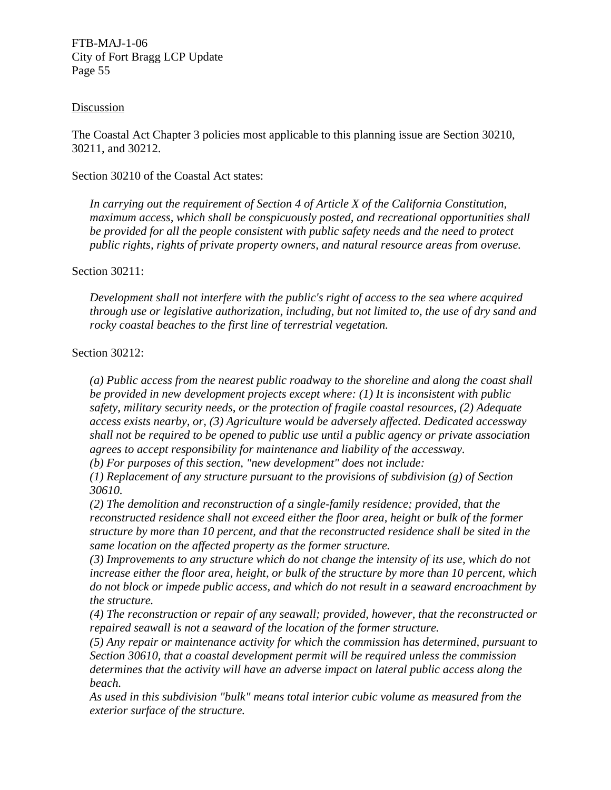#### Discussion

The Coastal Act Chapter 3 policies most applicable to this planning issue are Section 30210, 30211, and 30212.

Section 30210 of the Coastal Act states:

*In carrying out the requirement of Section 4 of Article X of the California Constitution, maximum access, which shall be conspicuously posted, and recreational opportunities shall be provided for all the people consistent with public safety needs and the need to protect public rights, rights of private property owners, and natural resource areas from overuse.* 

#### Section 30211:

*Development shall not interfere with the public's right of access to the sea where acquired through use or legislative authorization, including, but not limited to, the use of dry sand and rocky coastal beaches to the first line of terrestrial vegetation.* 

#### Section 30212:

*(a) Public access from the nearest public roadway to the shoreline and along the coast shall be provided in new development projects except where: (1) It is inconsistent with public safety, military security needs, or the protection of fragile coastal resources, (2) Adequate access exists nearby, or, (3) Agriculture would be adversely affected. Dedicated accessway shall not be required to be opened to public use until a public agency or private association agrees to accept responsibility for maintenance and liability of the accessway.* 

*(b) For purposes of this section, "new development" does not include:* 

*(1) Replacement of any structure pursuant to the provisions of subdivision (g) of Section 30610.* 

*(2) The demolition and reconstruction of a single-family residence; provided, that the reconstructed residence shall not exceed either the floor area, height or bulk of the former structure by more than 10 percent, and that the reconstructed residence shall be sited in the same location on the affected property as the former structure.* 

*(3) Improvements to any structure which do not change the intensity of its use, which do not increase either the floor area, height, or bulk of the structure by more than 10 percent, which do not block or impede public access, and which do not result in a seaward encroachment by the structure.* 

*(4) The reconstruction or repair of any seawall; provided, however, that the reconstructed or repaired seawall is not a seaward of the location of the former structure.* 

*(5) Any repair or maintenance activity for which the commission has determined, pursuant to Section 30610, that a coastal development permit will be required unless the commission determines that the activity will have an adverse impact on lateral public access along the beach.* 

*As used in this subdivision "bulk" means total interior cubic volume as measured from the exterior surface of the structure.*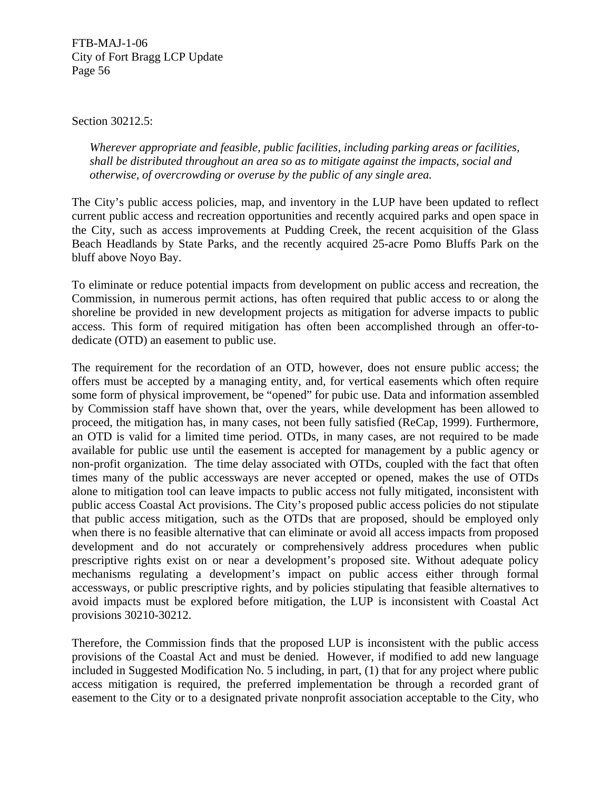Section 30212.5:

*Wherever appropriate and feasible, public facilities, including parking areas or facilities, shall be distributed throughout an area so as to mitigate against the impacts, social and otherwise, of overcrowding or overuse by the public of any single area.* 

The City's public access policies, map, and inventory in the LUP have been updated to reflect current public access and recreation opportunities and recently acquired parks and open space in the City, such as access improvements at Pudding Creek, the recent acquisition of the Glass Beach Headlands by State Parks, and the recently acquired 25-acre Pomo Bluffs Park on the bluff above Noyo Bay.

To eliminate or reduce potential impacts from development on public access and recreation, the Commission, in numerous permit actions, has often required that public access to or along the shoreline be provided in new development projects as mitigation for adverse impacts to public access. This form of required mitigation has often been accomplished through an offer-todedicate (OTD) an easement to public use.

The requirement for the recordation of an OTD, however, does not ensure public access; the offers must be accepted by a managing entity, and, for vertical easements which often require some form of physical improvement, be "opened" for pubic use. Data and information assembled by Commission staff have shown that, over the years, while development has been allowed to proceed, the mitigation has, in many cases, not been fully satisfied (ReCap, 1999). Furthermore, an OTD is valid for a limited time period. OTDs, in many cases, are not required to be made available for public use until the easement is accepted for management by a public agency or non-profit organization. The time delay associated with OTDs, coupled with the fact that often times many of the public accessways are never accepted or opened, makes the use of OTDs alone to mitigation tool can leave impacts to public access not fully mitigated, inconsistent with public access Coastal Act provisions. The City's proposed public access policies do not stipulate that public access mitigation, such as the OTDs that are proposed, should be employed only when there is no feasible alternative that can eliminate or avoid all access impacts from proposed development and do not accurately or comprehensively address procedures when public prescriptive rights exist on or near a development's proposed site. Without adequate policy mechanisms regulating a development's impact on public access either through formal accessways, or public prescriptive rights, and by policies stipulating that feasible alternatives to avoid impacts must be explored before mitigation, the LUP is inconsistent with Coastal Act provisions 30210-30212.

Therefore, the Commission finds that the proposed LUP is inconsistent with the public access provisions of the Coastal Act and must be denied. However, if modified to add new language included in Suggested Modification No. 5 including, in part, (1) that for any project where public access mitigation is required, the preferred implementation be through a recorded grant of easement to the City or to a designated private nonprofit association acceptable to the City, who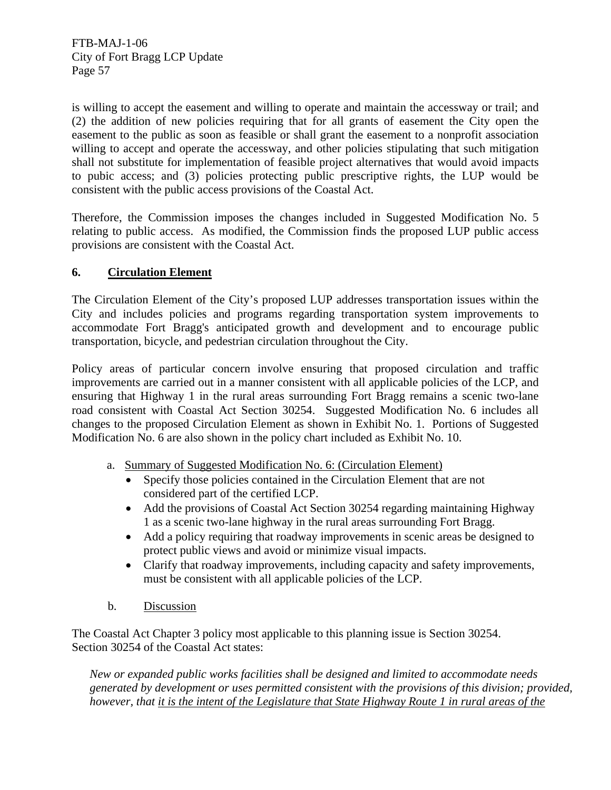is willing to accept the easement and willing to operate and maintain the accessway or trail; and (2) the addition of new policies requiring that for all grants of easement the City open the easement to the public as soon as feasible or shall grant the easement to a nonprofit association willing to accept and operate the accessway, and other policies stipulating that such mitigation shall not substitute for implementation of feasible project alternatives that would avoid impacts to pubic access; and (3) policies protecting public prescriptive rights, the LUP would be consistent with the public access provisions of the Coastal Act.

Therefore, the Commission imposes the changes included in Suggested Modification No. 5 relating to public access. As modified, the Commission finds the proposed LUP public access provisions are consistent with the Coastal Act.

# **6. Circulation Element**

The Circulation Element of the City's proposed LUP addresses transportation issues within the City and includes policies and programs regarding transportation system improvements to accommodate Fort Bragg's anticipated growth and development and to encourage public transportation, bicycle, and pedestrian circulation throughout the City.

Policy areas of particular concern involve ensuring that proposed circulation and traffic improvements are carried out in a manner consistent with all applicable policies of the LCP, and ensuring that Highway 1 in the rural areas surrounding Fort Bragg remains a scenic two-lane road consistent with Coastal Act Section 30254. Suggested Modification No. 6 includes all changes to the proposed Circulation Element as shown in Exhibit No. 1. Portions of Suggested Modification No. 6 are also shown in the policy chart included as Exhibit No. 10.

- a. Summary of Suggested Modification No. 6: (Circulation Element)
	- Specify those policies contained in the Circulation Element that are not considered part of the certified LCP.
	- Add the provisions of Coastal Act Section 30254 regarding maintaining Highway 1 as a scenic two-lane highway in the rural areas surrounding Fort Bragg.
	- Add a policy requiring that roadway improvements in scenic areas be designed to protect public views and avoid or minimize visual impacts.
	- Clarify that roadway improvements, including capacity and safety improvements, must be consistent with all applicable policies of the LCP.
- b. Discussion

The Coastal Act Chapter 3 policy most applicable to this planning issue is Section 30254. Section 30254 of the Coastal Act states:

*New or expanded public works facilities shall be designed and limited to accommodate needs generated by development or uses permitted consistent with the provisions of this division; provided, however, that it is the intent of the Legislature that State Highway Route 1 in rural areas of the*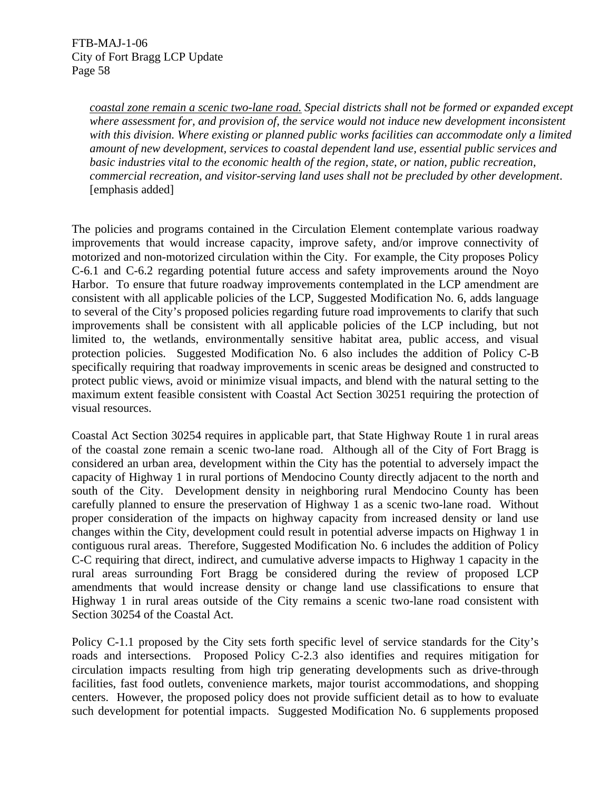*coastal zone remain a scenic two-lane road. Special districts shall not be formed or expanded except*  where assessment for, and provision of, the service would not induce new development inconsistent *with this division. Where existing or planned public works facilities can accommodate only a limited amount of new development, services to coastal dependent land use, essential public services and basic industries vital to the economic health of the region, state, or nation, public recreation, commercial recreation, and visitor-serving land uses shall not be precluded by other development*. [emphasis added]

The policies and programs contained in the Circulation Element contemplate various roadway improvements that would increase capacity, improve safety, and/or improve connectivity of motorized and non-motorized circulation within the City. For example, the City proposes Policy C-6.1 and C-6.2 regarding potential future access and safety improvements around the Noyo Harbor. To ensure that future roadway improvements contemplated in the LCP amendment are consistent with all applicable policies of the LCP, Suggested Modification No. 6, adds language to several of the City's proposed policies regarding future road improvements to clarify that such improvements shall be consistent with all applicable policies of the LCP including, but not limited to, the wetlands, environmentally sensitive habitat area, public access, and visual protection policies. Suggested Modification No. 6 also includes the addition of Policy C-B specifically requiring that roadway improvements in scenic areas be designed and constructed to protect public views, avoid or minimize visual impacts, and blend with the natural setting to the maximum extent feasible consistent with Coastal Act Section 30251 requiring the protection of visual resources.

Coastal Act Section 30254 requires in applicable part, that State Highway Route 1 in rural areas of the coastal zone remain a scenic two-lane road. Although all of the City of Fort Bragg is considered an urban area, development within the City has the potential to adversely impact the capacity of Highway 1 in rural portions of Mendocino County directly adjacent to the north and south of the City. Development density in neighboring rural Mendocino County has been carefully planned to ensure the preservation of Highway 1 as a scenic two-lane road. Without proper consideration of the impacts on highway capacity from increased density or land use changes within the City, development could result in potential adverse impacts on Highway 1 in contiguous rural areas. Therefore, Suggested Modification No. 6 includes the addition of Policy C-C requiring that direct, indirect, and cumulative adverse impacts to Highway 1 capacity in the rural areas surrounding Fort Bragg be considered during the review of proposed LCP amendments that would increase density or change land use classifications to ensure that Highway 1 in rural areas outside of the City remains a scenic two-lane road consistent with Section 30254 of the Coastal Act.

Policy C-1.1 proposed by the City sets forth specific level of service standards for the City's roads and intersections. Proposed Policy C-2.3 also identifies and requires mitigation for circulation impacts resulting from high trip generating developments such as drive-through facilities, fast food outlets, convenience markets, major tourist accommodations, and shopping centers. However, the proposed policy does not provide sufficient detail as to how to evaluate such development for potential impacts. Suggested Modification No. 6 supplements proposed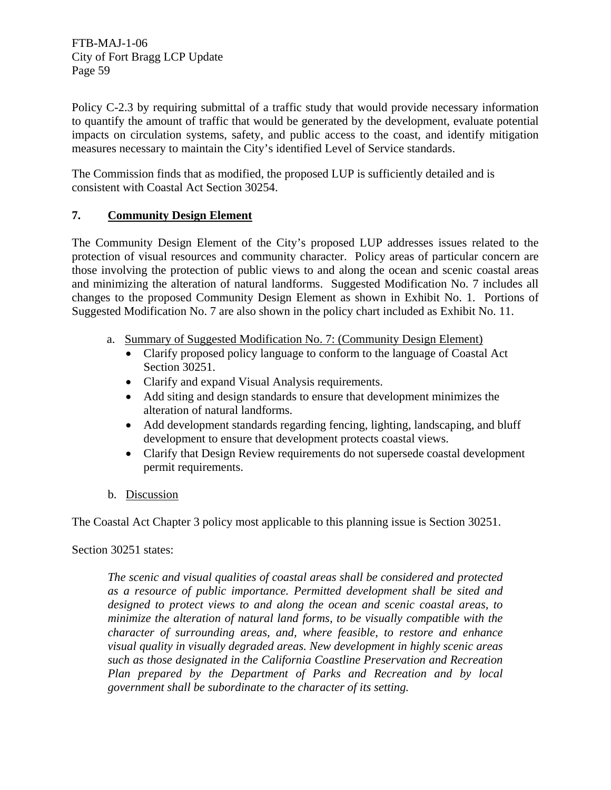Policy C-2.3 by requiring submittal of a traffic study that would provide necessary information to quantify the amount of traffic that would be generated by the development, evaluate potential impacts on circulation systems, safety, and public access to the coast, and identify mitigation measures necessary to maintain the City's identified Level of Service standards.

The Commission finds that as modified, the proposed LUP is sufficiently detailed and is consistent with Coastal Act Section 30254.

## **7. Community Design Element**

The Community Design Element of the City's proposed LUP addresses issues related to the protection of visual resources and community character. Policy areas of particular concern are those involving the protection of public views to and along the ocean and scenic coastal areas and minimizing the alteration of natural landforms. Suggested Modification No. 7 includes all changes to the proposed Community Design Element as shown in Exhibit No. 1. Portions of Suggested Modification No. 7 are also shown in the policy chart included as Exhibit No. 11.

- a. Summary of Suggested Modification No. 7: (Community Design Element)
	- Clarify proposed policy language to conform to the language of Coastal Act Section 30251.
	- Clarify and expand Visual Analysis requirements.
	- Add siting and design standards to ensure that development minimizes the alteration of natural landforms.
	- Add development standards regarding fencing, lighting, landscaping, and bluff development to ensure that development protects coastal views.
	- Clarify that Design Review requirements do not supersede coastal development permit requirements.
- b. Discussion

The Coastal Act Chapter 3 policy most applicable to this planning issue is Section 30251.

#### Section 30251 states:

*The scenic and visual qualities of coastal areas shall be considered and protected as a resource of public importance. Permitted development shall be sited and designed to protect views to and along the ocean and scenic coastal areas, to minimize the alteration of natural land forms, to be visually compatible with the character of surrounding areas, and, where feasible, to restore and enhance visual quality in visually degraded areas. New development in highly scenic areas such as those designated in the California Coastline Preservation and Recreation Plan prepared by the Department of Parks and Recreation and by local government shall be subordinate to the character of its setting.*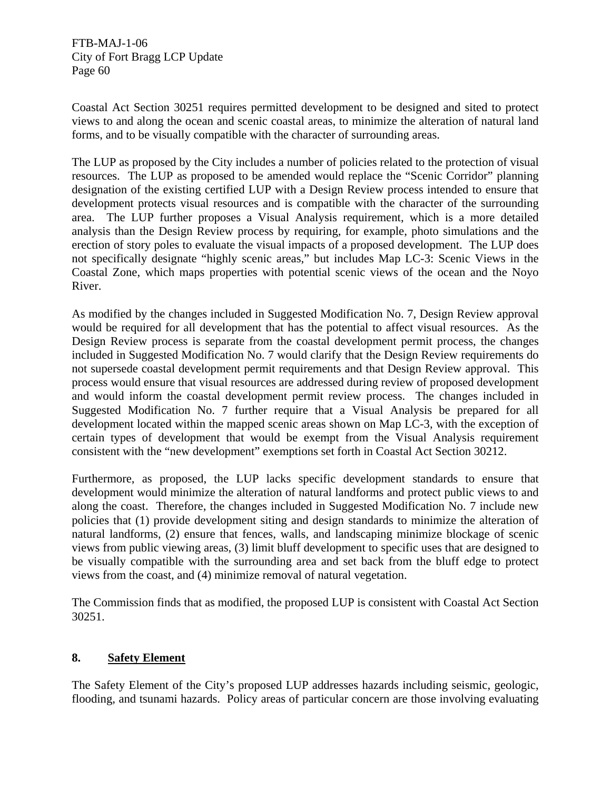Coastal Act Section 30251 requires permitted development to be designed and sited to protect views to and along the ocean and scenic coastal areas, to minimize the alteration of natural land forms, and to be visually compatible with the character of surrounding areas.

The LUP as proposed by the City includes a number of policies related to the protection of visual resources. The LUP as proposed to be amended would replace the "Scenic Corridor" planning designation of the existing certified LUP with a Design Review process intended to ensure that development protects visual resources and is compatible with the character of the surrounding area. The LUP further proposes a Visual Analysis requirement, which is a more detailed analysis than the Design Review process by requiring, for example, photo simulations and the erection of story poles to evaluate the visual impacts of a proposed development. The LUP does not specifically designate "highly scenic areas," but includes Map LC-3: Scenic Views in the Coastal Zone, which maps properties with potential scenic views of the ocean and the Noyo River.

As modified by the changes included in Suggested Modification No. 7, Design Review approval would be required for all development that has the potential to affect visual resources. As the Design Review process is separate from the coastal development permit process, the changes included in Suggested Modification No. 7 would clarify that the Design Review requirements do not supersede coastal development permit requirements and that Design Review approval. This process would ensure that visual resources are addressed during review of proposed development and would inform the coastal development permit review process. The changes included in Suggested Modification No. 7 further require that a Visual Analysis be prepared for all development located within the mapped scenic areas shown on Map LC-3, with the exception of certain types of development that would be exempt from the Visual Analysis requirement consistent with the "new development" exemptions set forth in Coastal Act Section 30212.

Furthermore, as proposed, the LUP lacks specific development standards to ensure that development would minimize the alteration of natural landforms and protect public views to and along the coast. Therefore, the changes included in Suggested Modification No. 7 include new policies that (1) provide development siting and design standards to minimize the alteration of natural landforms, (2) ensure that fences, walls, and landscaping minimize blockage of scenic views from public viewing areas, (3) limit bluff development to specific uses that are designed to be visually compatible with the surrounding area and set back from the bluff edge to protect views from the coast, and (4) minimize removal of natural vegetation.

The Commission finds that as modified, the proposed LUP is consistent with Coastal Act Section 30251.

## **8. Safety Element**

The Safety Element of the City's proposed LUP addresses hazards including seismic, geologic, flooding, and tsunami hazards. Policy areas of particular concern are those involving evaluating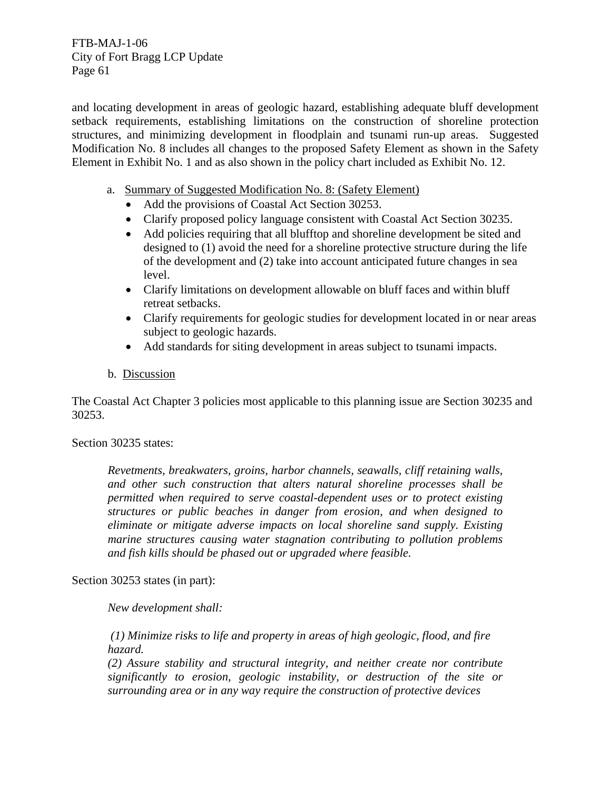and locating development in areas of geologic hazard, establishing adequate bluff development setback requirements, establishing limitations on the construction of shoreline protection structures, and minimizing development in floodplain and tsunami run-up areas. Suggested Modification No. 8 includes all changes to the proposed Safety Element as shown in the Safety Element in Exhibit No. 1 and as also shown in the policy chart included as Exhibit No. 12.

- a. Summary of Suggested Modification No. 8: (Safety Element)
	- Add the provisions of Coastal Act Section 30253.
	- Clarify proposed policy language consistent with Coastal Act Section 30235.
	- Add policies requiring that all blufftop and shoreline development be sited and designed to (1) avoid the need for a shoreline protective structure during the life of the development and (2) take into account anticipated future changes in sea level.
	- Clarify limitations on development allowable on bluff faces and within bluff retreat setbacks.
	- Clarify requirements for geologic studies for development located in or near areas subject to geologic hazards.
	- Add standards for siting development in areas subject to tsunami impacts.
- b. Discussion

The Coastal Act Chapter 3 policies most applicable to this planning issue are Section 30235 and 30253.

Section 30235 states:

*Revetments, breakwaters, groins, harbor channels, seawalls, cliff retaining walls, and other such construction that alters natural shoreline processes shall be permitted when required to serve coastal-dependent uses or to protect existing structures or public beaches in danger from erosion, and when designed to eliminate or mitigate adverse impacts on local shoreline sand supply. Existing marine structures causing water stagnation contributing to pollution problems and fish kills should be phased out or upgraded where feasible.* 

Section 30253 states (in part):

*New development shall:* 

 *(1) Minimize risks to life and property in areas of high geologic, flood, and fire hazard.* 

*(2) Assure stability and structural integrity, and neither create nor contribute significantly to erosion, geologic instability, or destruction of the site or surrounding area or in any way require the construction of protective devices*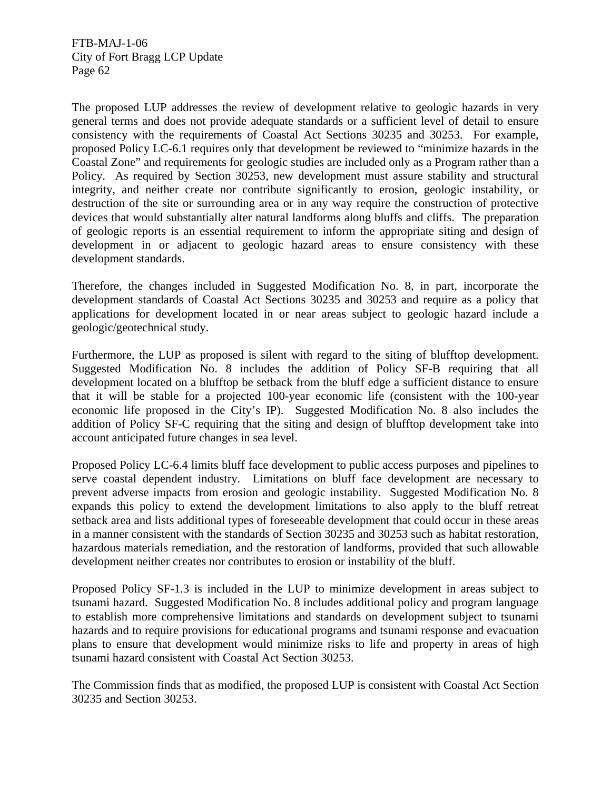The proposed LUP addresses the review of development relative to geologic hazards in very general terms and does not provide adequate standards or a sufficient level of detail to ensure consistency with the requirements of Coastal Act Sections 30235 and 30253. For example, proposed Policy LC-6.1 requires only that development be reviewed to "minimize hazards in the Coastal Zone" and requirements for geologic studies are included only as a Program rather than a Policy. As required by Section 30253, new development must assure stability and structural integrity, and neither create nor contribute significantly to erosion, geologic instability, or destruction of the site or surrounding area or in any way require the construction of protective devices that would substantially alter natural landforms along bluffs and cliffs. The preparation of geologic reports is an essential requirement to inform the appropriate siting and design of development in or adjacent to geologic hazard areas to ensure consistency with these development standards.

Therefore, the changes included in Suggested Modification No. 8, in part, incorporate the development standards of Coastal Act Sections 30235 and 30253 and require as a policy that applications for development located in or near areas subject to geologic hazard include a geologic/geotechnical study.

Furthermore, the LUP as proposed is silent with regard to the siting of blufftop development. Suggested Modification No. 8 includes the addition of Policy SF-B requiring that all development located on a blufftop be setback from the bluff edge a sufficient distance to ensure that it will be stable for a projected 100-year economic life (consistent with the 100-year economic life proposed in the City's IP). Suggested Modification No. 8 also includes the addition of Policy SF-C requiring that the siting and design of blufftop development take into account anticipated future changes in sea level.

Proposed Policy LC-6.4 limits bluff face development to public access purposes and pipelines to serve coastal dependent industry. Limitations on bluff face development are necessary to prevent adverse impacts from erosion and geologic instability. Suggested Modification No. 8 expands this policy to extend the development limitations to also apply to the bluff retreat setback area and lists additional types of foreseeable development that could occur in these areas in a manner consistent with the standards of Section 30235 and 30253 such as habitat restoration, hazardous materials remediation, and the restoration of landforms, provided that such allowable development neither creates nor contributes to erosion or instability of the bluff.

Proposed Policy SF-1.3 is included in the LUP to minimize development in areas subject to tsunami hazard. Suggested Modification No. 8 includes additional policy and program language to establish more comprehensive limitations and standards on development subject to tsunami hazards and to require provisions for educational programs and tsunami response and evacuation plans to ensure that development would minimize risks to life and property in areas of high tsunami hazard consistent with Coastal Act Section 30253.

The Commission finds that as modified, the proposed LUP is consistent with Coastal Act Section 30235 and Section 30253.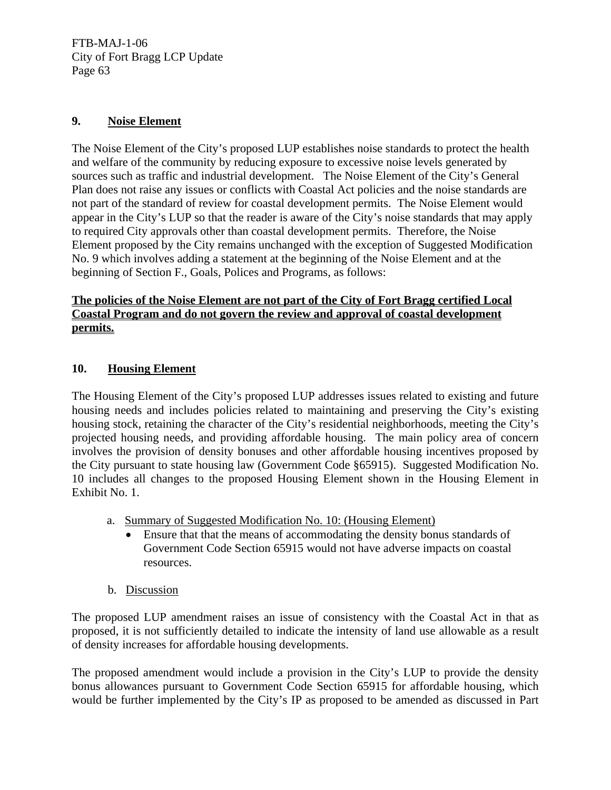## **9. Noise Element**

The Noise Element of the City's proposed LUP establishes noise standards to protect the health and welfare of the community by reducing exposure to excessive noise levels generated by sources such as traffic and industrial development. The Noise Element of the City's General Plan does not raise any issues or conflicts with Coastal Act policies and the noise standards are not part of the standard of review for coastal development permits. The Noise Element would appear in the City's LUP so that the reader is aware of the City's noise standards that may apply to required City approvals other than coastal development permits. Therefore, the Noise Element proposed by the City remains unchanged with the exception of Suggested Modification No. 9 which involves adding a statement at the beginning of the Noise Element and at the beginning of Section F., Goals, Polices and Programs, as follows:

## **The policies of the Noise Element are not part of the City of Fort Bragg certified Local Coastal Program and do not govern the review and approval of coastal development permits.**

## **10. Housing Element**

The Housing Element of the City's proposed LUP addresses issues related to existing and future housing needs and includes policies related to maintaining and preserving the City's existing housing stock, retaining the character of the City's residential neighborhoods, meeting the City's projected housing needs, and providing affordable housing. The main policy area of concern involves the provision of density bonuses and other affordable housing incentives proposed by the City pursuant to state housing law (Government Code §65915). Suggested Modification No. 10 includes all changes to the proposed Housing Element shown in the Housing Element in Exhibit No. 1.

- a. Summary of Suggested Modification No. 10: (Housing Element)
	- Ensure that that the means of accommodating the density bonus standards of Government Code Section 65915 would not have adverse impacts on coastal resources.
- b. Discussion

The proposed LUP amendment raises an issue of consistency with the Coastal Act in that as proposed, it is not sufficiently detailed to indicate the intensity of land use allowable as a result of density increases for affordable housing developments.

The proposed amendment would include a provision in the City's LUP to provide the density bonus allowances pursuant to Government Code Section 65915 for affordable housing, which would be further implemented by the City's IP as proposed to be amended as discussed in Part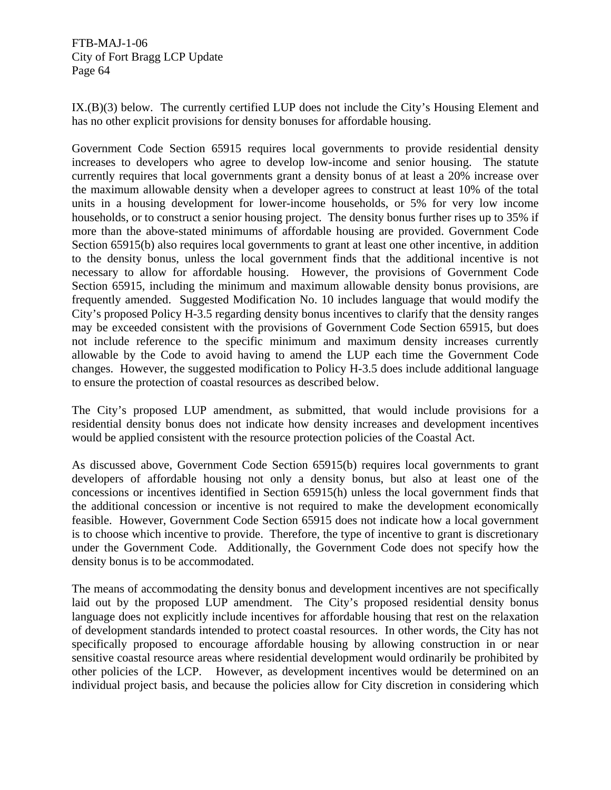IX.(B)(3) below. The currently certified LUP does not include the City's Housing Element and has no other explicit provisions for density bonuses for affordable housing.

Government Code Section 65915 requires local governments to provide residential density increases to developers who agree to develop low-income and senior housing. The statute currently requires that local governments grant a density bonus of at least a 20% increase over the maximum allowable density when a developer agrees to construct at least 10% of the total units in a housing development for lower-income households, or 5% for very low income households, or to construct a senior housing project. The density bonus further rises up to 35% if more than the above-stated minimums of affordable housing are provided. Government Code Section 65915(b) also requires local governments to grant at least one other incentive, in addition to the density bonus, unless the local government finds that the additional incentive is not necessary to allow for affordable housing. However, the provisions of Government Code Section 65915, including the minimum and maximum allowable density bonus provisions, are frequently amended. Suggested Modification No. 10 includes language that would modify the City's proposed Policy H-3.5 regarding density bonus incentives to clarify that the density ranges may be exceeded consistent with the provisions of Government Code Section 65915, but does not include reference to the specific minimum and maximum density increases currently allowable by the Code to avoid having to amend the LUP each time the Government Code changes. However, the suggested modification to Policy H-3.5 does include additional language to ensure the protection of coastal resources as described below.

The City's proposed LUP amendment, as submitted, that would include provisions for a residential density bonus does not indicate how density increases and development incentives would be applied consistent with the resource protection policies of the Coastal Act.

As discussed above, Government Code Section 65915(b) requires local governments to grant developers of affordable housing not only a density bonus, but also at least one of the concessions or incentives identified in Section 65915(h) unless the local government finds that the additional concession or incentive is not required to make the development economically feasible. However, Government Code Section 65915 does not indicate how a local government is to choose which incentive to provide. Therefore, the type of incentive to grant is discretionary under the Government Code. Additionally, the Government Code does not specify how the density bonus is to be accommodated.

The means of accommodating the density bonus and development incentives are not specifically laid out by the proposed LUP amendment. The City's proposed residential density bonus language does not explicitly include incentives for affordable housing that rest on the relaxation of development standards intended to protect coastal resources. In other words, the City has not specifically proposed to encourage affordable housing by allowing construction in or near sensitive coastal resource areas where residential development would ordinarily be prohibited by other policies of the LCP. However, as development incentives would be determined on an individual project basis, and because the policies allow for City discretion in considering which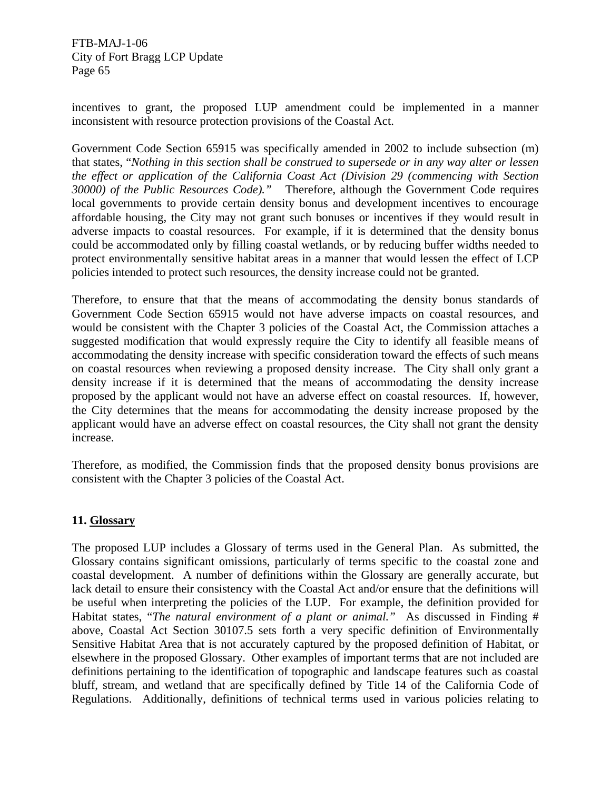incentives to grant, the proposed LUP amendment could be implemented in a manner inconsistent with resource protection provisions of the Coastal Act.

Government Code Section 65915 was specifically amended in 2002 to include subsection (m) that states, "*Nothing in this section shall be construed to supersede or in any way alter or lessen the effect or application of the California Coast Act (Division 29 (commencing with Section 30000) of the Public Resources Code)."* Therefore, although the Government Code requires local governments to provide certain density bonus and development incentives to encourage affordable housing, the City may not grant such bonuses or incentives if they would result in adverse impacts to coastal resources. For example, if it is determined that the density bonus could be accommodated only by filling coastal wetlands, or by reducing buffer widths needed to protect environmentally sensitive habitat areas in a manner that would lessen the effect of LCP policies intended to protect such resources, the density increase could not be granted.

Therefore, to ensure that that the means of accommodating the density bonus standards of Government Code Section 65915 would not have adverse impacts on coastal resources, and would be consistent with the Chapter 3 policies of the Coastal Act, the Commission attaches a suggested modification that would expressly require the City to identify all feasible means of accommodating the density increase with specific consideration toward the effects of such means on coastal resources when reviewing a proposed density increase. The City shall only grant a density increase if it is determined that the means of accommodating the density increase proposed by the applicant would not have an adverse effect on coastal resources. If, however, the City determines that the means for accommodating the density increase proposed by the applicant would have an adverse effect on coastal resources, the City shall not grant the density increase.

Therefore, as modified, the Commission finds that the proposed density bonus provisions are consistent with the Chapter 3 policies of the Coastal Act.

#### **11. Glossary**

The proposed LUP includes a Glossary of terms used in the General Plan. As submitted, the Glossary contains significant omissions, particularly of terms specific to the coastal zone and coastal development. A number of definitions within the Glossary are generally accurate, but lack detail to ensure their consistency with the Coastal Act and/or ensure that the definitions will be useful when interpreting the policies of the LUP. For example, the definition provided for Habitat states, "*The natural environment of a plant or animal."* As discussed in Finding # above, Coastal Act Section 30107.5 sets forth a very specific definition of Environmentally Sensitive Habitat Area that is not accurately captured by the proposed definition of Habitat, or elsewhere in the proposed Glossary. Other examples of important terms that are not included are definitions pertaining to the identification of topographic and landscape features such as coastal bluff, stream, and wetland that are specifically defined by Title 14 of the California Code of Regulations. Additionally, definitions of technical terms used in various policies relating to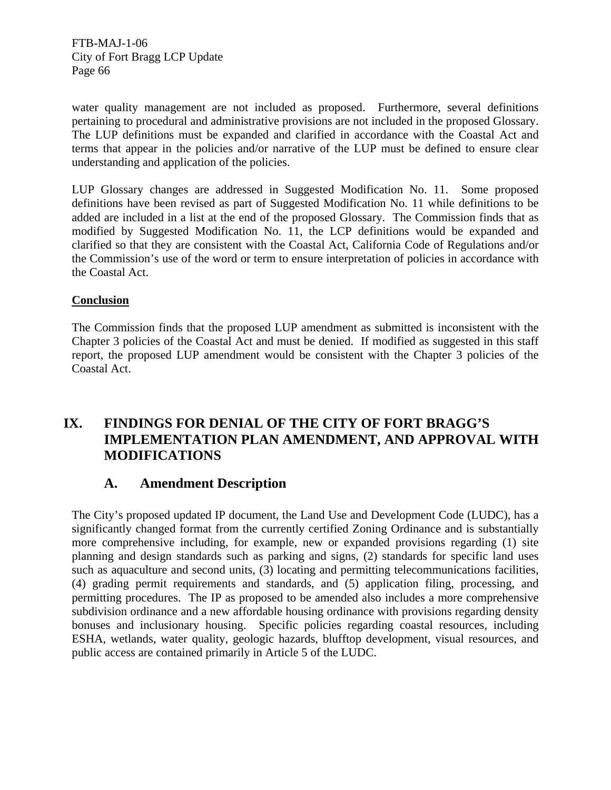water quality management are not included as proposed. Furthermore, several definitions pertaining to procedural and administrative provisions are not included in the proposed Glossary. The LUP definitions must be expanded and clarified in accordance with the Coastal Act and terms that appear in the policies and/or narrative of the LUP must be defined to ensure clear understanding and application of the policies.

LUP Glossary changes are addressed in Suggested Modification No. 11. Some proposed definitions have been revised as part of Suggested Modification No. 11 while definitions to be added are included in a list at the end of the proposed Glossary. The Commission finds that as modified by Suggested Modification No. 11, the LCP definitions would be expanded and clarified so that they are consistent with the Coastal Act, California Code of Regulations and/or the Commission's use of the word or term to ensure interpretation of policies in accordance with the Coastal Act.

## **Conclusion**

The Commission finds that the proposed LUP amendment as submitted is inconsistent with the Chapter 3 policies of the Coastal Act and must be denied. If modified as suggested in this staff report, the proposed LUP amendment would be consistent with the Chapter 3 policies of the Coastal Act.

# **IX. FINDINGS FOR DENIAL OF THE CITY OF FORT BRAGG'S IMPLEMENTATION PLAN AMENDMENT, AND APPROVAL WITH MODIFICATIONS**

# **A. Amendment Description**

The City's proposed updated IP document, the Land Use and Development Code (LUDC), has a significantly changed format from the currently certified Zoning Ordinance and is substantially more comprehensive including, for example, new or expanded provisions regarding (1) site planning and design standards such as parking and signs, (2) standards for specific land uses such as aquaculture and second units, (3) locating and permitting telecommunications facilities, (4) grading permit requirements and standards, and (5) application filing, processing, and permitting procedures. The IP as proposed to be amended also includes a more comprehensive subdivision ordinance and a new affordable housing ordinance with provisions regarding density bonuses and inclusionary housing. Specific policies regarding coastal resources, including ESHA, wetlands, water quality, geologic hazards, blufftop development, visual resources, and public access are contained primarily in Article 5 of the LUDC.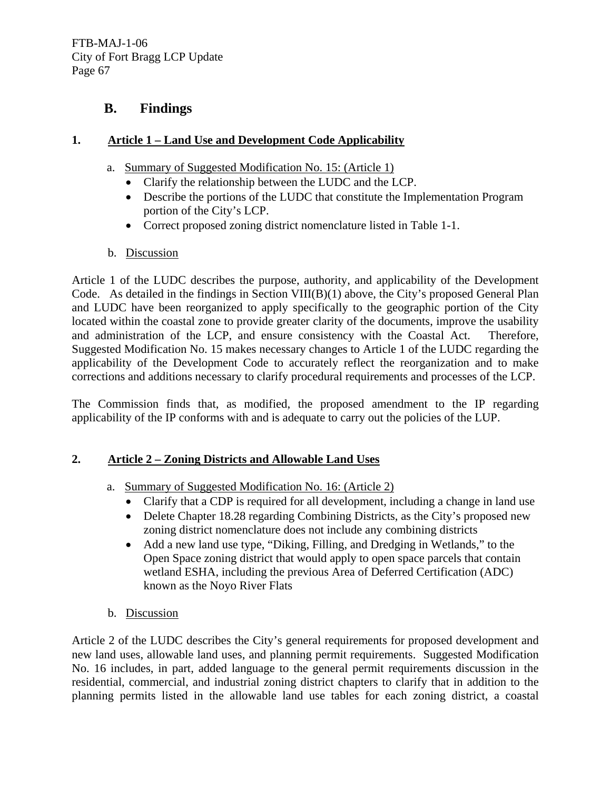# **B. Findings**

# **1. Article 1 – Land Use and Development Code Applicability**

- a. Summary of Suggested Modification No. 15: (Article 1)
	- Clarify the relationship between the LUDC and the LCP.
	- Describe the portions of the LUDC that constitute the Implementation Program portion of the City's LCP.
	- Correct proposed zoning district nomenclature listed in Table 1-1.
- b. Discussion

Article 1 of the LUDC describes the purpose, authority, and applicability of the Development Code. As detailed in the findings in Section VIII(B)(1) above, the City's proposed General Plan and LUDC have been reorganized to apply specifically to the geographic portion of the City located within the coastal zone to provide greater clarity of the documents, improve the usability and administration of the LCP, and ensure consistency with the Coastal Act. Therefore, Suggested Modification No. 15 makes necessary changes to Article 1 of the LUDC regarding the applicability of the Development Code to accurately reflect the reorganization and to make corrections and additions necessary to clarify procedural requirements and processes of the LCP.

The Commission finds that, as modified, the proposed amendment to the IP regarding applicability of the IP conforms with and is adequate to carry out the policies of the LUP.

# **2. Article 2 – Zoning Districts and Allowable Land Uses**

- a. Summary of Suggested Modification No. 16: (Article 2)
	- Clarify that a CDP is required for all development, including a change in land use
	- Delete Chapter 18.28 regarding Combining Districts, as the City's proposed new zoning district nomenclature does not include any combining districts
	- Add a new land use type, "Diking, Filling, and Dredging in Wetlands," to the Open Space zoning district that would apply to open space parcels that contain wetland ESHA, including the previous Area of Deferred Certification (ADC) known as the Noyo River Flats
- b. Discussion

Article 2 of the LUDC describes the City's general requirements for proposed development and new land uses, allowable land uses, and planning permit requirements. Suggested Modification No. 16 includes, in part, added language to the general permit requirements discussion in the residential, commercial, and industrial zoning district chapters to clarify that in addition to the planning permits listed in the allowable land use tables for each zoning district, a coastal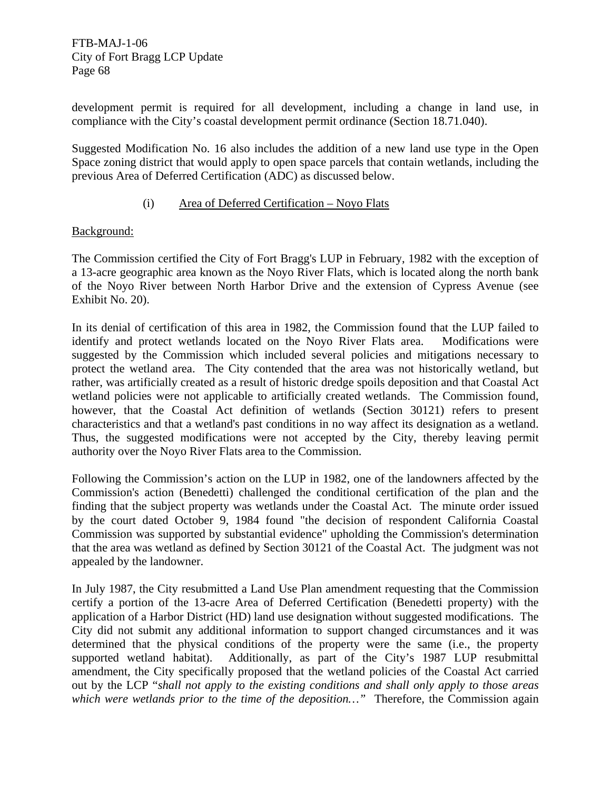development permit is required for all development, including a change in land use, in compliance with the City's coastal development permit ordinance (Section 18.71.040).

Suggested Modification No. 16 also includes the addition of a new land use type in the Open Space zoning district that would apply to open space parcels that contain wetlands, including the previous Area of Deferred Certification (ADC) as discussed below.

## (i) Area of Deferred Certification – Noyo Flats

## Background:

The Commission certified the City of Fort Bragg's LUP in February, 1982 with the exception of a 13-acre geographic area known as the Noyo River Flats, which is located along the north bank of the Noyo River between North Harbor Drive and the extension of Cypress Avenue (see Exhibit No. 20).

In its denial of certification of this area in 1982, the Commission found that the LUP failed to identify and protect wetlands located on the Noyo River Flats area. Modifications were suggested by the Commission which included several policies and mitigations necessary to protect the wetland area. The City contended that the area was not historically wetland, but rather, was artificially created as a result of historic dredge spoils deposition and that Coastal Act wetland policies were not applicable to artificially created wetlands. The Commission found, however, that the Coastal Act definition of wetlands (Section 30121) refers to present characteristics and that a wetland's past conditions in no way affect its designation as a wetland. Thus, the suggested modifications were not accepted by the City, thereby leaving permit authority over the Noyo River Flats area to the Commission.

Following the Commission's action on the LUP in 1982, one of the landowners affected by the Commission's action (Benedetti) challenged the conditional certification of the plan and the finding that the subject property was wetlands under the Coastal Act. The minute order issued by the court dated October 9, 1984 found "the decision of respondent California Coastal Commission was supported by substantial evidence" upholding the Commission's determination that the area was wetland as defined by Section 30121 of the Coastal Act. The judgment was not appealed by the landowner.

In July 1987, the City resubmitted a Land Use Plan amendment requesting that the Commission certify a portion of the 13-acre Area of Deferred Certification (Benedetti property) with the application of a Harbor District (HD) land use designation without suggested modifications. The City did not submit any additional information to support changed circumstances and it was determined that the physical conditions of the property were the same (i.e., the property supported wetland habitat). Additionally, as part of the City's 1987 LUP resubmittal amendment, the City specifically proposed that the wetland policies of the Coastal Act carried out by the LCP "*shall not apply to the existing conditions and shall only apply to those areas*  which were wetlands prior to the time of the deposition..." Therefore, the Commission again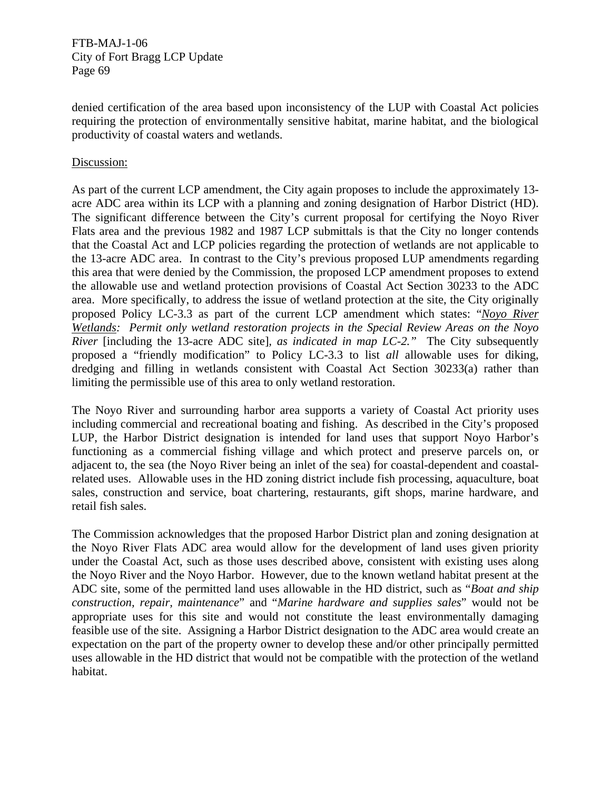denied certification of the area based upon inconsistency of the LUP with Coastal Act policies requiring the protection of environmentally sensitive habitat, marine habitat, and the biological productivity of coastal waters and wetlands.

#### Discussion:

As part of the current LCP amendment, the City again proposes to include the approximately 13 acre ADC area within its LCP with a planning and zoning designation of Harbor District (HD). The significant difference between the City's current proposal for certifying the Noyo River Flats area and the previous 1982 and 1987 LCP submittals is that the City no longer contends that the Coastal Act and LCP policies regarding the protection of wetlands are not applicable to the 13-acre ADC area. In contrast to the City's previous proposed LUP amendments regarding this area that were denied by the Commission, the proposed LCP amendment proposes to extend the allowable use and wetland protection provisions of Coastal Act Section 30233 to the ADC area. More specifically, to address the issue of wetland protection at the site, the City originally proposed Policy LC-3.3 as part of the current LCP amendment which states: "*Noyo River Wetlands: Permit only wetland restoration projects in the Special Review Areas on the Noyo River* [including the 13-acre ADC site]*, as indicated in map LC-2*." The City subsequently proposed a "friendly modification" to Policy LC-3.3 to list *all* allowable uses for diking, dredging and filling in wetlands consistent with Coastal Act Section 30233(a) rather than limiting the permissible use of this area to only wetland restoration.

The Noyo River and surrounding harbor area supports a variety of Coastal Act priority uses including commercial and recreational boating and fishing. As described in the City's proposed LUP, the Harbor District designation is intended for land uses that support Noyo Harbor's functioning as a commercial fishing village and which protect and preserve parcels on, or adjacent to, the sea (the Noyo River being an inlet of the sea) for coastal-dependent and coastalrelated uses. Allowable uses in the HD zoning district include fish processing, aquaculture, boat sales, construction and service, boat chartering, restaurants, gift shops, marine hardware, and retail fish sales.

The Commission acknowledges that the proposed Harbor District plan and zoning designation at the Noyo River Flats ADC area would allow for the development of land uses given priority under the Coastal Act, such as those uses described above, consistent with existing uses along the Noyo River and the Noyo Harbor. However, due to the known wetland habitat present at the ADC site, some of the permitted land uses allowable in the HD district, such as "*Boat and ship construction, repair, maintenance*" and "*Marine hardware and supplies sales*" would not be appropriate uses for this site and would not constitute the least environmentally damaging feasible use of the site. Assigning a Harbor District designation to the ADC area would create an expectation on the part of the property owner to develop these and/or other principally permitted uses allowable in the HD district that would not be compatible with the protection of the wetland habitat.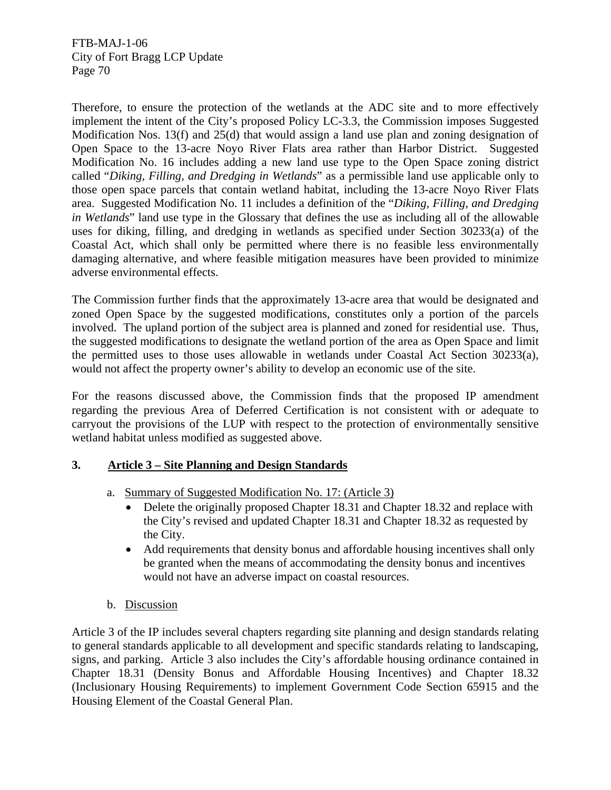Therefore, to ensure the protection of the wetlands at the ADC site and to more effectively implement the intent of the City's proposed Policy LC-3.3, the Commission imposes Suggested Modification Nos. 13(f) and 25(d) that would assign a land use plan and zoning designation of Open Space to the 13-acre Noyo River Flats area rather than Harbor District. Suggested Modification No. 16 includes adding a new land use type to the Open Space zoning district called "*Diking, Filling, and Dredging in Wetlands*" as a permissible land use applicable only to those open space parcels that contain wetland habitat, including the 13-acre Noyo River Flats area. Suggested Modification No. 11 includes a definition of the "*Diking, Filling, and Dredging in Wetlands*" land use type in the Glossary that defines the use as including all of the allowable uses for diking, filling, and dredging in wetlands as specified under Section 30233(a) of the Coastal Act, which shall only be permitted where there is no feasible less environmentally damaging alternative, and where feasible mitigation measures have been provided to minimize adverse environmental effects.

The Commission further finds that the approximately 13-acre area that would be designated and zoned Open Space by the suggested modifications, constitutes only a portion of the parcels involved. The upland portion of the subject area is planned and zoned for residential use. Thus, the suggested modifications to designate the wetland portion of the area as Open Space and limit the permitted uses to those uses allowable in wetlands under Coastal Act Section 30233(a), would not affect the property owner's ability to develop an economic use of the site.

For the reasons discussed above, the Commission finds that the proposed IP amendment regarding the previous Area of Deferred Certification is not consistent with or adequate to carryout the provisions of the LUP with respect to the protection of environmentally sensitive wetland habitat unless modified as suggested above.

## **3. Article 3 – Site Planning and Design Standards**

- a. Summary of Suggested Modification No. 17: (Article 3)
	- Delete the originally proposed Chapter 18.31 and Chapter 18.32 and replace with the City's revised and updated Chapter 18.31 and Chapter 18.32 as requested by the City.
	- Add requirements that density bonus and affordable housing incentives shall only be granted when the means of accommodating the density bonus and incentives would not have an adverse impact on coastal resources.
- b. Discussion

Article 3 of the IP includes several chapters regarding site planning and design standards relating to general standards applicable to all development and specific standards relating to landscaping, signs, and parking. Article 3 also includes the City's affordable housing ordinance contained in Chapter 18.31 (Density Bonus and Affordable Housing Incentives) and Chapter 18.32 (Inclusionary Housing Requirements) to implement Government Code Section 65915 and the Housing Element of the Coastal General Plan.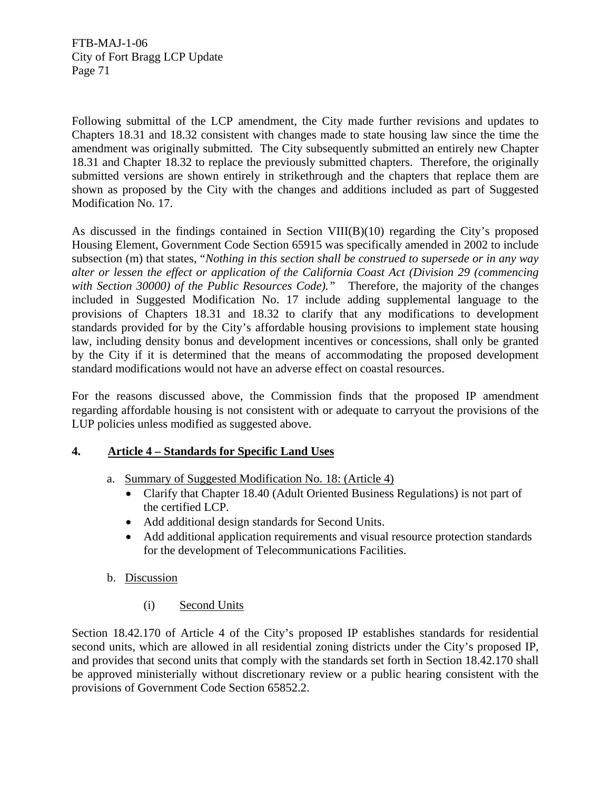Following submittal of the LCP amendment, the City made further revisions and updates to Chapters 18.31 and 18.32 consistent with changes made to state housing law since the time the amendment was originally submitted. The City subsequently submitted an entirely new Chapter 18.31 and Chapter 18.32 to replace the previously submitted chapters. Therefore, the originally submitted versions are shown entirely in strikethrough and the chapters that replace them are shown as proposed by the City with the changes and additions included as part of Suggested Modification No. 17.

As discussed in the findings contained in Section VIII(B)(10) regarding the City's proposed Housing Element, Government Code Section 65915 was specifically amended in 2002 to include subsection (m) that states, "*Nothing in this section shall be construed to supersede or in any way alter or lessen the effect or application of the California Coast Act (Division 29 (commencing with Section 30000) of the Public Resources Code).*" Therefore, the majority of the changes included in Suggested Modification No. 17 include adding supplemental language to the provisions of Chapters 18.31 and 18.32 to clarify that any modifications to development standards provided for by the City's affordable housing provisions to implement state housing law, including density bonus and development incentives or concessions, shall only be granted by the City if it is determined that the means of accommodating the proposed development standard modifications would not have an adverse effect on coastal resources.

For the reasons discussed above, the Commission finds that the proposed IP amendment regarding affordable housing is not consistent with or adequate to carryout the provisions of the LUP policies unless modified as suggested above.

## **4. Article 4 – Standards for Specific Land Uses**

- a. Summary of Suggested Modification No. 18: (Article 4)
	- Clarify that Chapter 18.40 (Adult Oriented Business Regulations) is not part of the certified LCP.
	- Add additional design standards for Second Units.
	- Add additional application requirements and visual resource protection standards for the development of Telecommunications Facilities.

## b. Discussion

(i) Second Units

Section 18.42.170 of Article 4 of the City's proposed IP establishes standards for residential second units, which are allowed in all residential zoning districts under the City's proposed IP, and provides that second units that comply with the standards set forth in Section 18.42.170 shall be approved ministerially without discretionary review or a public hearing consistent with the provisions of Government Code Section 65852.2.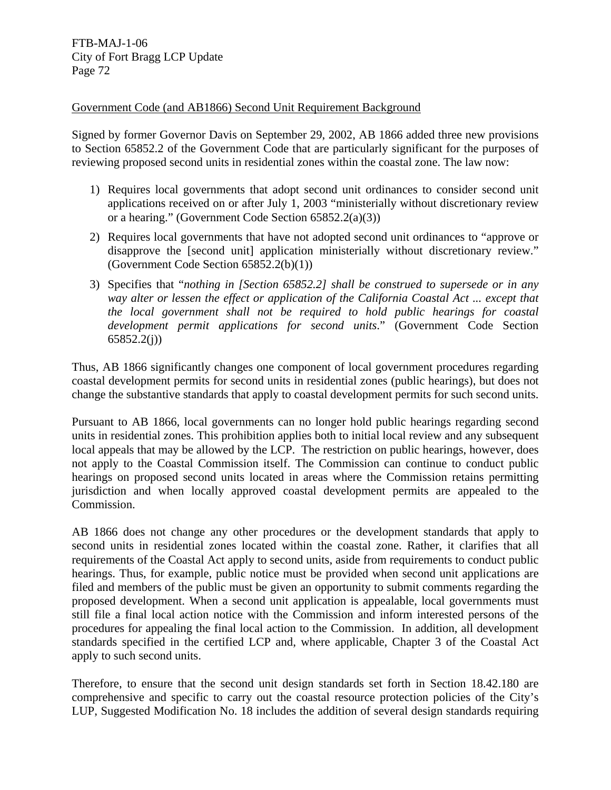#### Government Code (and AB1866) Second Unit Requirement Background

Signed by former Governor Davis on September 29, 2002, AB 1866 added three new provisions to Section 65852.2 of the Government Code that are particularly significant for the purposes of reviewing proposed second units in residential zones within the coastal zone. The law now:

- 1) Requires local governments that adopt second unit ordinances to consider second unit applications received on or after July 1, 2003 "ministerially without discretionary review or a hearing." (Government Code Section 65852.2(a)(3))
- 2) Requires local governments that have not adopted second unit ordinances to "approve or disapprove the [second unit] application ministerially without discretionary review." (Government Code Section 65852.2(b)(1))
- 3) Specifies that "*nothing in [Section 65852.2] shall be construed to supersede or in any way alter or lessen the effect or application of the California Coastal Act ... except that the local government shall not be required to hold public hearings for coastal development permit applications for second units*." (Government Code Section  $65852.2(j)$

Thus, AB 1866 significantly changes one component of local government procedures regarding coastal development permits for second units in residential zones (public hearings), but does not change the substantive standards that apply to coastal development permits for such second units.

Pursuant to AB 1866, local governments can no longer hold public hearings regarding second units in residential zones. This prohibition applies both to initial local review and any subsequent local appeals that may be allowed by the LCP. The restriction on public hearings, however, does not apply to the Coastal Commission itself. The Commission can continue to conduct public hearings on proposed second units located in areas where the Commission retains permitting jurisdiction and when locally approved coastal development permits are appealed to the Commission.

AB 1866 does not change any other procedures or the development standards that apply to second units in residential zones located within the coastal zone. Rather, it clarifies that all requirements of the Coastal Act apply to second units, aside from requirements to conduct public hearings. Thus, for example, public notice must be provided when second unit applications are filed and members of the public must be given an opportunity to submit comments regarding the proposed development. When a second unit application is appealable, local governments must still file a final local action notice with the Commission and inform interested persons of the procedures for appealing the final local action to the Commission. In addition, all development standards specified in the certified LCP and, where applicable, Chapter 3 of the Coastal Act apply to such second units.

Therefore, to ensure that the second unit design standards set forth in Section 18.42.180 are comprehensive and specific to carry out the coastal resource protection policies of the City's LUP, Suggested Modification No. 18 includes the addition of several design standards requiring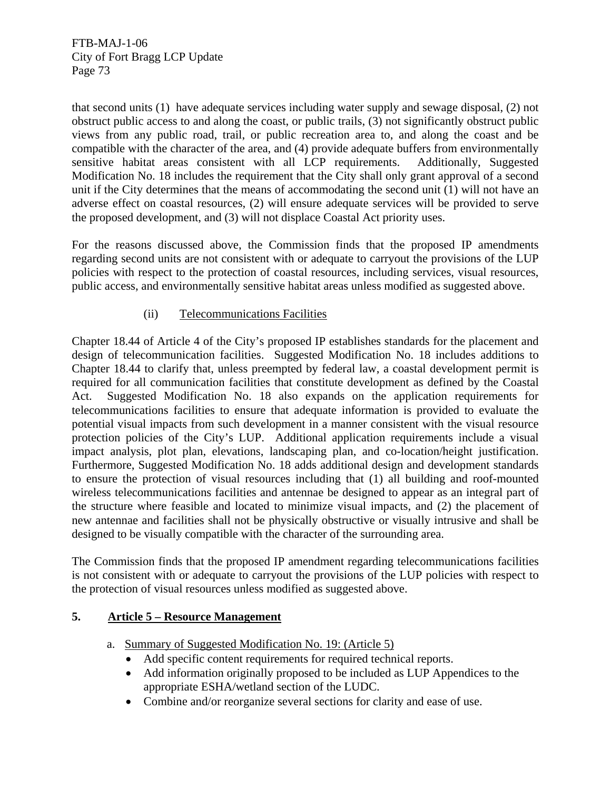that second units (1) have adequate services including water supply and sewage disposal, (2) not obstruct public access to and along the coast, or public trails, (3) not significantly obstruct public views from any public road, trail, or public recreation area to, and along the coast and be compatible with the character of the area, and (4) provide adequate buffers from environmentally sensitive habitat areas consistent with all LCP requirements. Additionally, Suggested Modification No. 18 includes the requirement that the City shall only grant approval of a second unit if the City determines that the means of accommodating the second unit (1) will not have an adverse effect on coastal resources, (2) will ensure adequate services will be provided to serve the proposed development, and (3) will not displace Coastal Act priority uses.

For the reasons discussed above, the Commission finds that the proposed IP amendments regarding second units are not consistent with or adequate to carryout the provisions of the LUP policies with respect to the protection of coastal resources, including services, visual resources, public access, and environmentally sensitive habitat areas unless modified as suggested above.

### (ii) Telecommunications Facilities

Chapter 18.44 of Article 4 of the City's proposed IP establishes standards for the placement and design of telecommunication facilities. Suggested Modification No. 18 includes additions to Chapter 18.44 to clarify that, unless preempted by federal law, a coastal development permit is required for all communication facilities that constitute development as defined by the Coastal Act. Suggested Modification No. 18 also expands on the application requirements for telecommunications facilities to ensure that adequate information is provided to evaluate the potential visual impacts from such development in a manner consistent with the visual resource protection policies of the City's LUP. Additional application requirements include a visual impact analysis, plot plan, elevations, landscaping plan, and co-location/height justification. Furthermore, Suggested Modification No. 18 adds additional design and development standards to ensure the protection of visual resources including that (1) all building and roof-mounted wireless telecommunications facilities and antennae be designed to appear as an integral part of the structure where feasible and located to minimize visual impacts, and (2) the placement of new antennae and facilities shall not be physically obstructive or visually intrusive and shall be designed to be visually compatible with the character of the surrounding area.

The Commission finds that the proposed IP amendment regarding telecommunications facilities is not consistent with or adequate to carryout the provisions of the LUP policies with respect to the protection of visual resources unless modified as suggested above.

### **5. Article 5 – Resource Management**

- a. Summary of Suggested Modification No. 19: (Article 5)
	- Add specific content requirements for required technical reports.
	- Add information originally proposed to be included as LUP Appendices to the appropriate ESHA/wetland section of the LUDC.
	- Combine and/or reorganize several sections for clarity and ease of use.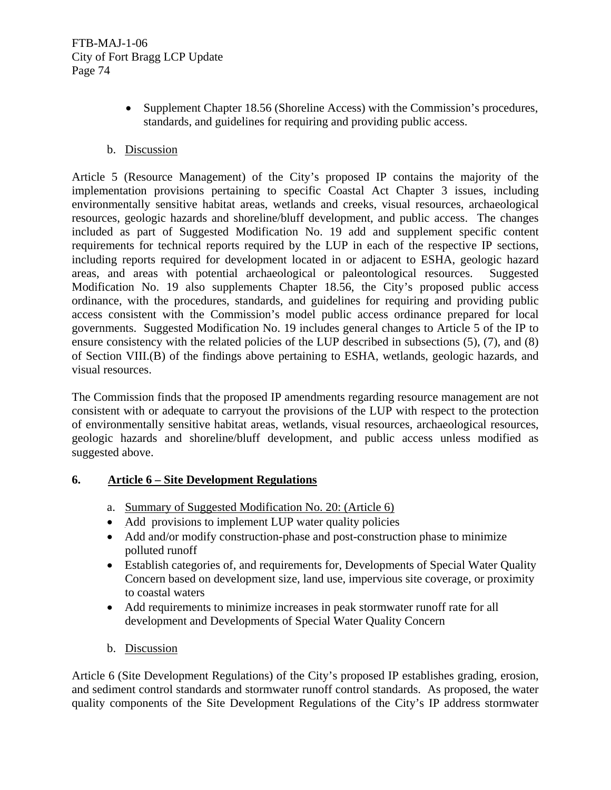• Supplement Chapter 18.56 (Shoreline Access) with the Commission's procedures, standards, and guidelines for requiring and providing public access.

### b. Discussion

Article 5 (Resource Management) of the City's proposed IP contains the majority of the implementation provisions pertaining to specific Coastal Act Chapter 3 issues, including environmentally sensitive habitat areas, wetlands and creeks, visual resources, archaeological resources, geologic hazards and shoreline/bluff development, and public access. The changes included as part of Suggested Modification No. 19 add and supplement specific content requirements for technical reports required by the LUP in each of the respective IP sections, including reports required for development located in or adjacent to ESHA, geologic hazard areas, and areas with potential archaeological or paleontological resources. Suggested Modification No. 19 also supplements Chapter 18.56, the City's proposed public access ordinance, with the procedures, standards, and guidelines for requiring and providing public access consistent with the Commission's model public access ordinance prepared for local governments. Suggested Modification No. 19 includes general changes to Article 5 of the IP to ensure consistency with the related policies of the LUP described in subsections (5), (7), and (8) of Section VIII.(B) of the findings above pertaining to ESHA, wetlands, geologic hazards, and visual resources.

The Commission finds that the proposed IP amendments regarding resource management are not consistent with or adequate to carryout the provisions of the LUP with respect to the protection of environmentally sensitive habitat areas, wetlands, visual resources, archaeological resources, geologic hazards and shoreline/bluff development, and public access unless modified as suggested above.

# **6. Article 6 – Site Development Regulations**

- a. Summary of Suggested Modification No. 20: (Article 6)
- Add provisions to implement LUP water quality policies
- Add and/or modify construction-phase and post-construction phase to minimize polluted runoff
- Establish categories of, and requirements for, Developments of Special Water Quality Concern based on development size, land use, impervious site coverage, or proximity to coastal waters
- Add requirements to minimize increases in peak stormwater runoff rate for all development and Developments of Special Water Quality Concern
- b. Discussion

Article 6 (Site Development Regulations) of the City's proposed IP establishes grading, erosion, and sediment control standards and stormwater runoff control standards. As proposed, the water quality components of the Site Development Regulations of the City's IP address stormwater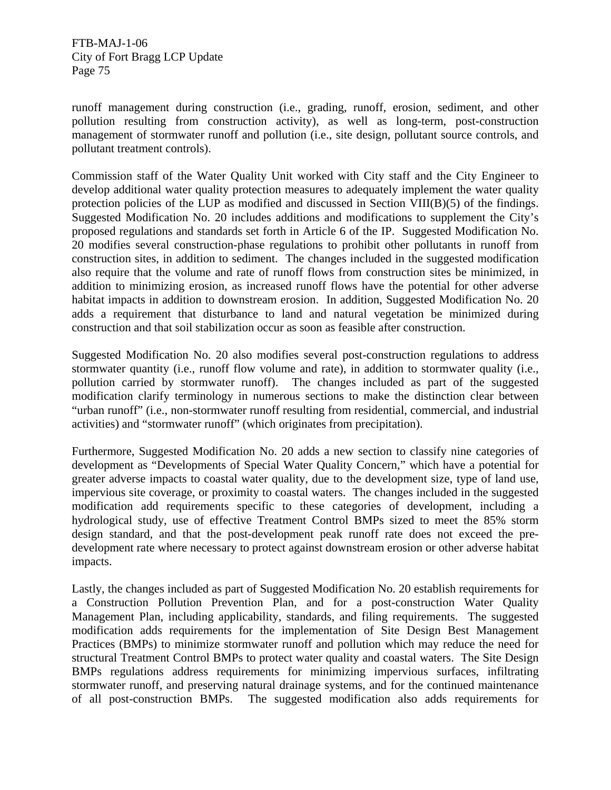runoff management during construction (i.e., grading, runoff, erosion, sediment, and other pollution resulting from construction activity), as well as long-term, post-construction management of stormwater runoff and pollution (i.e., site design, pollutant source controls, and pollutant treatment controls).

Commission staff of the Water Quality Unit worked with City staff and the City Engineer to develop additional water quality protection measures to adequately implement the water quality protection policies of the LUP as modified and discussed in Section VIII(B)(5) of the findings. Suggested Modification No. 20 includes additions and modifications to supplement the City's proposed regulations and standards set forth in Article 6 of the IP. Suggested Modification No. 20 modifies several construction-phase regulations to prohibit other pollutants in runoff from construction sites, in addition to sediment. The changes included in the suggested modification also require that the volume and rate of runoff flows from construction sites be minimized, in addition to minimizing erosion, as increased runoff flows have the potential for other adverse habitat impacts in addition to downstream erosion. In addition, Suggested Modification No. 20 adds a requirement that disturbance to land and natural vegetation be minimized during construction and that soil stabilization occur as soon as feasible after construction.

Suggested Modification No. 20 also modifies several post-construction regulations to address stormwater quantity (i.e., runoff flow volume and rate), in addition to stormwater quality (i.e., pollution carried by stormwater runoff). The changes included as part of the suggested modification clarify terminology in numerous sections to make the distinction clear between "urban runoff" (i.e., non-stormwater runoff resulting from residential, commercial, and industrial activities) and "stormwater runoff" (which originates from precipitation).

Furthermore, Suggested Modification No. 20 adds a new section to classify nine categories of development as "Developments of Special Water Quality Concern," which have a potential for greater adverse impacts to coastal water quality, due to the development size, type of land use, impervious site coverage, or proximity to coastal waters. The changes included in the suggested modification add requirements specific to these categories of development, including a hydrological study, use of effective Treatment Control BMPs sized to meet the 85% storm design standard, and that the post-development peak runoff rate does not exceed the predevelopment rate where necessary to protect against downstream erosion or other adverse habitat impacts.

Lastly, the changes included as part of Suggested Modification No. 20 establish requirements for a Construction Pollution Prevention Plan, and for a post-construction Water Quality Management Plan, including applicability, standards, and filing requirements. The suggested modification adds requirements for the implementation of Site Design Best Management Practices (BMPs) to minimize stormwater runoff and pollution which may reduce the need for structural Treatment Control BMPs to protect water quality and coastal waters. The Site Design BMPs regulations address requirements for minimizing impervious surfaces, infiltrating stormwater runoff, and preserving natural drainage systems, and for the continued maintenance of all post-construction BMPs. The suggested modification also adds requirements for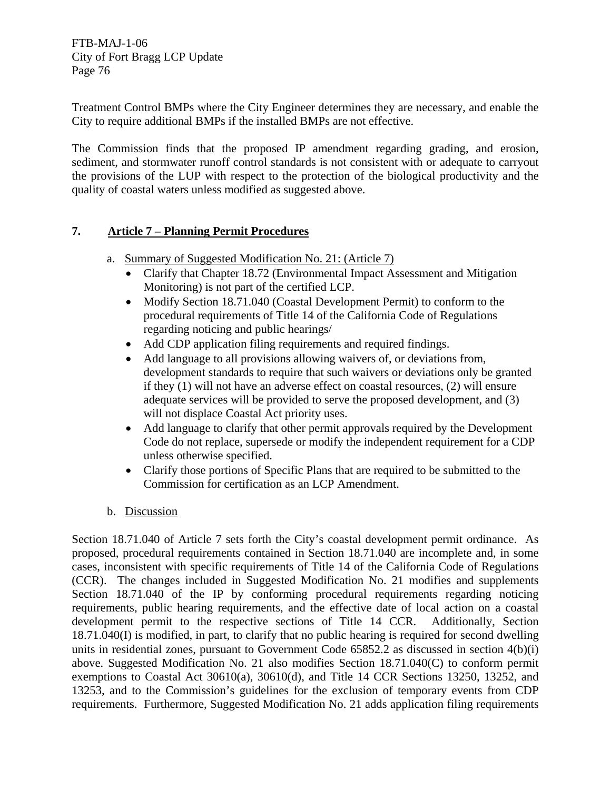Treatment Control BMPs where the City Engineer determines they are necessary, and enable the City to require additional BMPs if the installed BMPs are not effective.

The Commission finds that the proposed IP amendment regarding grading, and erosion, sediment, and stormwater runoff control standards is not consistent with or adequate to carryout the provisions of the LUP with respect to the protection of the biological productivity and the quality of coastal waters unless modified as suggested above.

## **7. Article 7 – Planning Permit Procedures**

- a. Summary of Suggested Modification No. 21: (Article 7)
	- Clarify that Chapter 18.72 (Environmental Impact Assessment and Mitigation Monitoring) is not part of the certified LCP.
	- Modify Section 18.71.040 (Coastal Development Permit) to conform to the procedural requirements of Title 14 of the California Code of Regulations regarding noticing and public hearings/
	- Add CDP application filing requirements and required findings.
	- Add language to all provisions allowing waivers of, or deviations from, development standards to require that such waivers or deviations only be granted if they (1) will not have an adverse effect on coastal resources, (2) will ensure adequate services will be provided to serve the proposed development, and (3) will not displace Coastal Act priority uses.
	- Add language to clarify that other permit approvals required by the Development Code do not replace, supersede or modify the independent requirement for a CDP unless otherwise specified.
	- Clarify those portions of Specific Plans that are required to be submitted to the Commission for certification as an LCP Amendment.
- b. Discussion

Section 18.71.040 of Article 7 sets forth the City's coastal development permit ordinance. As proposed, procedural requirements contained in Section 18.71.040 are incomplete and, in some cases, inconsistent with specific requirements of Title 14 of the California Code of Regulations (CCR). The changes included in Suggested Modification No. 21 modifies and supplements Section 18.71.040 of the IP by conforming procedural requirements regarding noticing requirements, public hearing requirements, and the effective date of local action on a coastal development permit to the respective sections of Title 14 CCR. Additionally, Section 18.71.040(I) is modified, in part, to clarify that no public hearing is required for second dwelling units in residential zones, pursuant to Government Code  $65852.2$  as discussed in section  $4(b)(i)$ above. Suggested Modification No. 21 also modifies Section 18.71.040(C) to conform permit exemptions to Coastal Act 30610(a), 30610(d), and Title 14 CCR Sections 13250, 13252, and 13253, and to the Commission's guidelines for the exclusion of temporary events from CDP requirements. Furthermore, Suggested Modification No. 21 adds application filing requirements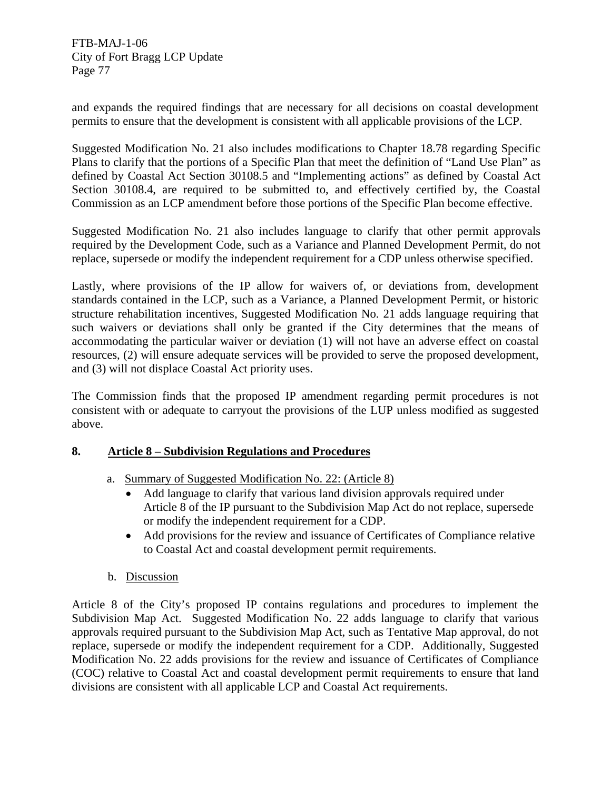and expands the required findings that are necessary for all decisions on coastal development permits to ensure that the development is consistent with all applicable provisions of the LCP.

Suggested Modification No. 21 also includes modifications to Chapter 18.78 regarding Specific Plans to clarify that the portions of a Specific Plan that meet the definition of "Land Use Plan" as defined by Coastal Act Section 30108.5 and "Implementing actions" as defined by Coastal Act Section 30108.4, are required to be submitted to, and effectively certified by, the Coastal Commission as an LCP amendment before those portions of the Specific Plan become effective.

Suggested Modification No. 21 also includes language to clarify that other permit approvals required by the Development Code, such as a Variance and Planned Development Permit, do not replace, supersede or modify the independent requirement for a CDP unless otherwise specified.

Lastly, where provisions of the IP allow for waivers of, or deviations from, development standards contained in the LCP, such as a Variance, a Planned Development Permit, or historic structure rehabilitation incentives, Suggested Modification No. 21 adds language requiring that such waivers or deviations shall only be granted if the City determines that the means of accommodating the particular waiver or deviation (1) will not have an adverse effect on coastal resources, (2) will ensure adequate services will be provided to serve the proposed development, and (3) will not displace Coastal Act priority uses.

The Commission finds that the proposed IP amendment regarding permit procedures is not consistent with or adequate to carryout the provisions of the LUP unless modified as suggested above.

### **8. Article 8 – Subdivision Regulations and Procedures**

- a. Summary of Suggested Modification No. 22: (Article 8)
	- Add language to clarify that various land division approvals required under Article 8 of the IP pursuant to the Subdivision Map Act do not replace, supersede or modify the independent requirement for a CDP.
	- Add provisions for the review and issuance of Certificates of Compliance relative to Coastal Act and coastal development permit requirements.
- b. Discussion

Article 8 of the City's proposed IP contains regulations and procedures to implement the Subdivision Map Act. Suggested Modification No. 22 adds language to clarify that various approvals required pursuant to the Subdivision Map Act, such as Tentative Map approval, do not replace, supersede or modify the independent requirement for a CDP. Additionally, Suggested Modification No. 22 adds provisions for the review and issuance of Certificates of Compliance (COC) relative to Coastal Act and coastal development permit requirements to ensure that land divisions are consistent with all applicable LCP and Coastal Act requirements.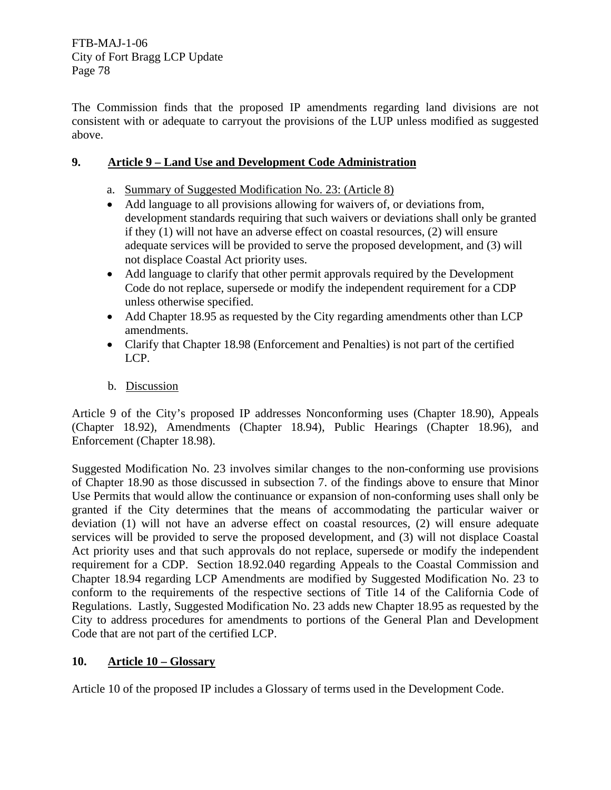The Commission finds that the proposed IP amendments regarding land divisions are not consistent with or adequate to carryout the provisions of the LUP unless modified as suggested above.

### **9. Article 9 – Land Use and Development Code Administration**

- a. Summary of Suggested Modification No. 23: (Article 8)
- Add language to all provisions allowing for waivers of, or deviations from, development standards requiring that such waivers or deviations shall only be granted if they (1) will not have an adverse effect on coastal resources, (2) will ensure adequate services will be provided to serve the proposed development, and (3) will not displace Coastal Act priority uses.
- Add language to clarify that other permit approvals required by the Development Code do not replace, supersede or modify the independent requirement for a CDP unless otherwise specified.
- Add Chapter 18.95 as requested by the City regarding amendments other than LCP amendments.
- Clarify that Chapter 18.98 (Enforcement and Penalties) is not part of the certified LCP.
- b. Discussion

Article 9 of the City's proposed IP addresses Nonconforming uses (Chapter 18.90), Appeals (Chapter 18.92), Amendments (Chapter 18.94), Public Hearings (Chapter 18.96), and Enforcement (Chapter 18.98).

Suggested Modification No. 23 involves similar changes to the non-conforming use provisions of Chapter 18.90 as those discussed in subsection 7. of the findings above to ensure that Minor Use Permits that would allow the continuance or expansion of non-conforming uses shall only be granted if the City determines that the means of accommodating the particular waiver or deviation (1) will not have an adverse effect on coastal resources, (2) will ensure adequate services will be provided to serve the proposed development, and (3) will not displace Coastal Act priority uses and that such approvals do not replace, supersede or modify the independent requirement for a CDP. Section 18.92.040 regarding Appeals to the Coastal Commission and Chapter 18.94 regarding LCP Amendments are modified by Suggested Modification No. 23 to conform to the requirements of the respective sections of Title 14 of the California Code of Regulations. Lastly, Suggested Modification No. 23 adds new Chapter 18.95 as requested by the City to address procedures for amendments to portions of the General Plan and Development Code that are not part of the certified LCP.

### **10. Article 10 – Glossary**

Article 10 of the proposed IP includes a Glossary of terms used in the Development Code.